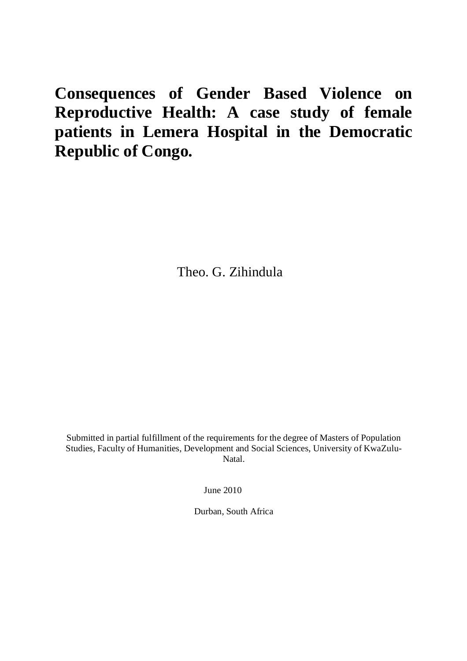# **Consequences of Gender Based Violence on Reproductive Health: A case study of female patients in Lemera Hospital in the Democratic Republic of Congo.**

Theo. G. Zihindula

Submitted in partial fulfillment of the requirements for the degree of Masters of Population Studies, Faculty of Humanities, Development and Social Sciences, University of KwaZulu-Natal.

June 2010

Durban, South Africa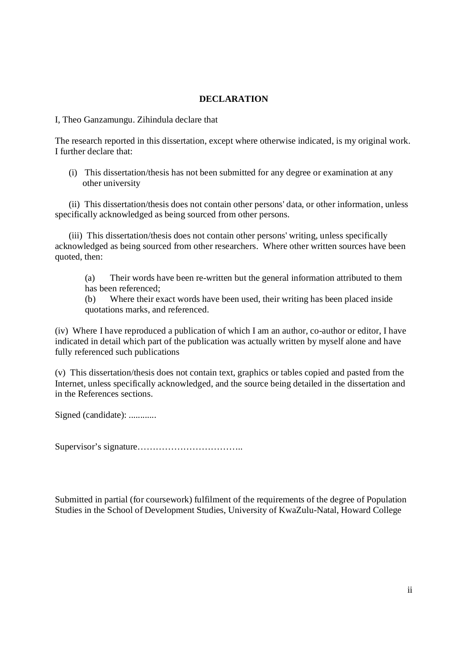### **DECLARATION**

I, Theo Ganzamungu. Zihindula declare that

The research reported in this dissertation, except where otherwise indicated, is my original work. I further declare that:

(i) This dissertation/thesis has not been submitted for any degree or examination at any other university

 (ii) This dissertation/thesis does not contain other persons' data, or other information, unless specifically acknowledged as being sourced from other persons.

 (iii) This dissertation/thesis does not contain other persons' writing, unless specifically acknowledged as being sourced from other researchers. Where other written sources have been quoted, then:

(a) Their words have been re-written but the general information attributed to them has been referenced;

(b) Where their exact words have been used, their writing has been placed inside quotations marks, and referenced.

(iv) Where I have reproduced a publication of which I am an author, co-author or editor, I have indicated in detail which part of the publication was actually written by myself alone and have fully referenced such publications

(v) This dissertation/thesis does not contain text, graphics or tables copied and pasted from the Internet, unless specifically acknowledged, and the source being detailed in the dissertation and in the References sections.

Signed (candidate): .............

Supervisor's signature……………………………..

Submitted in partial (for coursework) fulfilment of the requirements of the degree of Population Studies in the School of Development Studies, University of KwaZulu-Natal, Howard College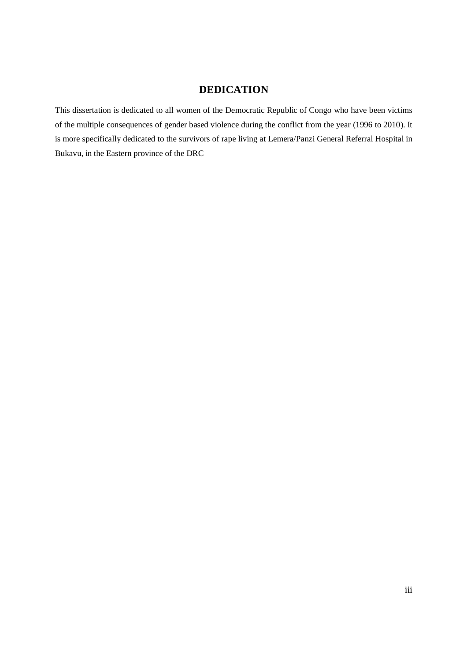# **DEDICATION**

This dissertation is dedicated to all women of the Democratic Republic of Congo who have been victims of the multiple consequences of gender based violence during the conflict from the year (1996 to 2010). It is more specifically dedicated to the survivors of rape living at Lemera/Panzi General Referral Hospital in Bukavu, in the Eastern province of the DRC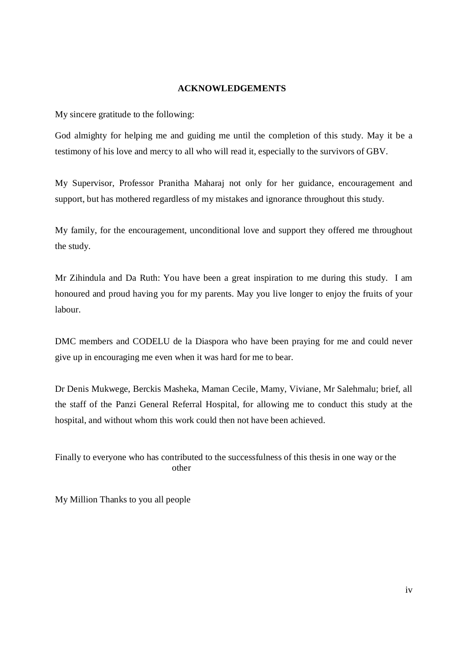#### **ACKNOWLEDGEMENTS**

My sincere gratitude to the following:

God almighty for helping me and guiding me until the completion of this study. May it be a testimony of his love and mercy to all who will read it, especially to the survivors of GBV.

My Supervisor, Professor Pranitha Maharaj not only for her guidance, encouragement and support, but has mothered regardless of my mistakes and ignorance throughout this study.

My family, for the encouragement, unconditional love and support they offered me throughout the study.

Mr Zihindula and Da Ruth: You have been a great inspiration to me during this study. I am honoured and proud having you for my parents. May you live longer to enjoy the fruits of your labour.

DMC members and CODELU de la Diaspora who have been praying for me and could never give up in encouraging me even when it was hard for me to bear.

Dr Denis Mukwege, Berckis Masheka, Maman Cecile, Mamy, Viviane, Mr Salehmalu; brief, all the staff of the Panzi General Referral Hospital, for allowing me to conduct this study at the hospital, and without whom this work could then not have been achieved.

Finally to everyone who has contributed to the successfulness of this thesis in one way or the other

My Million Thanks to you all people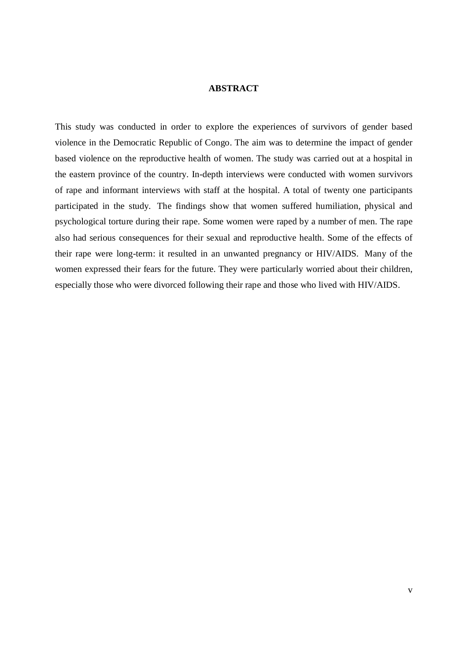#### **ABSTRACT**

This study was conducted in order to explore the experiences of survivors of gender based violence in the Democratic Republic of Congo. The aim was to determine the impact of gender based violence on the reproductive health of women. The study was carried out at a hospital in the eastern province of the country. In-depth interviews were conducted with women survivors of rape and informant interviews with staff at the hospital. A total of twenty one participants participated in the study. The findings show that women suffered humiliation, physical and psychological torture during their rape. Some women were raped by a number of men. The rape also had serious consequences for their sexual and reproductive health. Some of the effects of their rape were long-term: it resulted in an unwanted pregnancy or HIV/AIDS. Many of the women expressed their fears for the future. They were particularly worried about their children, especially those who were divorced following their rape and those who lived with HIV/AIDS.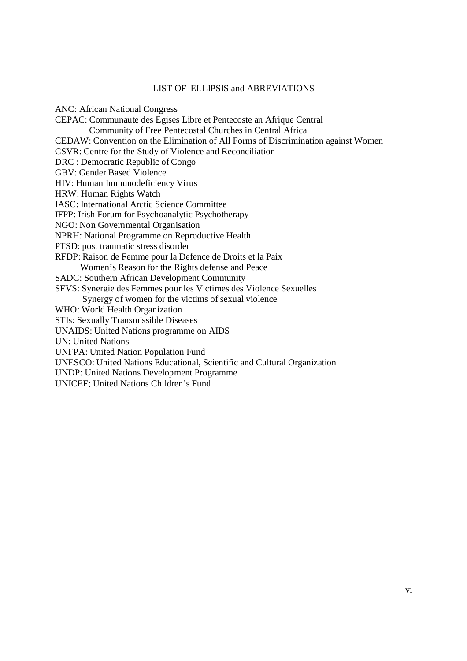#### LIST OF ELLIPSIS and ABREVIATIONS

ANC: African National Congress CEPAC: Communaute des Egises Libre et Pentecoste an Afrique Central Community of Free Pentecostal Churches in Central Africa CEDAW: Convention on the Elimination of All Forms of Discrimination against Women CSVR: Centre for the Study of Violence and Reconciliation DRC : Democratic Republic of Congo GBV: Gender Based Violence HIV: Human Immunodeficiency Virus HRW: Human Rights Watch IASC: International Arctic Science Committee IFPP: Irish Forum for Psychoanalytic Psychotherapy NGO: Non Governmental Organisation NPRH: National Programme on Reproductive Health PTSD: post traumatic stress disorder RFDP: Raison de Femme pour la Defence de Droits et la Paix Women's Reason for the Rights defense and Peace SADC: Southern African Development Community SFVS: Synergie des Femmes pour les Victimes des Violence Sexuelles Synergy of women for the victims of sexual violence WHO: World Health Organization STIs: Sexually Transmissible Diseases UNAIDS: United Nations programme on AIDS UN: United Nations UNFPA: United Nation Population Fund UNESCO: United Nations Educational, Scientific and Cultural Organization UNDP: United Nations Development Programme UNICEF; United Nations Children's Fund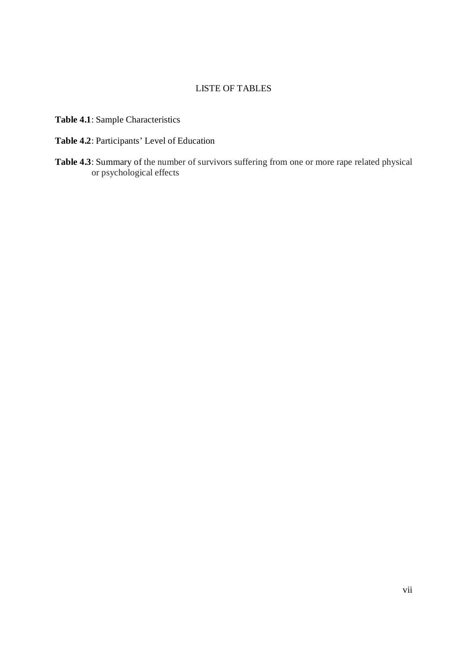### LISTE OF TABLES

**Table 4.1**: Sample Characteristics

- **Table 4.2**: Participants' Level of Education
- **Table 4.3**: Summary of the number of survivors suffering from one or more rape related physical or psychological effects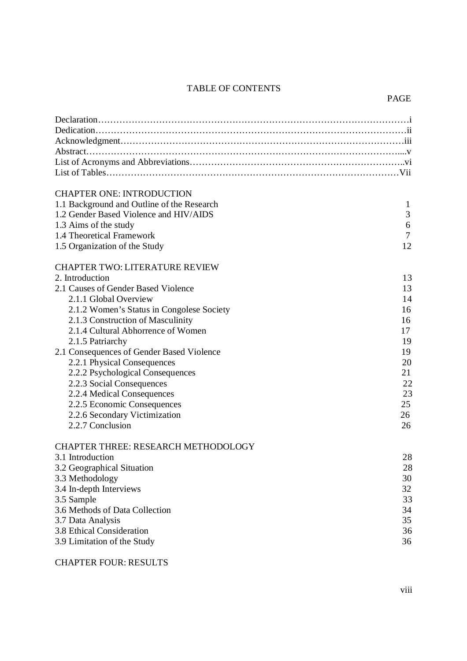# TABLE OF CONTENTS

#### PAGE

| <b>CHAPTER ONE: INTRODUCTION</b><br>1.1 Background and Outline of the Research<br>1.2 Gender Based Violence and HIV/AIDS | $\mathbf{1}$<br>3 |
|--------------------------------------------------------------------------------------------------------------------------|-------------------|
| 1.3 Aims of the study                                                                                                    | 6                 |
| 1.4 Theoretical Framework<br>1.5 Organization of the Study                                                               | 7<br>12           |
| <b>CHAPTER TWO: LITERATURE REVIEW</b>                                                                                    |                   |
| 2. Introduction                                                                                                          | 13                |
| 2.1 Causes of Gender Based Violence                                                                                      | 13                |
| 2.1.1 Global Overview                                                                                                    | 14                |
| 2.1.2 Women's Status in Congolese Society                                                                                | 16                |
| 2.1.3 Construction of Masculinity                                                                                        | 16                |
| 2.1.4 Cultural Abhorrence of Women                                                                                       | 17                |
| 2.1.5 Patriarchy                                                                                                         | 19                |
| 2.1 Consequences of Gender Based Violence                                                                                | 19                |
| 2.2.1 Physical Consequences                                                                                              | 20                |
| 2.2.2 Psychological Consequences                                                                                         | 21                |
| 2.2.3 Social Consequences                                                                                                | 22                |
| 2.2.4 Medical Consequences                                                                                               | 23                |
| 2.2.5 Economic Consequences                                                                                              | 25                |
| 2.2.6 Secondary Victimization                                                                                            | 26                |
| 2.2.7 Conclusion                                                                                                         | 26                |
| <b>CHAPTER THREE: RESEARCH METHODOLOGY</b>                                                                               |                   |
| 3.1 Introduction                                                                                                         | 28                |
| 3.2 Geographical Situation                                                                                               | 28                |
| 3.3 Methodology                                                                                                          | 30                |
| 3.4 In-depth Interviews                                                                                                  | 32                |
| 3.5 Sample                                                                                                               | 33                |
| 3.6 Methods of Data Collection                                                                                           | 34                |
| 3.7 Data Analysis                                                                                                        | 35                |
| 3.8 Ethical Consideration                                                                                                | 36                |
| 3.9 Limitation of the Study                                                                                              | 36                |

## CHAPTER FOUR: RESULTS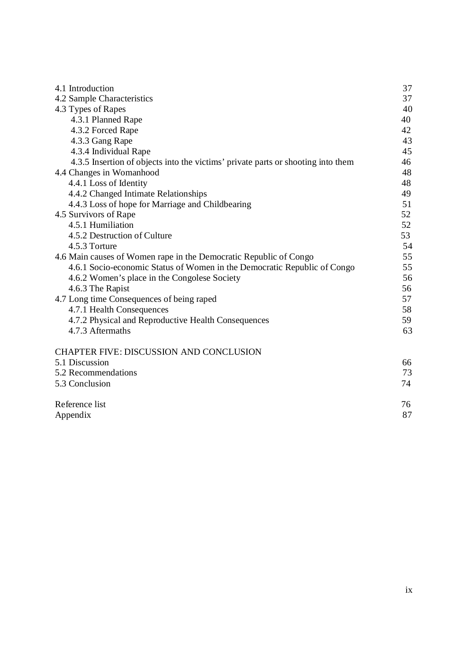| 4.1 Introduction                                                                 | 37 |
|----------------------------------------------------------------------------------|----|
| 4.2 Sample Characteristics                                                       | 37 |
| 4.3 Types of Rapes                                                               | 40 |
| 4.3.1 Planned Rape                                                               | 40 |
| 4.3.2 Forced Rape                                                                | 42 |
| 4.3.3 Gang Rape                                                                  | 43 |
| 4.3.4 Individual Rape                                                            | 45 |
| 4.3.5 Insertion of objects into the victims' private parts or shooting into them | 46 |
| 4.4 Changes in Womanhood                                                         | 48 |
| 4.4.1 Loss of Identity                                                           | 48 |
| 4.4.2 Changed Intimate Relationships                                             | 49 |
| 4.4.3 Loss of hope for Marriage and Childbearing                                 | 51 |
| 4.5 Survivors of Rape                                                            | 52 |
| 4.5.1 Humiliation                                                                | 52 |
| 4.5.2 Destruction of Culture                                                     | 53 |
| 4.5.3 Torture                                                                    | 54 |
| 4.6 Main causes of Women rape in the Democratic Republic of Congo                | 55 |
| 4.6.1 Socio-economic Status of Women in the Democratic Republic of Congo         | 55 |
| 4.6.2 Women's place in the Congolese Society                                     | 56 |
| 4.6.3 The Rapist                                                                 | 56 |
| 4.7 Long time Consequences of being raped                                        | 57 |
| 4.7.1 Health Consequences                                                        | 58 |
| 4.7.2 Physical and Reproductive Health Consequences                              | 59 |
| 4.7.3 Aftermaths                                                                 | 63 |
| <b>CHAPTER FIVE: DISCUSSION AND CONCLUSION</b>                                   |    |
| 5.1 Discussion                                                                   | 66 |
| 5.2 Recommendations                                                              | 73 |
| 5.3 Conclusion                                                                   | 74 |
| Reference list                                                                   | 76 |
| Appendix                                                                         | 87 |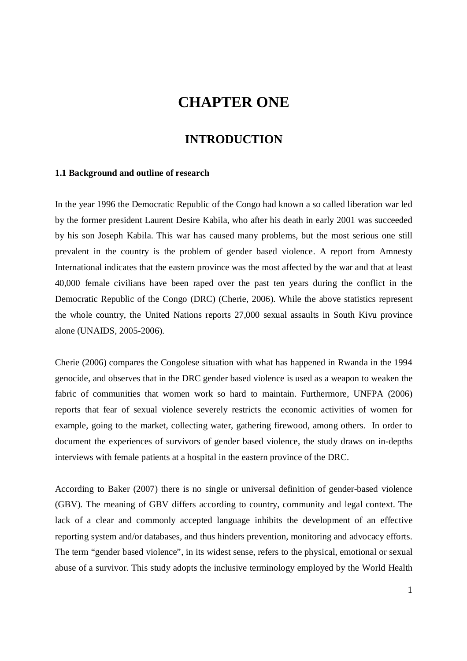# **CHAPTER ONE**

## **INTRODUCTION**

#### **1.1 Background and outline of research**

In the year 1996 the Democratic Republic of the Congo had known a so called liberation war led by the former president Laurent Desire Kabila, who after his death in early 2001 was succeeded by his son Joseph Kabila. This war has caused many problems, but the most serious one still prevalent in the country is the problem of gender based violence. A report from Amnesty International indicates that the eastern province was the most affected by the war and that at least 40,000 female civilians have been raped over the past ten years during the conflict in the Democratic Republic of the Congo (DRC) (Cherie, 2006). While the above statistics represent the whole country, the United Nations reports 27,000 sexual assaults in South Kivu province alone (UNAIDS, 2005-2006).

Cherie (2006) compares the Congolese situation with what has happened in Rwanda in the 1994 genocide, and observes that in the DRC gender based violence is used as a weapon to weaken the fabric of communities that women work so hard to maintain. Furthermore, UNFPA (2006) reports that fear of sexual violence severely restricts the economic activities of women for example, going to the market, collecting water, gathering firewood, among others. In order to document the experiences of survivors of gender based violence, the study draws on in-depths interviews with female patients at a hospital in the eastern province of the DRC.

According to Baker (2007) there is no single or universal definition of gender-based violence (GBV). The meaning of GBV differs according to country, community and legal context. The lack of a clear and commonly accepted language inhibits the development of an effective reporting system and/or databases, and thus hinders prevention, monitoring and advocacy efforts. The term "gender based violence", in its widest sense, refers to the physical, emotional or sexual abuse of a survivor. This study adopts the inclusive terminology employed by the World Health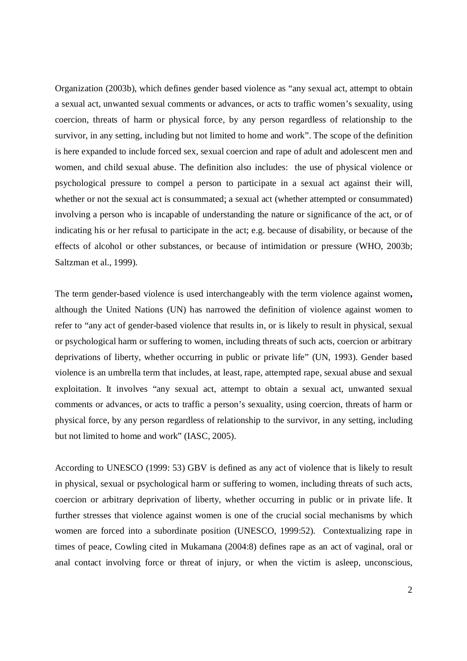Organization (2003b), which defines gender based violence as "any sexual act, attempt to obtain a sexual act, unwanted sexual comments or advances, or acts to traffic women's sexuality, using coercion, threats of harm or physical force, by any person regardless of relationship to the survivor, in any setting, including but not limited to home and work". The scope of the definition is here expanded to include forced sex, sexual coercion and rape of adult and adolescent men and women, and child sexual abuse. The definition also includes: the use of physical violence or psychological pressure to compel a person to participate in a sexual act against their will, whether or not the sexual act is consummated; a sexual act (whether attempted or consummated) involving a person who is incapable of understanding the nature or significance of the act, or of indicating his or her refusal to participate in the act; e.g. because of disability, or because of the effects of alcohol or other substances, or because of intimidation or pressure (WHO, 2003b; Saltzman et al., 1999).

The term gender-based violence is used interchangeably with the term violence against women**,**  although the United Nations (UN) has narrowed the definition of violence against women to refer to "any act of gender-based violence that results in, or is likely to result in physical, sexual or psychological harm or suffering to women, including threats of such acts, coercion or arbitrary deprivations of liberty, whether occurring in public or private life" (UN, 1993). Gender based violence is an umbrella term that includes, at least, rape, attempted rape, sexual abuse and sexual exploitation. It involves "any sexual act, attempt to obtain a sexual act, unwanted sexual comments or advances, or acts to traffic a person's sexuality, using coercion, threats of harm or physical force, by any person regardless of relationship to the survivor, in any setting, including but not limited to home and work" (IASC, 2005).

According to UNESCO (1999: 53) GBV is defined as any act of violence that is likely to result in physical, sexual or psychological harm or suffering to women, including threats of such acts, coercion or arbitrary deprivation of liberty, whether occurring in public or in private life. It further stresses that violence against women is one of the crucial social mechanisms by which women are forced into a subordinate position (UNESCO, 1999:52). Contextualizing rape in times of peace, Cowling cited in Mukamana (2004:8) defines rape as an act of vaginal, oral or anal contact involving force or threat of injury, or when the victim is asleep, unconscious,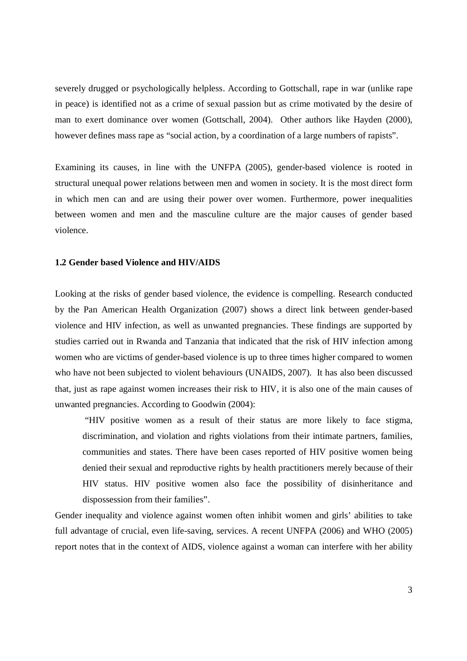severely drugged or psychologically helpless. According to Gottschall, rape in war (unlike rape in peace) is identified not as a crime of sexual passion but as crime motivated by the desire of man to exert dominance over women (Gottschall, 2004). Other authors like Hayden (2000), however defines mass rape as "social action, by a coordination of a large numbers of rapists".

Examining its causes, in line with the UNFPA (2005), gender-based violence is rooted in structural unequal power relations between men and women in society. It is the most direct form in which men can and are using their power over women. Furthermore, power inequalities between women and men and the masculine culture are the major causes of gender based violence.

#### **1.2 Gender based Violence and HIV/AIDS**

Looking at the risks of gender based violence, the evidence is compelling. Research conducted by the Pan American Health Organization (2007) shows a direct link between gender-based violence and HIV infection, as well as unwanted pregnancies. These findings are supported by studies carried out in Rwanda and Tanzania that indicated that the risk of HIV infection among women who are victims of gender-based violence is up to three times higher compared to women who have not been subjected to violent behaviours (UNAIDS, 2007). It has also been discussed that, just as rape against women increases their risk to HIV, it is also one of the main causes of unwanted pregnancies. According to Goodwin (2004):

"HIV positive women as a result of their status are more likely to face stigma, discrimination, and violation and rights violations from their intimate partners, families, communities and states. There have been cases reported of HIV positive women being denied their sexual and reproductive rights by health practitioners merely because of their HIV status. HIV positive women also face the possibility of disinheritance and dispossession from their families".

Gender inequality and violence against women often inhibit women and girls' abilities to take full advantage of crucial, even life-saving, services. A recent UNFPA (2006) and WHO (2005) report notes that in the context of AIDS, violence against a woman can interfere with her ability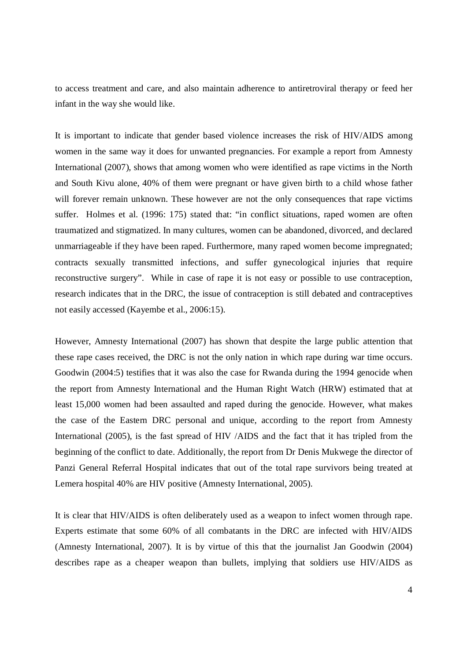to access treatment and care, and also maintain adherence to antiretroviral therapy or feed her infant in the way she would like.

It is important to indicate that gender based violence increases the risk of HIV/AIDS among women in the same way it does for unwanted pregnancies. For example a report from Amnesty International (2007), shows that among women who were identified as rape victims in the North and South Kivu alone, 40% of them were pregnant or have given birth to a child whose father will forever remain unknown. These however are not the only consequences that rape victims suffer. Holmes et al. (1996: 175) stated that: "in conflict situations, raped women are often traumatized and stigmatized. In many cultures, women can be abandoned, divorced, and declared unmarriageable if they have been raped. Furthermore, many raped women become impregnated; contracts sexually transmitted infections, and suffer gynecological injuries that require reconstructive surgery". While in case of rape it is not easy or possible to use contraception, research indicates that in the DRC, the issue of contraception is still debated and contraceptives not easily accessed (Kayembe et al., 2006:15).

However, Amnesty International (2007) has shown that despite the large public attention that these rape cases received, the DRC is not the only nation in which rape during war time occurs. Goodwin (2004:5) testifies that it was also the case for Rwanda during the 1994 genocide when the report from Amnesty International and the Human Right Watch (HRW) estimated that at least 15,000 women had been assaulted and raped during the genocide. However, what makes the case of the Eastern DRC personal and unique, according to the report from Amnesty International (2005), is the fast spread of HIV /AIDS and the fact that it has tripled from the beginning of the conflict to date. Additionally, the report from Dr Denis Mukwege the director of Panzi General Referral Hospital indicates that out of the total rape survivors being treated at Lemera hospital 40% are HIV positive (Amnesty International, 2005).

It is clear that HIV/AIDS is often deliberately used as a weapon to infect women through rape. Experts estimate that some 60% of all combatants in the DRC are infected with HIV/AIDS (Amnesty International, 2007). It is by virtue of this that the journalist Jan Goodwin (2004) describes rape as a cheaper weapon than bullets, implying that soldiers use HIV/AIDS as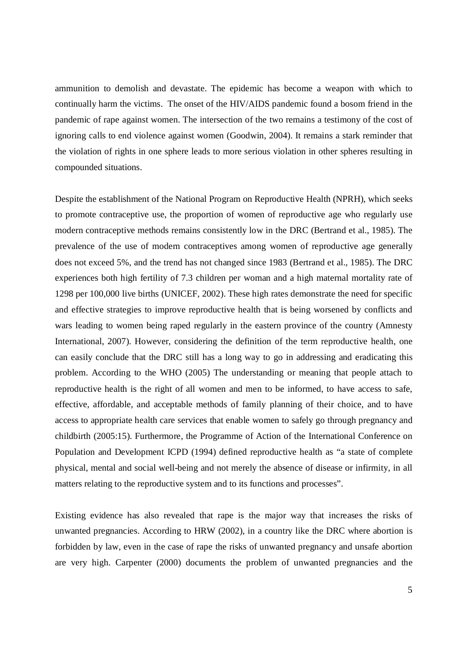ammunition to demolish and devastate. The epidemic has become a weapon with which to continually harm the victims. The onset of the HIV/AIDS pandemic found a bosom friend in the pandemic of rape against women. The intersection of the two remains a testimony of the cost of ignoring calls to end violence against women (Goodwin, 2004). It remains a stark reminder that the violation of rights in one sphere leads to more serious violation in other spheres resulting in compounded situations.

Despite the establishment of the National Program on Reproductive Health (NPRH), which seeks to promote contraceptive use, the proportion of women of reproductive age who regularly use modern contraceptive methods remains consistently low in the DRC (Bertrand et al., 1985). The prevalence of the use of modern contraceptives among women of reproductive age generally does not exceed 5%, and the trend has not changed since 1983 (Bertrand et al., 1985). The DRC experiences both high fertility of 7.3 children per woman and a high maternal mortality rate of 1298 per 100,000 live births (UNICEF, 2002). These high rates demonstrate the need for specific and effective strategies to improve reproductive health that is being worsened by conflicts and wars leading to women being raped regularly in the eastern province of the country (Amnesty International, 2007). However, considering the definition of the term reproductive health, one can easily conclude that the DRC still has a long way to go in addressing and eradicating this problem. According to the WHO (2005) The understanding or meaning that people attach to reproductive health is the right of all women and men to be informed, to have access to safe, effective, affordable, and acceptable methods of family planning of their choice, and to have access to appropriate health care services that enable women to safely go through pregnancy and childbirth (2005:15). Furthermore, the Programme of Action of the International Conference on Population and Development ICPD (1994) defined reproductive health as "a state of complete physical, mental and social well-being and not merely the absence of disease or infirmity, in all matters relating to the reproductive system and to its functions and processes".

Existing evidence has also revealed that rape is the major way that increases the risks of unwanted pregnancies. According to HRW (2002), in a country like the DRC where abortion is forbidden by law, even in the case of rape the risks of unwanted pregnancy and unsafe abortion are very high. Carpenter (2000) documents the problem of unwanted pregnancies and the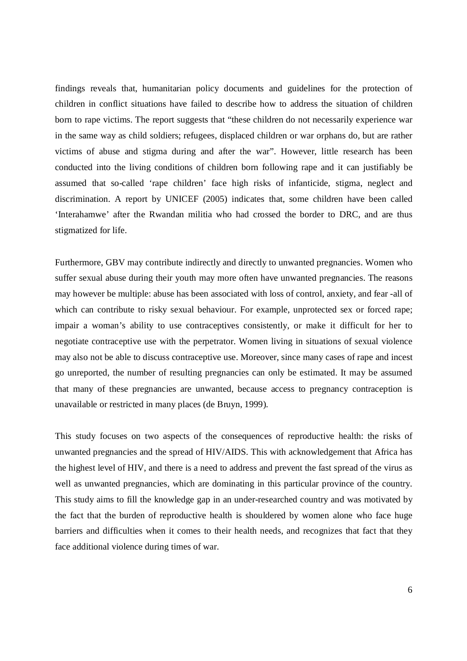findings reveals that, humanitarian policy documents and guidelines for the protection of children in conflict situations have failed to describe how to address the situation of children born to rape victims. The report suggests that "these children do not necessarily experience war in the same way as child soldiers; refugees, displaced children or war orphans do, but are rather victims of abuse and stigma during and after the war". However, little research has been conducted into the living conditions of children born following rape and it can justifiably be assumed that so-called 'rape children' face high risks of infanticide, stigma, neglect and discrimination. A report by UNICEF (2005) indicates that, some children have been called 'Interahamwe' after the Rwandan militia who had crossed the border to DRC, and are thus stigmatized for life.

Furthermore, GBV may contribute indirectly and directly to unwanted pregnancies. Women who suffer sexual abuse during their youth may more often have unwanted pregnancies. The reasons may however be multiple: abuse has been associated with loss of control, anxiety, and fear -all of which can contribute to risky sexual behaviour. For example, unprotected sex or forced rape; impair a woman's ability to use contraceptives consistently, or make it difficult for her to negotiate contraceptive use with the perpetrator. Women living in situations of sexual violence may also not be able to discuss contraceptive use. Moreover, since many cases of rape and incest go unreported, the number of resulting pregnancies can only be estimated. It may be assumed that many of these pregnancies are unwanted, because access to pregnancy contraception is unavailable or restricted in many places (de Bruyn, 1999).

This study focuses on two aspects of the consequences of reproductive health: the risks of unwanted pregnancies and the spread of HIV/AIDS. This with acknowledgement that Africa has the highest level of HIV, and there is a need to address and prevent the fast spread of the virus as well as unwanted pregnancies, which are dominating in this particular province of the country. This study aims to fill the knowledge gap in an under-researched country and was motivated by the fact that the burden of reproductive health is shouldered by women alone who face huge barriers and difficulties when it comes to their health needs, and recognizes that fact that they face additional violence during times of war.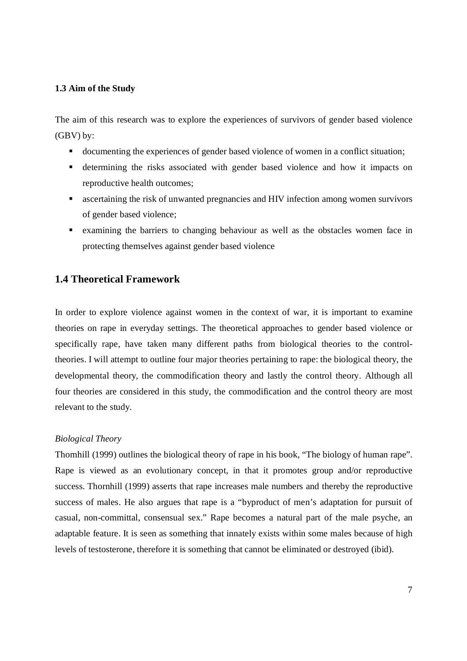#### **1.3 Aim of the Study**

The aim of this research was to explore the experiences of survivors of gender based violence (GBV) by:

- documenting the experiences of gender based violence of women in a conflict situation;
- determining the risks associated with gender based violence and how it impacts on reproductive health outcomes;
- ascertaining the risk of unwanted pregnancies and HIV infection among women survivors of gender based violence;
- examining the barriers to changing behaviour as well as the obstacles women face in protecting themselves against gender based violence

## **1.4 Theoretical Framework**

In order to explore violence against women in the context of war, it is important to examine theories on rape in everyday settings. The theoretical approaches to gender based violence or specifically rape, have taken many different paths from biological theories to the controltheories. I will attempt to outline four major theories pertaining to rape: the biological theory, the developmental theory, the commodification theory and lastly the control theory. Although all four theories are considered in this study, the commodification and the control theory are most relevant to the study.

#### *Biological Theory*

Thornhill (1999) outlines the biological theory of rape in his book, "The biology of human rape". Rape is viewed as an evolutionary concept, in that it promotes group and/or reproductive success. Thornhill (1999) asserts that rape increases male numbers and thereby the reproductive success of males. He also argues that rape is a "byproduct of men's adaptation for pursuit of casual, non-committal, consensual sex." Rape becomes a natural part of the male psyche, an adaptable feature. It is seen as something that innately exists within some males because of high levels of testosterone, therefore it is something that cannot be eliminated or destroyed (ibid).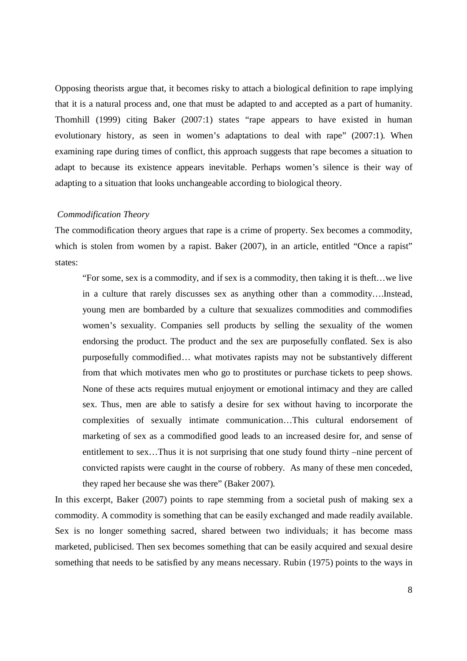Opposing theorists argue that, it becomes risky to attach a biological definition to rape implying that it is a natural process and, one that must be adapted to and accepted as a part of humanity. Thornhill (1999) citing Baker (2007:1) states "rape appears to have existed in human evolutionary history, as seen in women's adaptations to deal with rape" (2007:1). When examining rape during times of conflict, this approach suggests that rape becomes a situation to adapt to because its existence appears inevitable. Perhaps women's silence is their way of adapting to a situation that looks unchangeable according to biological theory.

#### *Commodification Theory*

The commodification theory argues that rape is a crime of property. Sex becomes a commodity, which is stolen from women by a rapist. Baker (2007), in an article, entitled "Once a rapist" states:

"For some, sex is a commodity, and if sex is a commodity, then taking it is theft…we live in a culture that rarely discusses sex as anything other than a commodity….Instead, young men are bombarded by a culture that sexualizes commodities and commodifies women's sexuality. Companies sell products by selling the sexuality of the women endorsing the product. The product and the sex are purposefully conflated. Sex is also purposefully commodified… what motivates rapists may not be substantively different from that which motivates men who go to prostitutes or purchase tickets to peep shows. None of these acts requires mutual enjoyment or emotional intimacy and they are called sex. Thus, men are able to satisfy a desire for sex without having to incorporate the complexities of sexually intimate communication…This cultural endorsement of marketing of sex as a commodified good leads to an increased desire for, and sense of entitlement to sex…Thus it is not surprising that one study found thirty –nine percent of convicted rapists were caught in the course of robbery. As many of these men conceded, they raped her because she was there" (Baker 2007).

In this excerpt, Baker (2007) points to rape stemming from a societal push of making sex a commodity. A commodity is something that can be easily exchanged and made readily available. Sex is no longer something sacred, shared between two individuals; it has become mass marketed, publicised. Then sex becomes something that can be easily acquired and sexual desire something that needs to be satisfied by any means necessary. Rubin (1975) points to the ways in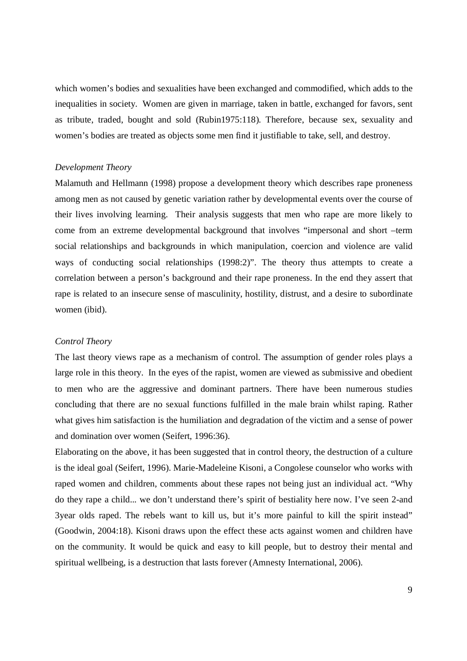which women's bodies and sexualities have been exchanged and commodified, which adds to the inequalities in society. Women are given in marriage, taken in battle, exchanged for favors, sent as tribute, traded, bought and sold (Rubin1975:118). Therefore, because sex, sexuality and women's bodies are treated as objects some men find it justifiable to take, sell, and destroy.

#### *Development Theory*

Malamuth and Hellmann (1998) propose a development theory which describes rape proneness among men as not caused by genetic variation rather by developmental events over the course of their lives involving learning. Their analysis suggests that men who rape are more likely to come from an extreme developmental background that involves "impersonal and short –term social relationships and backgrounds in which manipulation, coercion and violence are valid ways of conducting social relationships (1998:2)". The theory thus attempts to create a correlation between a person's background and their rape proneness. In the end they assert that rape is related to an insecure sense of masculinity, hostility, distrust, and a desire to subordinate women (ibid).

#### *Control Theory*

The last theory views rape as a mechanism of control. The assumption of gender roles plays a large role in this theory. In the eyes of the rapist, women are viewed as submissive and obedient to men who are the aggressive and dominant partners. There have been numerous studies concluding that there are no sexual functions fulfilled in the male brain whilst raping. Rather what gives him satisfaction is the humiliation and degradation of the victim and a sense of power and domination over women (Seifert, 1996:36).

Elaborating on the above, it has been suggested that in control theory, the destruction of a culture is the ideal goal (Seifert, 1996). Marie-Madeleine Kisoni, a Congolese counselor who works with raped women and children, comments about these rapes not being just an individual act. "Why do they rape a child... we don't understand there's spirit of bestiality here now. I've seen 2-and 3year olds raped. The rebels want to kill us, but it's more painful to kill the spirit instead" (Goodwin, 2004:18). Kisoni draws upon the effect these acts against women and children have on the community. It would be quick and easy to kill people, but to destroy their mental and spiritual wellbeing, is a destruction that lasts forever (Amnesty International, 2006).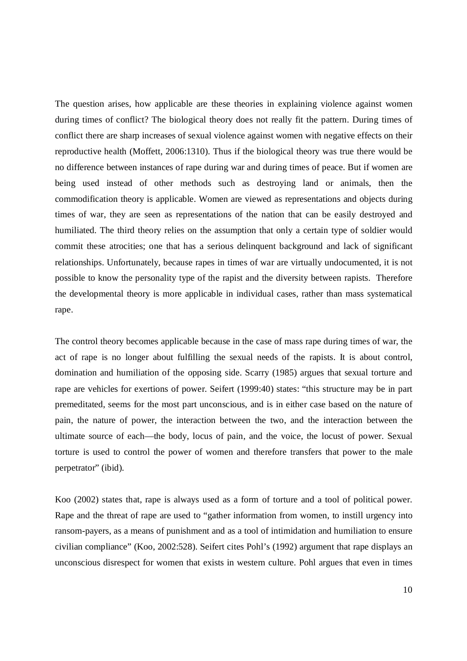The question arises, how applicable are these theories in explaining violence against women during times of conflict? The biological theory does not really fit the pattern. During times of conflict there are sharp increases of sexual violence against women with negative effects on their reproductive health (Moffett, 2006:1310). Thus if the biological theory was true there would be no difference between instances of rape during war and during times of peace. But if women are being used instead of other methods such as destroying land or animals, then the commodification theory is applicable. Women are viewed as representations and objects during times of war, they are seen as representations of the nation that can be easily destroyed and humiliated. The third theory relies on the assumption that only a certain type of soldier would commit these atrocities; one that has a serious delinquent background and lack of significant relationships. Unfortunately, because rapes in times of war are virtually undocumented, it is not possible to know the personality type of the rapist and the diversity between rapists. Therefore the developmental theory is more applicable in individual cases, rather than mass systematical rape.

The control theory becomes applicable because in the case of mass rape during times of war, the act of rape is no longer about fulfilling the sexual needs of the rapists. It is about control, domination and humiliation of the opposing side. Scarry (1985) argues that sexual torture and rape are vehicles for exertions of power. Seifert (1999:40) states: "this structure may be in part premeditated, seems for the most part unconscious, and is in either case based on the nature of pain, the nature of power, the interaction between the two, and the interaction between the ultimate source of each—the body, locus of pain, and the voice, the locust of power. Sexual torture is used to control the power of women and therefore transfers that power to the male perpetrator" (ibid).

Koo (2002) states that, rape is always used as a form of torture and a tool of political power. Rape and the threat of rape are used to "gather information from women, to instill urgency into ransom-payers, as a means of punishment and as a tool of intimidation and humiliation to ensure civilian compliance" (Koo, 2002:528). Seifert cites Pohl's (1992) argument that rape displays an unconscious disrespect for women that exists in western culture. Pohl argues that even in times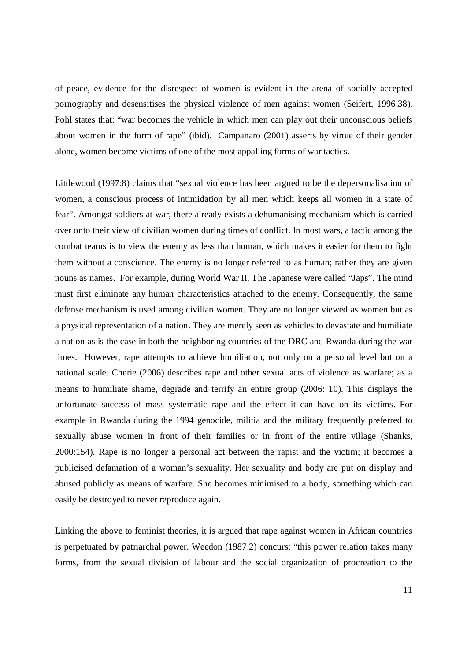of peace, evidence for the disrespect of women is evident in the arena of socially accepted pornography and desensitises the physical violence of men against women (Seifert, 1996:38). Pohl states that: "war becomes the vehicle in which men can play out their unconscious beliefs about women in the form of rape" (ibid). Campanaro (2001) asserts by virtue of their gender alone, women become victims of one of the most appalling forms of war tactics.

Littlewood (1997:8) claims that "sexual violence has been argued to be the depersonalisation of women, a conscious process of intimidation by all men which keeps all women in a state of fear". Amongst soldiers at war, there already exists a dehumanising mechanism which is carried over onto their view of civilian women during times of conflict. In most wars, a tactic among the combat teams is to view the enemy as less than human, which makes it easier for them to fight them without a conscience. The enemy is no longer referred to as human; rather they are given nouns as names. For example, during World War II, The Japanese were called "Japs". The mind must first eliminate any human characteristics attached to the enemy. Consequently, the same defense mechanism is used among civilian women. They are no longer viewed as women but as a physical representation of a nation. They are merely seen as vehicles to devastate and humiliate a nation as is the case in both the neighboring countries of the DRC and Rwanda during the war times. However, rape attempts to achieve humiliation, not only on a personal level but on a national scale. Cherie (2006) describes rape and other sexual acts of violence as warfare; as a means to humiliate shame, degrade and terrify an entire group (2006: 10). This displays the unfortunate success of mass systematic rape and the effect it can have on its victims. For example in Rwanda during the 1994 genocide, militia and the military frequently preferred to sexually abuse women in front of their families or in front of the entire village (Shanks, 2000:154). Rape is no longer a personal act between the rapist and the victim; it becomes a publicised defamation of a woman's sexuality. Her sexuality and body are put on display and abused publicly as means of warfare. She becomes minimised to a body, something which can easily be destroyed to never reproduce again.

Linking the above to feminist theories, it is argued that rape against women in African countries is perpetuated by patriarchal power. Weedon (1987:2) concurs: "this power relation takes many forms, from the sexual division of labour and the social organization of procreation to the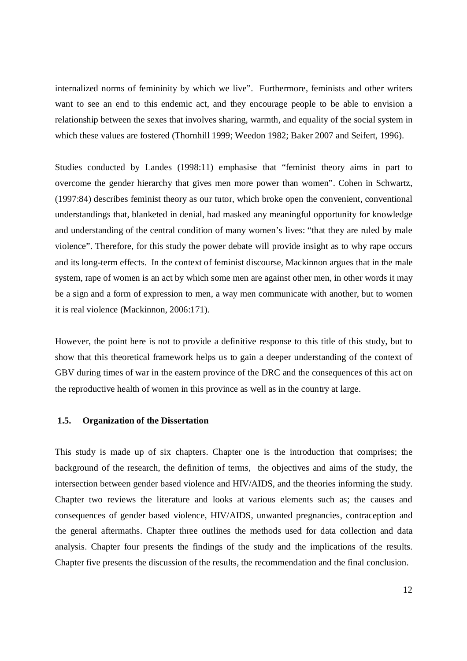internalized norms of femininity by which we live". Furthermore, feminists and other writers want to see an end to this endemic act, and they encourage people to be able to envision a relationship between the sexes that involves sharing, warmth, and equality of the social system in which these values are fostered (Thornhill 1999; Weedon 1982; Baker 2007 and Seifert, 1996).

Studies conducted by Landes (1998:11) emphasise that "feminist theory aims in part to overcome the gender hierarchy that gives men more power than women". Cohen in Schwartz, (1997:84) describes feminist theory as our tutor, which broke open the convenient, conventional understandings that, blanketed in denial, had masked any meaningful opportunity for knowledge and understanding of the central condition of many women's lives: "that they are ruled by male violence". Therefore, for this study the power debate will provide insight as to why rape occurs and its long-term effects. In the context of feminist discourse, Mackinnon argues that in the male system, rape of women is an act by which some men are against other men, in other words it may be a sign and a form of expression to men, a way men communicate with another, but to women it is real violence (Mackinnon, 2006:171).

However, the point here is not to provide a definitive response to this title of this study, but to show that this theoretical framework helps us to gain a deeper understanding of the context of GBV during times of war in the eastern province of the DRC and the consequences of this act on the reproductive health of women in this province as well as in the country at large.

#### **1.5. Organization of the Dissertation**

This study is made up of six chapters. Chapter one is the introduction that comprises; the background of the research, the definition of terms, the objectives and aims of the study, the intersection between gender based violence and HIV/AIDS, and the theories informing the study. Chapter two reviews the literature and looks at various elements such as; the causes and consequences of gender based violence, HIV/AIDS, unwanted pregnancies, contraception and the general aftermaths. Chapter three outlines the methods used for data collection and data analysis. Chapter four presents the findings of the study and the implications of the results. Chapter five presents the discussion of the results, the recommendation and the final conclusion.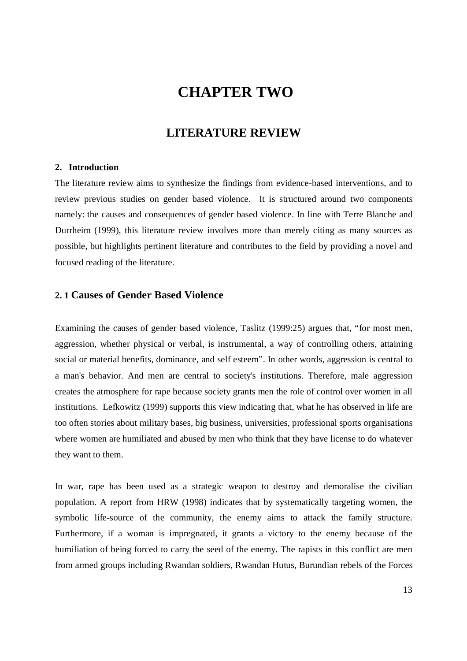# **CHAPTER TWO**

# **LITERATURE REVIEW**

#### **2. Introduction**

The literature review aims to synthesize the findings from evidence-based interventions, and to review previous studies on gender based violence. It is structured around two components namely: the causes and consequences of gender based violence. In line with Terre Blanche and Durrheim (1999), this literature review involves more than merely citing as many sources as possible, but highlights pertinent literature and contributes to the field by providing a novel and focused reading of the literature.

## **2. 1 Causes of Gender Based Violence**

Examining the causes of gender based violence, Taslitz (1999:25) argues that, "for most men, aggression, whether physical or verbal, is instrumental, a way of controlling others, attaining social or material benefits, dominance, and self esteem". In other words, aggression is central to a man's behavior. And men are central to society's institutions. Therefore, male aggression creates the atmosphere for rape because society grants men the role of control over women in all institutions. Lefkowitz (1999) supports this view indicating that, what he has observed in life are too often stories about military bases, big business, universities, professional sports organisations where women are humiliated and abused by men who think that they have license to do whatever they want to them.

In war, rape has been used as a strategic weapon to destroy and demoralise the civilian population. A report from HRW (1998) indicates that by systematically targeting women, the symbolic life-source of the community, the enemy aims to attack the family structure. Furthermore, if a woman is impregnated, it grants a victory to the enemy because of the humiliation of being forced to carry the seed of the enemy. The rapists in this conflict are men from armed groups including Rwandan soldiers, Rwandan Hutus, Burundian rebels of the Forces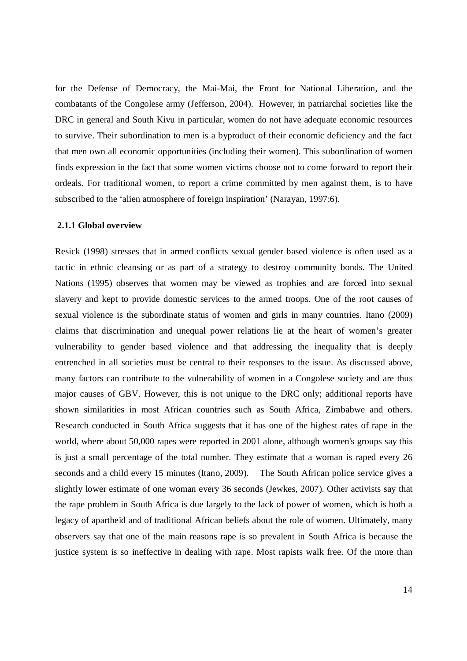for the Defense of Democracy, the Mai-Mai, the Front for National Liberation, and the combatants of the Congolese army (Jefferson, 2004). However, in patriarchal societies like the DRC in general and South Kivu in particular, women do not have adequate economic resources to survive. Their subordination to men is a byproduct of their economic deficiency and the fact that men own all economic opportunities (including their women). This subordination of women finds expression in the fact that some women victims choose not to come forward to report their ordeals. For traditional women, to report a crime committed by men against them, is to have subscribed to the 'alien atmosphere of foreign inspiration' (Narayan, 1997:6).

#### **2.1.1 Global overview**

Resick (1998) stresses that in armed conflicts sexual gender based violence is often used as a tactic in ethnic cleansing or as part of a strategy to destroy community bonds. The United Nations (1995) observes that women may be viewed as trophies and are forced into sexual slavery and kept to provide domestic services to the armed troops. One of the root causes of sexual violence is the subordinate status of women and girls in many countries. Itano (2009) claims that discrimination and unequal power relations lie at the heart of women's greater vulnerability to gender based violence and that addressing the inequality that is deeply entrenched in all societies must be central to their responses to the issue. As discussed above, many factors can contribute to the vulnerability of women in a Congolese society and are thus major causes of GBV. However, this is not unique to the DRC only; additional reports have shown similarities in most African countries such as South Africa, Zimbabwe and others. Research conducted in South Africa suggests that it has one of the highest rates of rape in the world, where about 50,000 rapes were reported in 2001 alone, although women's groups say this is just a small percentage of the total number. They estimate that a woman is raped every 26 seconds and a child every 15 minutes (Itano, 2009). The South African police service gives a slightly lower estimate of one woman every 36 seconds (Jewkes, 2007). Other activists say that the rape problem in South Africa is due largely to the lack of power of women, which is both a legacy of apartheid and of traditional African beliefs about the role of women. Ultimately, many observers say that one of the main reasons rape is so prevalent in South Africa is because the justice system is so ineffective in dealing with rape. Most rapists walk free. Of the more than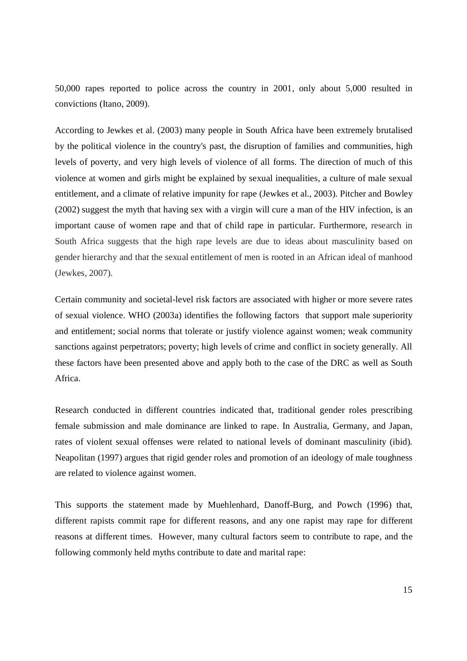50,000 rapes reported to police across the country in 2001, only about 5,000 resulted in convictions (Itano, 2009).

According to Jewkes et al. (2003) many people in South Africa have been extremely brutalised by the political violence in the country's past, the disruption of families and communities, high levels of poverty, and very high levels of violence of all forms. The direction of much of this violence at women and girls might be explained by sexual inequalities, a culture of male sexual entitlement, and a climate of relative impunity for rape (Jewkes et al., 2003). Pitcher and Bowley (2002) suggest the myth that having sex with a virgin will cure a man of the HIV infection, is an important cause of women rape and that of child rape in particular. Furthermore, research in South Africa suggests that the high rape levels are due to ideas about masculinity based on gender hierarchy and that the sexual entitlement of men is rooted in an African ideal of manhood (Jewkes, 2007).

Certain community and societal-level risk factors are associated with higher or more severe rates of sexual violence. WHO (2003a) identifies the following factors that support male superiority and entitlement; social norms that tolerate or justify violence against women; weak community sanctions against perpetrators; poverty; high levels of crime and conflict in society generally. All these factors have been presented above and apply both to the case of the DRC as well as South Africa.

Research conducted in different countries indicated that, traditional gender roles prescribing female submission and male dominance are linked to rape. In Australia, Germany, and Japan, rates of violent sexual offenses were related to national levels of dominant masculinity (ibid). Neapolitan (1997) argues that rigid gender roles and promotion of an ideology of male toughness are related to violence against women.

This supports the statement made by Muehlenhard, Danoff-Burg, and Powch (1996) that, different rapists commit rape for different reasons, and any one rapist may rape for different reasons at different times. However, many cultural factors seem to contribute to rape, and the following commonly held myths contribute to date and marital rape: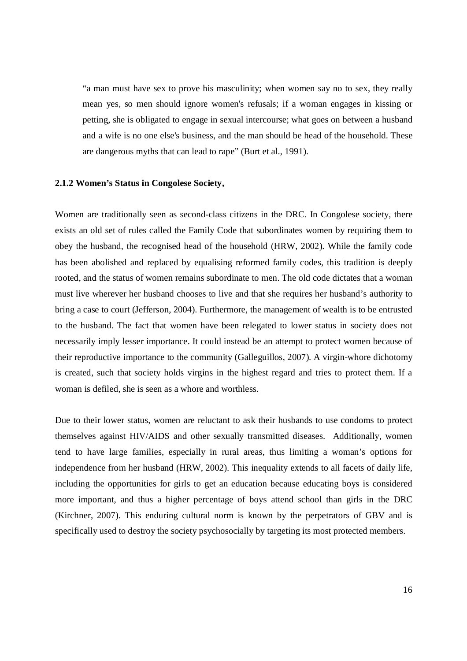"a man must have sex to prove his masculinity; when women say no to sex, they really mean yes, so men should ignore women's refusals; if a woman engages in kissing or petting, she is obligated to engage in sexual intercourse; what goes on between a husband and a wife is no one else's business, and the man should be head of the household. These are dangerous myths that can lead to rape" (Burt et al., 1991).

#### **2.1.2 Women's Status in Congolese Society,**

Women are traditionally seen as second-class citizens in the DRC. In Congolese society, there exists an old set of rules called the Family Code that subordinates women by requiring them to obey the husband, the recognised head of the household (HRW, 2002). While the family code has been abolished and replaced by equalising reformed family codes, this tradition is deeply rooted, and the status of women remains subordinate to men. The old code dictates that a woman must live wherever her husband chooses to live and that she requires her husband's authority to bring a case to court (Jefferson, 2004). Furthermore, the management of wealth is to be entrusted to the husband. The fact that women have been relegated to lower status in society does not necessarily imply lesser importance. It could instead be an attempt to protect women because of their reproductive importance to the community (Galleguillos, 2007). A virgin-whore dichotomy is created, such that society holds virgins in the highest regard and tries to protect them. If a woman is defiled, she is seen as a whore and worthless.

Due to their lower status, women are reluctant to ask their husbands to use condoms to protect themselves against HIV/AIDS and other sexually transmitted diseases. Additionally, women tend to have large families, especially in rural areas, thus limiting a woman's options for independence from her husband (HRW, 2002). This inequality extends to all facets of daily life, including the opportunities for girls to get an education because educating boys is considered more important, and thus a higher percentage of boys attend school than girls in the DRC (Kirchner, 2007). This enduring cultural norm is known by the perpetrators of GBV and is specifically used to destroy the society psychosocially by targeting its most protected members.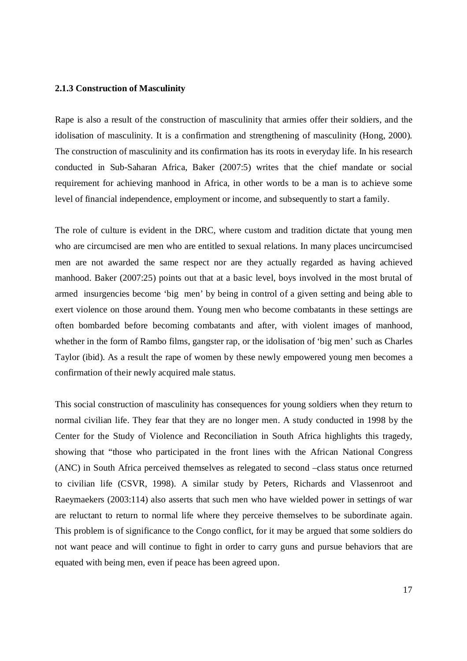#### **2.1.3 Construction of Masculinity**

Rape is also a result of the construction of masculinity that armies offer their soldiers, and the idolisation of masculinity. It is a confirmation and strengthening of masculinity (Hong, 2000). The construction of masculinity and its confirmation has its roots in everyday life. In his research conducted in Sub-Saharan Africa, Baker (2007:5) writes that the chief mandate or social requirement for achieving manhood in Africa, in other words to be a man is to achieve some level of financial independence, employment or income, and subsequently to start a family.

The role of culture is evident in the DRC, where custom and tradition dictate that young men who are circumcised are men who are entitled to sexual relations. In many places uncircumcised men are not awarded the same respect nor are they actually regarded as having achieved manhood. Baker (2007:25) points out that at a basic level, boys involved in the most brutal of armed insurgencies become 'big men' by being in control of a given setting and being able to exert violence on those around them. Young men who become combatants in these settings are often bombarded before becoming combatants and after, with violent images of manhood, whether in the form of Rambo films, gangster rap, or the idolisation of 'big men' such as Charles Taylor (ibid). As a result the rape of women by these newly empowered young men becomes a confirmation of their newly acquired male status.

This social construction of masculinity has consequences for young soldiers when they return to normal civilian life. They fear that they are no longer men. A study conducted in 1998 by the Center for the Study of Violence and Reconciliation in South Africa highlights this tragedy, showing that "those who participated in the front lines with the African National Congress (ANC) in South Africa perceived themselves as relegated to second –class status once returned to civilian life (CSVR, 1998). A similar study by Peters, Richards and Vlassenroot and Raeymaekers (2003:114) also asserts that such men who have wielded power in settings of war are reluctant to return to normal life where they perceive themselves to be subordinate again. This problem is of significance to the Congo conflict, for it may be argued that some soldiers do not want peace and will continue to fight in order to carry guns and pursue behaviors that are equated with being men, even if peace has been agreed upon.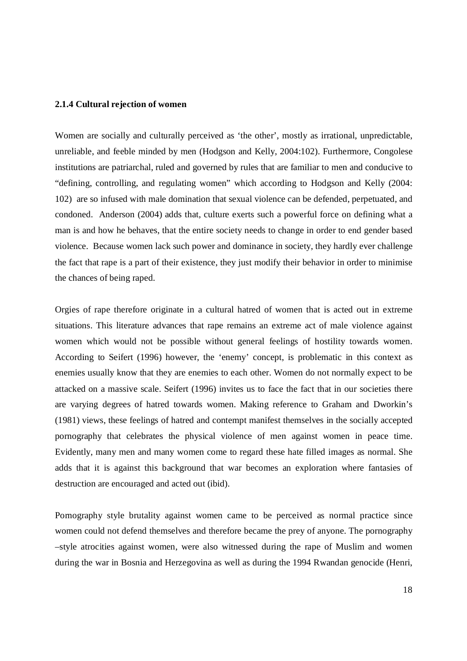#### **2.1.4 Cultural rejection of women**

Women are socially and culturally perceived as 'the other', mostly as irrational, unpredictable, unreliable, and feeble minded by men (Hodgson and Kelly, 2004:102). Furthermore, Congolese institutions are patriarchal, ruled and governed by rules that are familiar to men and conducive to "defining, controlling, and regulating women" which according to Hodgson and Kelly (2004: 102) are so infused with male domination that sexual violence can be defended, perpetuated, and condoned. Anderson (2004) adds that, culture exerts such a powerful force on defining what a man is and how he behaves, that the entire society needs to change in order to end gender based violence. Because women lack such power and dominance in society, they hardly ever challenge the fact that rape is a part of their existence, they just modify their behavior in order to minimise the chances of being raped.

Orgies of rape therefore originate in a cultural hatred of women that is acted out in extreme situations. This literature advances that rape remains an extreme act of male violence against women which would not be possible without general feelings of hostility towards women. According to Seifert (1996) however, the 'enemy' concept, is problematic in this context as enemies usually know that they are enemies to each other. Women do not normally expect to be attacked on a massive scale. Seifert (1996) invites us to face the fact that in our societies there are varying degrees of hatred towards women. Making reference to Graham and Dworkin's (1981) views, these feelings of hatred and contempt manifest themselves in the socially accepted pornography that celebrates the physical violence of men against women in peace time. Evidently, many men and many women come to regard these hate filled images as normal. She adds that it is against this background that war becomes an exploration where fantasies of destruction are encouraged and acted out (ibid).

Pornography style brutality against women came to be perceived as normal practice since women could not defend themselves and therefore became the prey of anyone. The pornography –style atrocities against women, were also witnessed during the rape of Muslim and women during the war in Bosnia and Herzegovina as well as during the 1994 Rwandan genocide (Henri,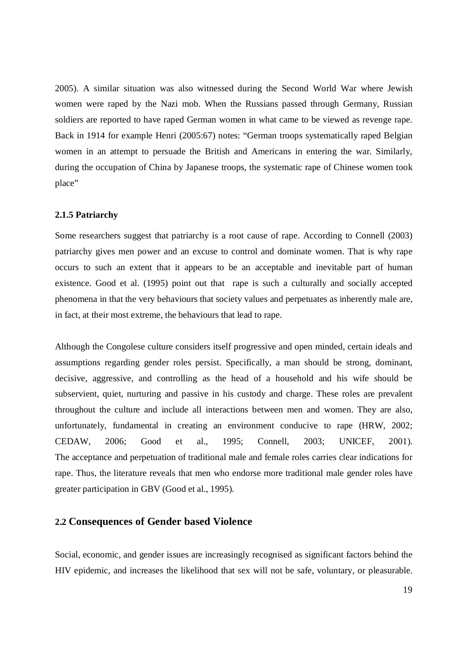2005). A similar situation was also witnessed during the Second World War where Jewish women were raped by the Nazi mob. When the Russians passed through Germany, Russian soldiers are reported to have raped German women in what came to be viewed as revenge rape. Back in 1914 for example Henri (2005:67) notes: "German troops systematically raped Belgian women in an attempt to persuade the British and Americans in entering the war. Similarly, during the occupation of China by Japanese troops, the systematic rape of Chinese women took place"

#### **2.1.5 Patriarchy**

Some researchers suggest that patriarchy is a root cause of rape. According to Connell (2003) patriarchy gives men power and an excuse to control and dominate women. That is why rape occurs to such an extent that it appears to be an acceptable and inevitable part of human existence. Good et al. (1995) point out that rape is such a culturally and socially accepted phenomena in that the very behaviours that society values and perpetuates as inherently male are, in fact, at their most extreme, the behaviours that lead to rape.

Although the Congolese culture considers itself progressive and open minded, certain ideals and assumptions regarding gender roles persist. Specifically, a man should be strong, dominant, decisive, aggressive, and controlling as the head of a household and his wife should be subservient, quiet, nurturing and passive in his custody and charge. These roles are prevalent throughout the culture and include all interactions between men and women. They are also, unfortunately, fundamental in creating an environment conducive to rape (HRW, 2002; CEDAW, 2006; Good et al., 1995; Connell, 2003; UNICEF, 2001). The acceptance and perpetuation of traditional male and female roles carries clear indications for rape. Thus, the literature reveals that men who endorse more traditional male gender roles have greater participation in GBV (Good et al., 1995).

### **2.2 Consequences of Gender based Violence**

Social, economic, and gender issues are increasingly recognised as significant factors behind the HIV epidemic, and increases the likelihood that sex will not be safe, voluntary, or pleasurable.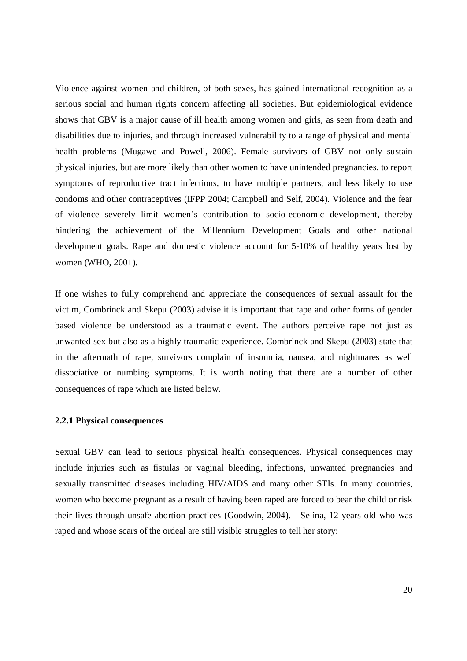Violence against women and children, of both sexes, has gained international recognition as a serious social and human rights concern affecting all societies. But epidemiological evidence shows that GBV is a major cause of ill health among women and girls, as seen from death and disabilities due to injuries, and through increased vulnerability to a range of physical and mental health problems (Mugawe and Powell, 2006). Female survivors of GBV not only sustain physical injuries, but are more likely than other women to have unintended pregnancies, to report symptoms of reproductive tract infections, to have multiple partners, and less likely to use condoms and other contraceptives (IFPP 2004; Campbell and Self, 2004). Violence and the fear of violence severely limit women's contribution to socio-economic development, thereby hindering the achievement of the Millennium Development Goals and other national development goals. Rape and domestic violence account for 5-10% of healthy years lost by women (WHO, 2001).

If one wishes to fully comprehend and appreciate the consequences of sexual assault for the victim, Combrinck and Skepu (2003) advise it is important that rape and other forms of gender based violence be understood as a traumatic event. The authors perceive rape not just as unwanted sex but also as a highly traumatic experience. Combrinck and Skepu (2003) state that in the aftermath of rape, survivors complain of insomnia, nausea, and nightmares as well dissociative or numbing symptoms. It is worth noting that there are a number of other consequences of rape which are listed below.

#### **2.2.1 Physical consequences**

Sexual GBV can lead to serious physical health consequences. Physical consequences may include injuries such as fistulas or vaginal bleeding, infections, unwanted pregnancies and sexually transmitted diseases including HIV/AIDS and many other STIs. In many countries, women who become pregnant as a result of having been raped are forced to bear the child or risk their lives through unsafe abortion-practices (Goodwin, 2004). Selina, 12 years old who was raped and whose scars of the ordeal are still visible struggles to tell her story: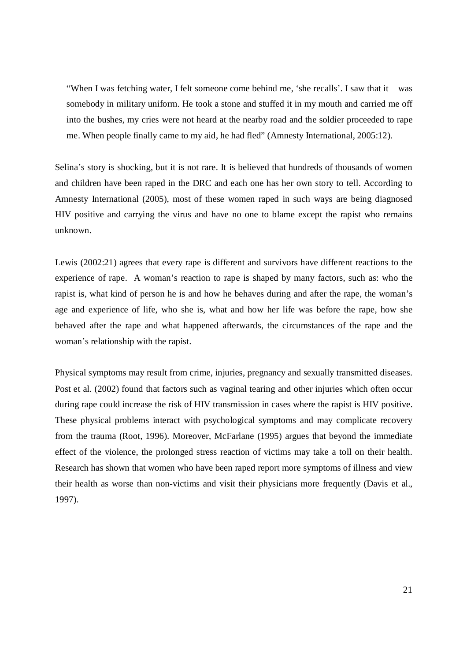"When I was fetching water, I felt someone come behind me, 'she recalls'. I saw that it was somebody in military uniform. He took a stone and stuffed it in my mouth and carried me off into the bushes, my cries were not heard at the nearby road and the soldier proceeded to rape me. When people finally came to my aid, he had fled" (Amnesty International, 2005:12).

Selina's story is shocking, but it is not rare. It is believed that hundreds of thousands of women and children have been raped in the DRC and each one has her own story to tell. According to Amnesty International (2005), most of these women raped in such ways are being diagnosed HIV positive and carrying the virus and have no one to blame except the rapist who remains unknown.

Lewis (2002:21) agrees that every rape is different and survivors have different reactions to the experience of rape. A woman's reaction to rape is shaped by many factors, such as: who the rapist is, what kind of person he is and how he behaves during and after the rape, the woman's age and experience of life, who she is, what and how her life was before the rape, how she behaved after the rape and what happened afterwards, the circumstances of the rape and the woman's relationship with the rapist.

Physical symptoms may result from crime, injuries, pregnancy and sexually transmitted diseases. Post et al. (2002) found that factors such as vaginal tearing and other injuries which often occur during rape could increase the risk of HIV transmission in cases where the rapist is HIV positive. These physical problems interact with psychological symptoms and may complicate recovery from the trauma (Root, 1996). Moreover, McFarlane (1995) argues that beyond the immediate effect of the violence, the prolonged stress reaction of victims may take a toll on their health. Research has shown that women who have been raped report more symptoms of illness and view their health as worse than non-victims and visit their physicians more frequently (Davis et al., 1997).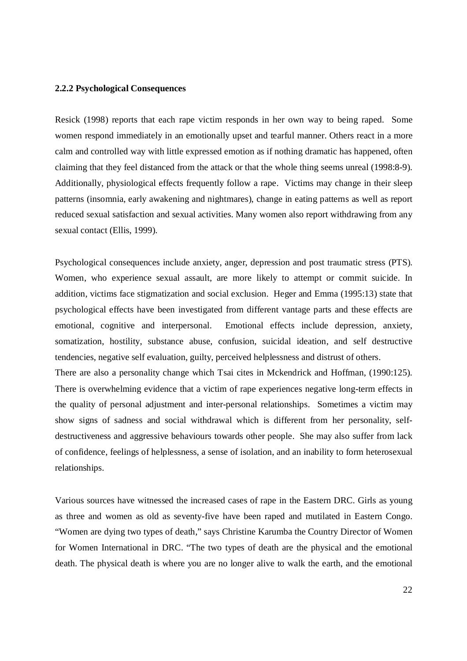#### **2.2.2 Psychological Consequences**

Resick (1998) reports that each rape victim responds in her own way to being raped. Some women respond immediately in an emotionally upset and tearful manner. Others react in a more calm and controlled way with little expressed emotion as if nothing dramatic has happened, often claiming that they feel distanced from the attack or that the whole thing seems unreal (1998:8-9). Additionally, physiological effects frequently follow a rape. Victims may change in their sleep patterns (insomnia, early awakening and nightmares), change in eating patterns as well as report reduced sexual satisfaction and sexual activities. Many women also report withdrawing from any sexual contact (Ellis, 1999).

Psychological consequences include anxiety, anger, depression and post traumatic stress (PTS). Women, who experience sexual assault, are more likely to attempt or commit suicide. In addition, victims face stigmatization and social exclusion. Heger and Emma (1995:13) state that psychological effects have been investigated from different vantage parts and these effects are emotional, cognitive and interpersonal. Emotional effects include depression, anxiety, somatization, hostility, substance abuse, confusion, suicidal ideation, and self destructive tendencies, negative self evaluation, guilty, perceived helplessness and distrust of others. There are also a personality change which Tsai cites in Mckendrick and Hoffman, (1990:125). There is overwhelming evidence that a victim of rape experiences negative long-term effects in the quality of personal adjustment and inter-personal relationships. Sometimes a victim may show signs of sadness and social withdrawal which is different from her personality, selfdestructiveness and aggressive behaviours towards other people. She may also suffer from lack

of confidence, feelings of helplessness, a sense of isolation, and an inability to form heterosexual relationships.

Various sources have witnessed the increased cases of rape in the Eastern DRC. Girls as young as three and women as old as seventy-five have been raped and mutilated in Eastern Congo. "Women are dying two types of death," says Christine Karumba the Country Director of Women for Women International in DRC. "The two types of death are the physical and the emotional death. The physical death is where you are no longer alive to walk the earth, and the emotional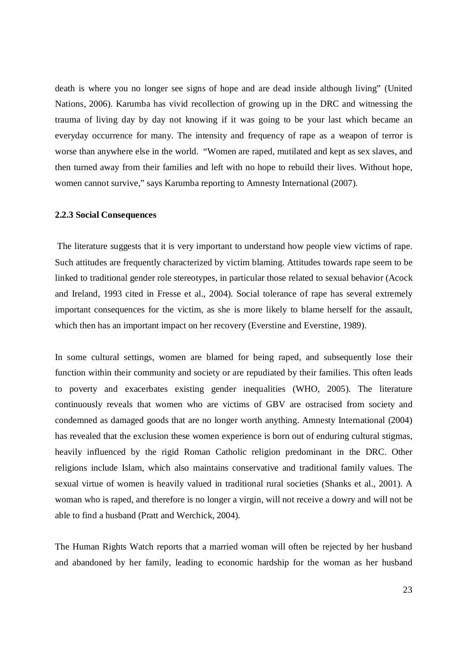death is where you no longer see signs of hope and are dead inside although living" (United Nations, 2006). Karumba has vivid recollection of growing up in the DRC and witnessing the trauma of living day by day not knowing if it was going to be your last which became an everyday occurrence for many. The intensity and frequency of rape as a weapon of terror is worse than anywhere else in the world. "Women are raped, mutilated and kept as sex slaves, and then turned away from their families and left with no hope to rebuild their lives. Without hope, women cannot survive," says Karumba reporting to Amnesty International (2007).

#### **2.2.3 Social Consequences**

 The literature suggests that it is very important to understand how people view victims of rape. Such attitudes are frequently characterized by victim blaming. Attitudes towards rape seem to be linked to traditional gender role stereotypes, in particular those related to sexual behavior (Acock and Ireland, 1993 cited in Fresse et al., 2004). Social tolerance of rape has several extremely important consequences for the victim, as she is more likely to blame herself for the assault, which then has an important impact on her recovery (Everstine and Everstine, 1989).

In some cultural settings, women are blamed for being raped, and subsequently lose their function within their community and society or are repudiated by their families. This often leads to poverty and exacerbates existing gender inequalities (WHO, 2005). The literature continuously reveals that women who are victims of GBV are ostracised from society and condemned as damaged goods that are no longer worth anything. Amnesty International (2004) has revealed that the exclusion these women experience is born out of enduring cultural stigmas, heavily influenced by the rigid Roman Catholic religion predominant in the DRC. Other religions include Islam, which also maintains conservative and traditional family values. The sexual virtue of women is heavily valued in traditional rural societies (Shanks et al., 2001). A woman who is raped, and therefore is no longer a virgin, will not receive a dowry and will not be able to find a husband (Pratt and Werchick, 2004).

The Human Rights Watch reports that a married woman will often be rejected by her husband and abandoned by her family, leading to economic hardship for the woman as her husband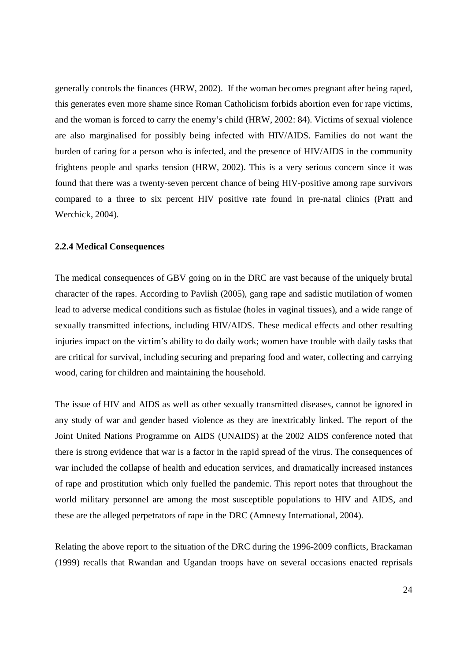generally controls the finances (HRW, 2002). If the woman becomes pregnant after being raped, this generates even more shame since Roman Catholicism forbids abortion even for rape victims, and the woman is forced to carry the enemy's child (HRW, 2002: 84). Victims of sexual violence are also marginalised for possibly being infected with HIV/AIDS. Families do not want the burden of caring for a person who is infected, and the presence of HIV/AIDS in the community frightens people and sparks tension (HRW, 2002). This is a very serious concern since it was found that there was a twenty-seven percent chance of being HIV-positive among rape survivors compared to a three to six percent HIV positive rate found in pre-natal clinics (Pratt and Werchick, 2004).

#### **2.2.4 Medical Consequences**

The medical consequences of GBV going on in the DRC are vast because of the uniquely brutal character of the rapes. According to Pavlish (2005), gang rape and sadistic mutilation of women lead to adverse medical conditions such as fistulae (holes in vaginal tissues), and a wide range of sexually transmitted infections, including HIV/AIDS. These medical effects and other resulting injuries impact on the victim's ability to do daily work; women have trouble with daily tasks that are critical for survival, including securing and preparing food and water, collecting and carrying wood, caring for children and maintaining the household.

The issue of HIV and AIDS as well as other sexually transmitted diseases, cannot be ignored in any study of war and gender based violence as they are inextricably linked. The report of the Joint United Nations Programme on AIDS (UNAIDS) at the 2002 AIDS conference noted that there is strong evidence that war is a factor in the rapid spread of the virus. The consequences of war included the collapse of health and education services, and dramatically increased instances of rape and prostitution which only fuelled the pandemic. This report notes that throughout the world military personnel are among the most susceptible populations to HIV and AIDS, and these are the alleged perpetrators of rape in the DRC (Amnesty International, 2004).

Relating the above report to the situation of the DRC during the 1996-2009 conflicts, Brackaman (1999) recalls that Rwandan and Ugandan troops have on several occasions enacted reprisals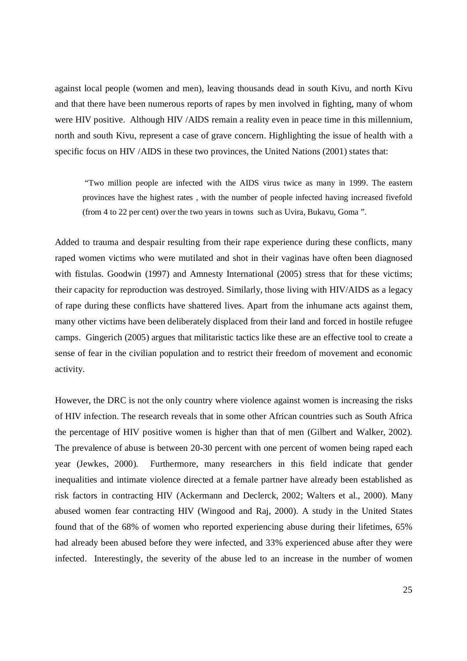against local people (women and men), leaving thousands dead in south Kivu, and north Kivu and that there have been numerous reports of rapes by men involved in fighting, many of whom were HIV positive. Although HIV /AIDS remain a reality even in peace time in this millennium, north and south Kivu, represent a case of grave concern. Highlighting the issue of health with a specific focus on HIV /AIDS in these two provinces, the United Nations (2001) states that:

"Two million people are infected with the AIDS virus twice as many in 1999. The eastern provinces have the highest rates , with the number of people infected having increased fivefold (from 4 to 22 per cent) over the two years in towns such as Uvira, Bukavu, Goma ".

Added to trauma and despair resulting from their rape experience during these conflicts, many raped women victims who were mutilated and shot in their vaginas have often been diagnosed with fistulas. Goodwin (1997) and Amnesty International (2005) stress that for these victims; their capacity for reproduction was destroyed. Similarly, those living with HIV/AIDS as a legacy of rape during these conflicts have shattered lives. Apart from the inhumane acts against them, many other victims have been deliberately displaced from their land and forced in hostile refugee camps. Gingerich (2005) argues that militaristic tactics like these are an effective tool to create a sense of fear in the civilian population and to restrict their freedom of movement and economic activity.

However, the DRC is not the only country where violence against women is increasing the risks of HIV infection. The research reveals that in some other African countries such as South Africa the percentage of HIV positive women is higher than that of men (Gilbert and Walker, 2002). The prevalence of abuse is between 20-30 percent with one percent of women being raped each year (Jewkes, 2000). Furthermore, many researchers in this field indicate that gender inequalities and intimate violence directed at a female partner have already been established as risk factors in contracting HIV (Ackermann and Declerck, 2002; Walters et al., 2000). Many abused women fear contracting HIV (Wingood and Raj, 2000). A study in the United States found that of the 68% of women who reported experiencing abuse during their lifetimes, 65% had already been abused before they were infected, and 33% experienced abuse after they were infected. Interestingly, the severity of the abuse led to an increase in the number of women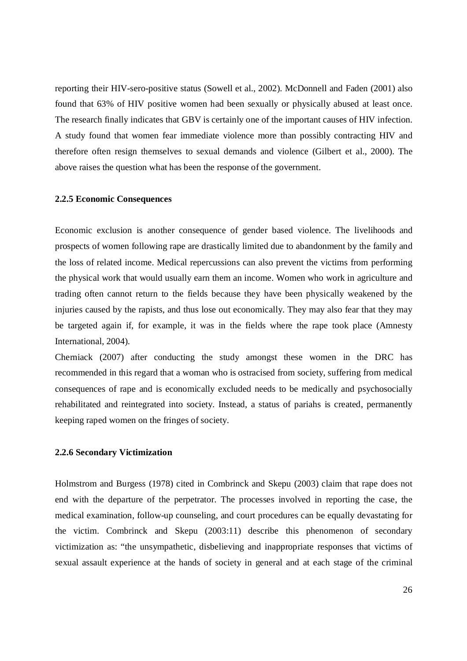reporting their HIV-sero-positive status (Sowell et al., 2002). McDonnell and Faden (2001) also found that 63% of HIV positive women had been sexually or physically abused at least once. The research finally indicates that GBV is certainly one of the important causes of HIV infection. A study found that women fear immediate violence more than possibly contracting HIV and therefore often resign themselves to sexual demands and violence (Gilbert et al., 2000). The above raises the question what has been the response of the government.

#### **2.2.5 Economic Consequences**

Economic exclusion is another consequence of gender based violence. The livelihoods and prospects of women following rape are drastically limited due to abandonment by the family and the loss of related income. Medical repercussions can also prevent the victims from performing the physical work that would usually earn them an income. Women who work in agriculture and trading often cannot return to the fields because they have been physically weakened by the injuries caused by the rapists, and thus lose out economically. They may also fear that they may be targeted again if, for example, it was in the fields where the rape took place (Amnesty International, 2004).

Cherniack (2007) after conducting the study amongst these women in the DRC has recommended in this regard that a woman who is ostracised from society, suffering from medical consequences of rape and is economically excluded needs to be medically and psychosocially rehabilitated and reintegrated into society. Instead, a status of pariahs is created, permanently keeping raped women on the fringes of society.

#### **2.2.6 Secondary Victimization**

Holmstrom and Burgess (1978) cited in Combrinck and Skepu (2003) claim that rape does not end with the departure of the perpetrator. The processes involved in reporting the case, the medical examination, follow-up counseling, and court procedures can be equally devastating for the victim. Combrinck and Skepu (2003:11) describe this phenomenon of secondary victimization as: "the unsympathetic, disbelieving and inappropriate responses that victims of sexual assault experience at the hands of society in general and at each stage of the criminal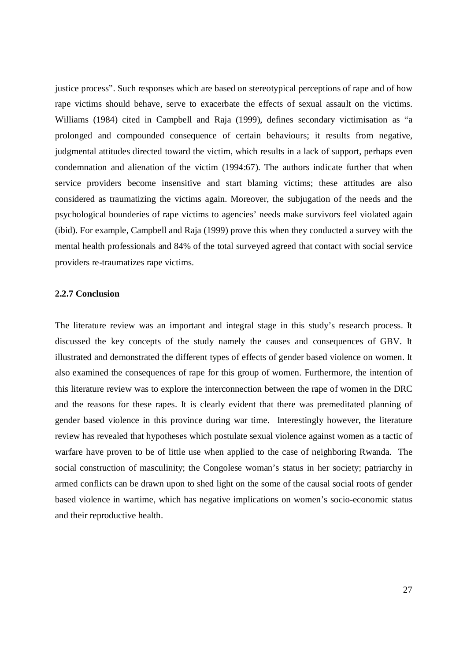justice process". Such responses which are based on stereotypical perceptions of rape and of how rape victims should behave, serve to exacerbate the effects of sexual assault on the victims. Williams (1984) cited in Campbell and Raja (1999), defines secondary victimisation as "a prolonged and compounded consequence of certain behaviours; it results from negative, judgmental attitudes directed toward the victim, which results in a lack of support, perhaps even condemnation and alienation of the victim (1994:67). The authors indicate further that when service providers become insensitive and start blaming victims; these attitudes are also considered as traumatizing the victims again. Moreover, the subjugation of the needs and the psychological bounderies of rape victims to agencies' needs make survivors feel violated again (ibid). For example, Campbell and Raja (1999) prove this when they conducted a survey with the mental health professionals and 84% of the total surveyed agreed that contact with social service providers re-traumatizes rape victims.

#### **2.2.7 Conclusion**

The literature review was an important and integral stage in this study's research process. It discussed the key concepts of the study namely the causes and consequences of GBV. It illustrated and demonstrated the different types of effects of gender based violence on women. It also examined the consequences of rape for this group of women. Furthermore, the intention of this literature review was to explore the interconnection between the rape of women in the DRC and the reasons for these rapes. It is clearly evident that there was premeditated planning of gender based violence in this province during war time. Interestingly however, the literature review has revealed that hypotheses which postulate sexual violence against women as a tactic of warfare have proven to be of little use when applied to the case of neighboring Rwanda. The social construction of masculinity; the Congolese woman's status in her society; patriarchy in armed conflicts can be drawn upon to shed light on the some of the causal social roots of gender based violence in wartime, which has negative implications on women's socio-economic status and their reproductive health.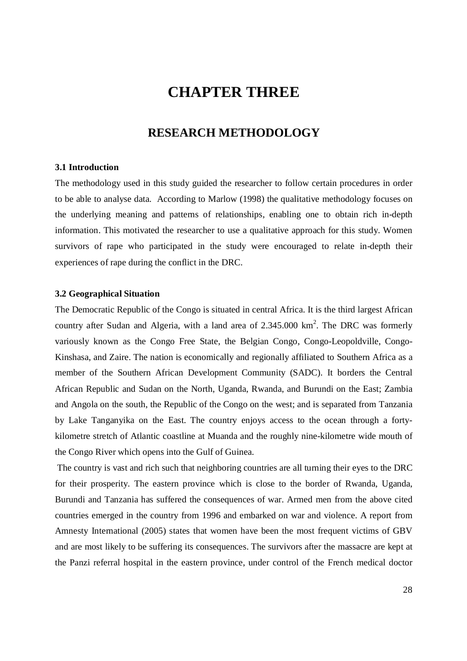# **CHAPTER THREE**

# **RESEARCH METHODOLOGY**

#### **3.1 Introduction**

The methodology used in this study guided the researcher to follow certain procedures in order to be able to analyse data. According to Marlow (1998) the qualitative methodology focuses on the underlying meaning and patterns of relationships, enabling one to obtain rich in-depth information. This motivated the researcher to use a qualitative approach for this study. Women survivors of rape who participated in the study were encouraged to relate in-depth their experiences of rape during the conflict in the DRC.

#### **3.2 Geographical Situation**

The Democratic Republic of the Congo is situated in central Africa. It is the third largest African country after Sudan and Algeria, with a land area of  $2.345.000 \text{ km}^2$ . The DRC was formerly variously known as the Congo Free State, the Belgian Congo, Congo-Leopoldville, Congo-Kinshasa, and Zaire. The nation is economically and regionally affiliated to Southern Africa as a member of the Southern African Development Community (SADC). It borders the Central African Republic and Sudan on the North, Uganda, Rwanda, and Burundi on the East; Zambia and Angola on the south, the Republic of the Congo on the west; and is separated from Tanzania by Lake Tanganyika on the East. The country enjoys access to the ocean through a fortykilometre stretch of Atlantic coastline at Muanda and the roughly nine-kilometre wide mouth of the Congo River which opens into the Gulf of Guinea.

 The country is vast and rich such that neighboring countries are all turning their eyes to the DRC for their prosperity. The eastern province which is close to the border of Rwanda, Uganda, Burundi and Tanzania has suffered the consequences of war. Armed men from the above cited countries emerged in the country from 1996 and embarked on war and violence. A report from Amnesty International (2005) states that women have been the most frequent victims of GBV and are most likely to be suffering its consequences. The survivors after the massacre are kept at the Panzi referral hospital in the eastern province, under control of the French medical doctor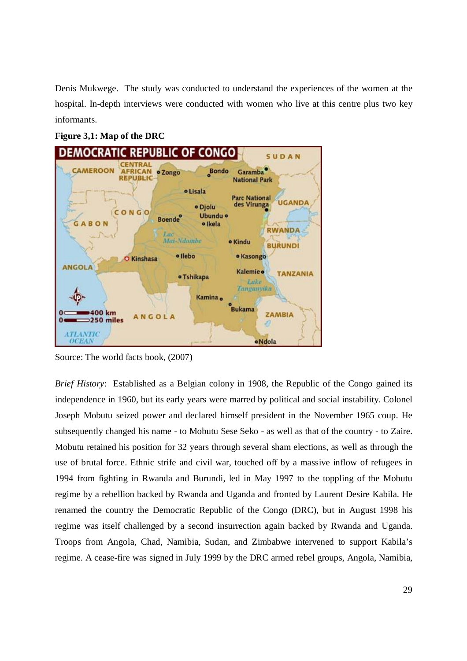Denis Mukwege. The study was conducted to understand the experiences of the women at the hospital. In-depth interviews were conducted with women who live at this centre plus two key informants.

#### **Figure 3,1: Map of the DRC**



Source: The world facts book, (2007)

*Brief History*: Established as a Belgian colony in 1908, the Republic of the Congo gained its independence in 1960, but its early years were marred by political and social instability. Colonel Joseph Mobutu seized power and declared himself president in the November 1965 coup. He subsequently changed his name - to Mobutu Sese Seko - as well as that of the country - to Zaire. Mobutu retained his position for 32 years through several sham elections, as well as through the use of brutal force. Ethnic strife and civil war, touched off by a massive inflow of refugees in 1994 from fighting in Rwanda and Burundi, led in May 1997 to the toppling of the Mobutu regime by a rebellion backed by Rwanda and Uganda and fronted by Laurent Desire Kabila. He renamed the country the Democratic Republic of the Congo (DRC), but in August 1998 his regime was itself challenged by a second insurrection again backed by Rwanda and Uganda. Troops from Angola, Chad, Namibia, Sudan, and Zimbabwe intervened to support Kabila's regime. A cease-fire was signed in July 1999 by the DRC armed rebel groups, Angola, Namibia,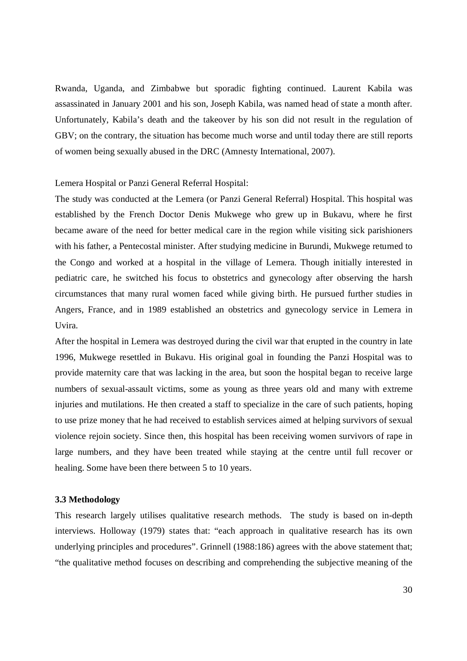Rwanda, Uganda, and Zimbabwe but sporadic fighting continued. Laurent Kabila was assassinated in January 2001 and his son, Joseph Kabila, was named head of state a month after. Unfortunately, Kabila's death and the takeover by his son did not result in the regulation of GBV; on the contrary, the situation has become much worse and until today there are still reports of women being sexually abused in the DRC (Amnesty International, 2007).

Lemera Hospital or Panzi General Referral Hospital:

The study was conducted at the Lemera (or Panzi General Referral) Hospital. This hospital was established by the French Doctor Denis Mukwege who grew up in Bukavu, where he first became aware of the need for better medical care in the region while visiting sick parishioners with his father, a Pentecostal minister. After studying medicine in Burundi, Mukwege returned to the Congo and worked at a hospital in the village of Lemera. Though initially interested in pediatric care, he switched his focus to obstetrics and gynecology after observing the harsh circumstances that many rural women faced while giving birth. He pursued further studies in Angers, France, and in 1989 established an obstetrics and gynecology service in Lemera in Uvira.

After the hospital in Lemera was destroyed during the civil war that erupted in the country in late 1996, Mukwege resettled in Bukavu. His original goal in founding the Panzi Hospital was to provide maternity care that was lacking in the area, but soon the hospital began to receive large numbers of sexual-assault victims, some as young as three years old and many with extreme injuries and mutilations. He then created a staff to specialize in the care of such patients, hoping to use prize money that he had received to establish services aimed at helping survivors of sexual violence rejoin society. Since then, this hospital has been receiving women survivors of rape in large numbers, and they have been treated while staying at the centre until full recover or healing. Some have been there between 5 to 10 years.

#### **3.3 Methodology**

This research largely utilises qualitative research methods. The study is based on in-depth interviews. Holloway (1979) states that: "each approach in qualitative research has its own underlying principles and procedures". Grinnell (1988:186) agrees with the above statement that; "the qualitative method focuses on describing and comprehending the subjective meaning of the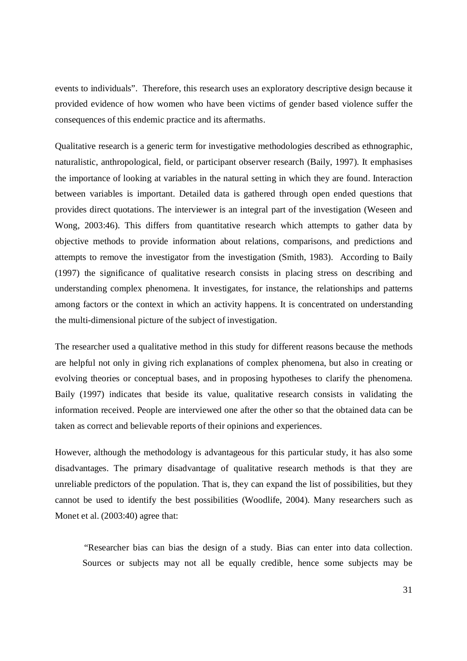events to individuals". Therefore, this research uses an exploratory descriptive design because it provided evidence of how women who have been victims of gender based violence suffer the consequences of this endemic practice and its aftermaths.

Qualitative research is a generic term for investigative methodologies described as ethnographic, naturalistic, anthropological, field, or participant observer research (Baily, 1997). It emphasises the importance of looking at variables in the natural setting in which they are found. Interaction between variables is important. Detailed data is gathered through open ended questions that provides direct quotations. The interviewer is an integral part of the investigation (Weseen and Wong, 2003:46). This differs from quantitative research which attempts to gather data by objective methods to provide information about relations, comparisons, and predictions and attempts to remove the investigator from the investigation (Smith, 1983). According to Baily (1997) the significance of qualitative research consists in placing stress on describing and understanding complex phenomena. It investigates, for instance, the relationships and patterns among factors or the context in which an activity happens. It is concentrated on understanding the multi-dimensional picture of the subject of investigation.

The researcher used a qualitative method in this study for different reasons because the methods are helpful not only in giving rich explanations of complex phenomena, but also in creating or evolving theories or conceptual bases, and in proposing hypotheses to clarify the phenomena. Baily (1997) indicates that beside its value, qualitative research consists in validating the information received. People are interviewed one after the other so that the obtained data can be taken as correct and believable reports of their opinions and experiences.

However, although the methodology is advantageous for this particular study, it has also some disadvantages. The primary disadvantage of qualitative research methods is that they are unreliable predictors of the population. That is, they can expand the list of possibilities, but they cannot be used to identify the best possibilities (Woodlife, 2004). Many researchers such as Monet et al. (2003:40) agree that:

"Researcher bias can bias the design of a study. Bias can enter into data collection. Sources or subjects may not all be equally credible, hence some subjects may be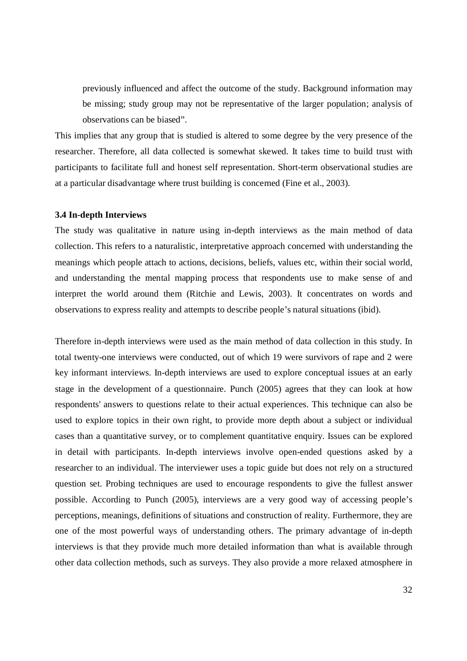previously influenced and affect the outcome of the study. Background information may be missing; study group may not be representative of the larger population; analysis of observations can be biased".

This implies that any group that is studied is altered to some degree by the very presence of the researcher. Therefore, all data collected is somewhat skewed. It takes time to build trust with participants to facilitate full and honest self representation. Short-term observational studies are at a particular disadvantage where trust building is concerned (Fine et al., 2003).

#### **3.4 In-depth Interviews**

The study was qualitative in nature using in-depth interviews as the main method of data collection. This refers to a naturalistic, interpretative approach concerned with understanding the meanings which people attach to actions, decisions, beliefs, values etc, within their social world, and understanding the mental mapping process that respondents use to make sense of and interpret the world around them (Ritchie and Lewis, 2003). It concentrates on words and observations to express reality and attempts to describe people's natural situations (ibid).

Therefore in-depth interviews were used as the main method of data collection in this study. In total twenty-one interviews were conducted, out of which 19 were survivors of rape and 2 were key informant interviews. In-depth interviews are used to explore conceptual issues at an early stage in the development of a questionnaire. Punch (2005) agrees that they can look at how respondents' answers to questions relate to their actual experiences. This technique can also be used to explore topics in their own right, to provide more depth about a subject or individual cases than a quantitative survey, or to complement quantitative enquiry. Issues can be explored in detail with participants. In-depth interviews involve open-ended questions asked by a researcher to an individual. The interviewer uses a topic guide but does not rely on a structured question set. Probing techniques are used to encourage respondents to give the fullest answer possible. According to Punch (2005), interviews are a very good way of accessing people's perceptions, meanings, definitions of situations and construction of reality. Furthermore, they are one of the most powerful ways of understanding others. The primary advantage of in-depth interviews is that they provide much more detailed information than what is available through other data collection methods, such as surveys. They also provide a more relaxed atmosphere in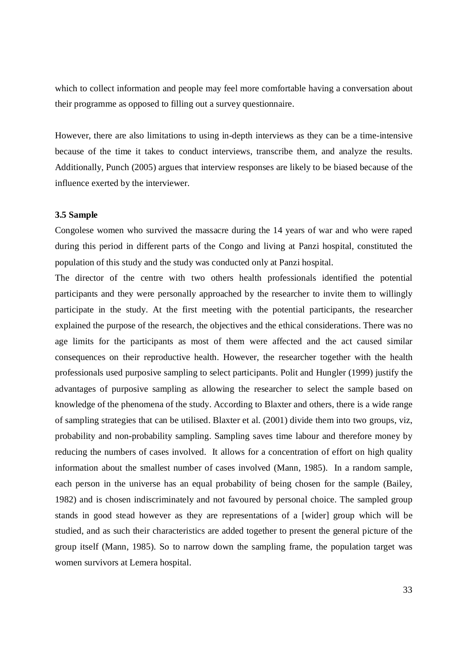which to collect information and people may feel more comfortable having a conversation about their programme as opposed to filling out a survey questionnaire.

However, there are also limitations to using in-depth interviews as they can be a time-intensive because of the time it takes to conduct interviews, transcribe them, and analyze the results. Additionally, Punch (2005) argues that interview responses are likely to be biased because of the influence exerted by the interviewer.

#### **3.5 Sample**

Congolese women who survived the massacre during the 14 years of war and who were raped during this period in different parts of the Congo and living at Panzi hospital, constituted the population of this study and the study was conducted only at Panzi hospital.

The director of the centre with two others health professionals identified the potential participants and they were personally approached by the researcher to invite them to willingly participate in the study. At the first meeting with the potential participants, the researcher explained the purpose of the research, the objectives and the ethical considerations. There was no age limits for the participants as most of them were affected and the act caused similar consequences on their reproductive health. However, the researcher together with the health professionals used purposive sampling to select participants. Polit and Hungler (1999) justify the advantages of purposive sampling as allowing the researcher to select the sample based on knowledge of the phenomena of the study. According to Blaxter and others, there is a wide range of sampling strategies that can be utilised. Blaxter et al. (2001) divide them into two groups, viz, probability and non-probability sampling. Sampling saves time labour and therefore money by reducing the numbers of cases involved. It allows for a concentration of effort on high quality information about the smallest number of cases involved (Mann, 1985). In a random sample, each person in the universe has an equal probability of being chosen for the sample (Bailey, 1982) and is chosen indiscriminately and not favoured by personal choice. The sampled group stands in good stead however as they are representations of a [wider] group which will be studied, and as such their characteristics are added together to present the general picture of the group itself (Mann, 1985). So to narrow down the sampling frame, the population target was women survivors at Lemera hospital.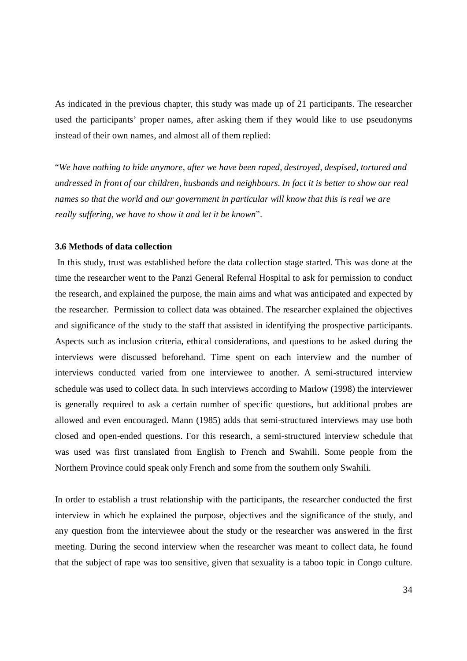As indicated in the previous chapter, this study was made up of 21 participants. The researcher used the participants' proper names, after asking them if they would like to use pseudonyms instead of their own names, and almost all of them replied:

"*We have nothing to hide anymore, after we have been raped, destroyed, despised, tortured and undressed in front of our children, husbands and neighbours. In fact it is better to show our real names so that the world and our government in particular will know that this is real we are really suffering, we have to show it and let it be known*".

#### **3.6 Methods of data collection**

 In this study, trust was established before the data collection stage started. This was done at the time the researcher went to the Panzi General Referral Hospital to ask for permission to conduct the research, and explained the purpose, the main aims and what was anticipated and expected by the researcher. Permission to collect data was obtained. The researcher explained the objectives and significance of the study to the staff that assisted in identifying the prospective participants. Aspects such as inclusion criteria, ethical considerations, and questions to be asked during the interviews were discussed beforehand. Time spent on each interview and the number of interviews conducted varied from one interviewee to another. A semi-structured interview schedule was used to collect data. In such interviews according to Marlow (1998) the interviewer is generally required to ask a certain number of specific questions, but additional probes are allowed and even encouraged. Mann (1985) adds that semi-structured interviews may use both closed and open-ended questions. For this research, a semi-structured interview schedule that was used was first translated from English to French and Swahili. Some people from the Northern Province could speak only French and some from the southern only Swahili.

In order to establish a trust relationship with the participants, the researcher conducted the first interview in which he explained the purpose, objectives and the significance of the study, and any question from the interviewee about the study or the researcher was answered in the first meeting. During the second interview when the researcher was meant to collect data, he found that the subject of rape was too sensitive, given that sexuality is a taboo topic in Congo culture.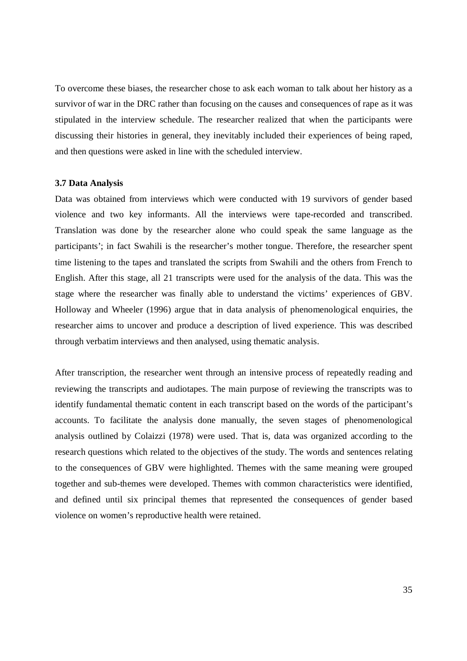To overcome these biases, the researcher chose to ask each woman to talk about her history as a survivor of war in the DRC rather than focusing on the causes and consequences of rape as it was stipulated in the interview schedule. The researcher realized that when the participants were discussing their histories in general, they inevitably included their experiences of being raped, and then questions were asked in line with the scheduled interview.

#### **3.7 Data Analysis**

Data was obtained from interviews which were conducted with 19 survivors of gender based violence and two key informants. All the interviews were tape-recorded and transcribed. Translation was done by the researcher alone who could speak the same language as the participants'; in fact Swahili is the researcher's mother tongue. Therefore, the researcher spent time listening to the tapes and translated the scripts from Swahili and the others from French to English. After this stage, all 21 transcripts were used for the analysis of the data. This was the stage where the researcher was finally able to understand the victims' experiences of GBV. Holloway and Wheeler (1996) argue that in data analysis of phenomenological enquiries, the researcher aims to uncover and produce a description of lived experience. This was described through verbatim interviews and then analysed, using thematic analysis.

After transcription, the researcher went through an intensive process of repeatedly reading and reviewing the transcripts and audiotapes. The main purpose of reviewing the transcripts was to identify fundamental thematic content in each transcript based on the words of the participant's accounts. To facilitate the analysis done manually, the seven stages of phenomenological analysis outlined by Colaizzi (1978) were used. That is, data was organized according to the research questions which related to the objectives of the study. The words and sentences relating to the consequences of GBV were highlighted. Themes with the same meaning were grouped together and sub-themes were developed. Themes with common characteristics were identified, and defined until six principal themes that represented the consequences of gender based violence on women's reproductive health were retained.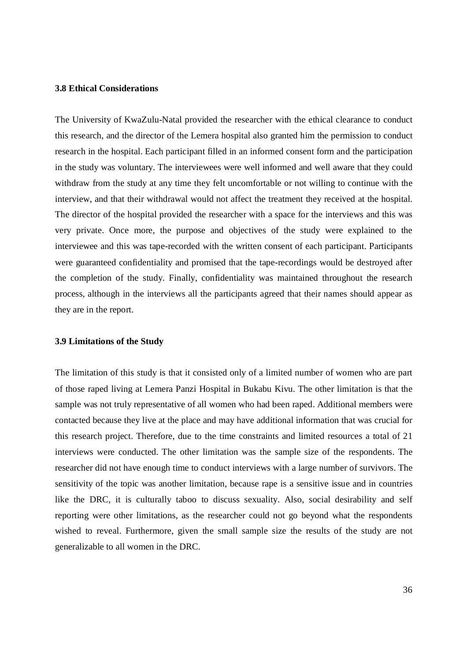#### **3.8 Ethical Considerations**

The University of KwaZulu-Natal provided the researcher with the ethical clearance to conduct this research, and the director of the Lemera hospital also granted him the permission to conduct research in the hospital. Each participant filled in an informed consent form and the participation in the study was voluntary. The interviewees were well informed and well aware that they could withdraw from the study at any time they felt uncomfortable or not willing to continue with the interview, and that their withdrawal would not affect the treatment they received at the hospital. The director of the hospital provided the researcher with a space for the interviews and this was very private. Once more, the purpose and objectives of the study were explained to the interviewee and this was tape-recorded with the written consent of each participant. Participants were guaranteed confidentiality and promised that the tape-recordings would be destroyed after the completion of the study. Finally, confidentiality was maintained throughout the research process, although in the interviews all the participants agreed that their names should appear as they are in the report.

#### **3.9 Limitations of the Study**

The limitation of this study is that it consisted only of a limited number of women who are part of those raped living at Lemera Panzi Hospital in Bukabu Kivu. The other limitation is that the sample was not truly representative of all women who had been raped. Additional members were contacted because they live at the place and may have additional information that was crucial for this research project. Therefore, due to the time constraints and limited resources a total of 21 interviews were conducted. The other limitation was the sample size of the respondents. The researcher did not have enough time to conduct interviews with a large number of survivors. The sensitivity of the topic was another limitation, because rape is a sensitive issue and in countries like the DRC, it is culturally taboo to discuss sexuality. Also, social desirability and self reporting were other limitations, as the researcher could not go beyond what the respondents wished to reveal. Furthermore, given the small sample size the results of the study are not generalizable to all women in the DRC.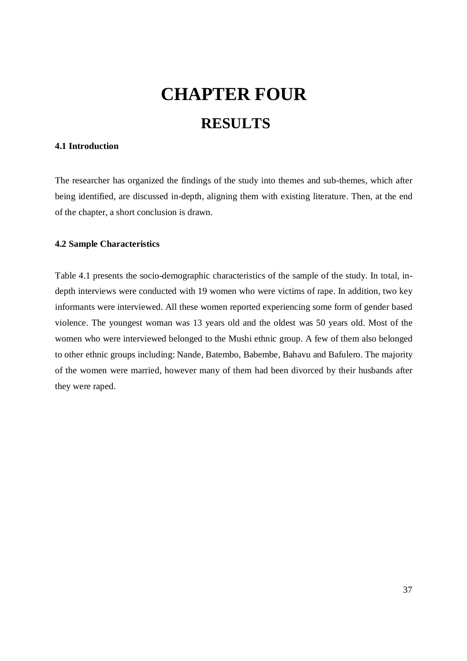# **CHAPTER FOUR RESULTS**

# **4.1 Introduction**

The researcher has organized the findings of the study into themes and sub-themes, which after being identified, are discussed in-depth, aligning them with existing literature. Then, at the end of the chapter, a short conclusion is drawn.

#### **4.2 Sample Characteristics**

Table 4.1 presents the socio-demographic characteristics of the sample of the study. In total, indepth interviews were conducted with 19 women who were victims of rape. In addition, two key informants were interviewed. All these women reported experiencing some form of gender based violence. The youngest woman was 13 years old and the oldest was 50 years old. Most of the women who were interviewed belonged to the Mushi ethnic group. A few of them also belonged to other ethnic groups including: Nande, Batembo, Babembe, Bahavu and Bafulero. The majority of the women were married, however many of them had been divorced by their husbands after they were raped.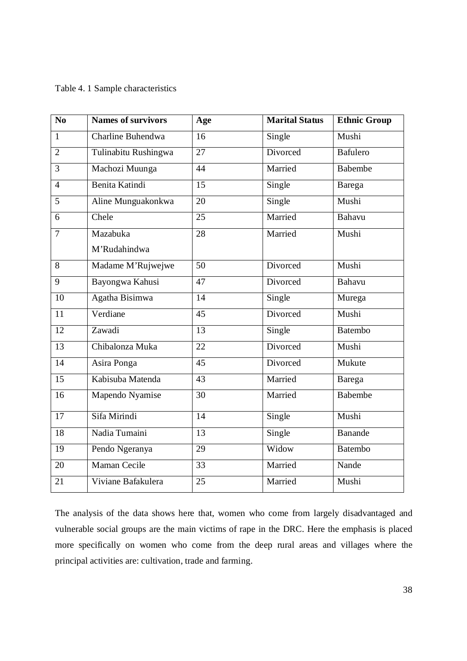#### Table 4. 1 Sample characteristics

| N <sub>0</sub>  | Names of survivors   | Age             | <b>Marital Status</b> | <b>Ethnic Group</b> |
|-----------------|----------------------|-----------------|-----------------------|---------------------|
| $\mathbf{1}$    | Charline Buhendwa    | $\overline{16}$ | Single                | Mushi               |
| $\overline{2}$  | Tulinabitu Rushingwa | $\overline{27}$ | Divorced              | <b>Bafulero</b>     |
| $\overline{3}$  | Machozi Muunga       | 44              | Married               | <b>Babembe</b>      |
| $\overline{4}$  | Benita Katindi       | $\overline{15}$ | Single                | <b>Barega</b>       |
| 5               | Aline Munguakonkwa   | 20              | Single                | Mushi               |
| 6               | Chele                | 25              | Married               | <b>Bahavu</b>       |
| $\overline{7}$  | Mazabuka             | $\overline{28}$ | Married               | Mushi               |
|                 | M'Rudahindwa         |                 |                       |                     |
| 8               | Madame M'Rujwejwe    | $\overline{50}$ | Divorced              | Mushi               |
| 9               | Bayongwa Kahusi      | 47              | Divorced              | <b>Bahavu</b>       |
| 10              | Agatha Bisimwa       | 14              | Single                | Murega              |
| 11              | Verdiane             | 45              | Divorced              | Mushi               |
| 12              | Zawadi               | 13              | Single                | <b>Batembo</b>      |
| $\overline{13}$ | Chibalonza Muka      | $\overline{22}$ | Divorced              | Mushi               |
| $\overline{14}$ | Asira Ponga          | 45              | Divorced              | Mukute              |
| 15              | Kabisuba Matenda     | 43              | Married               | Barega              |
| $\overline{16}$ | Mapendo Nyamise      | 30              | Married               | <b>Babembe</b>      |
| $\overline{17}$ | Sifa Mirindi         | $\overline{14}$ | Single                | Mushi               |
| $\overline{18}$ | Nadia Tumaini        | $\overline{13}$ | Single                | <b>Banande</b>      |
| 19              | Pendo Ngeranya       | 29              | Widow                 | Batembo             |
| 20              | Maman Cecile         | 33              | Married               | Nande               |
| 21              | Viviane Bafakulera   | 25              | Married               | Mushi               |

The analysis of the data shows here that, women who come from largely disadvantaged and vulnerable social groups are the main victims of rape in the DRC. Here the emphasis is placed more specifically on women who come from the deep rural areas and villages where the principal activities are: cultivation, trade and farming.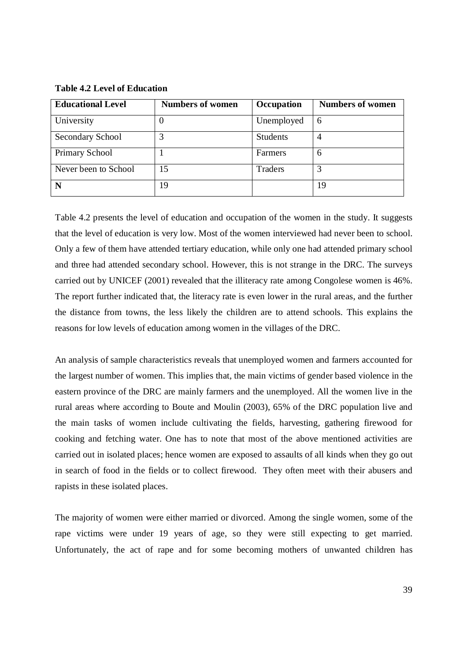**Table 4.2 Level of Education**

| <b>Educational Level</b> | <b>Numbers of women</b> | Occupation      | <b>Numbers of women</b> |
|--------------------------|-------------------------|-----------------|-------------------------|
| University               |                         | Unemployed      | 6                       |
| Secondary School         |                         | <b>Students</b> | 4                       |
| <b>Primary School</b>    |                         | Farmers         | $\mathfrak b$           |
| Never been to School     | 15                      | Traders         |                         |
| N                        | 19                      |                 | 19                      |

Table 4.2 presents the level of education and occupation of the women in the study. It suggests that the level of education is very low. Most of the women interviewed had never been to school. Only a few of them have attended tertiary education, while only one had attended primary school and three had attended secondary school. However, this is not strange in the DRC. The surveys carried out by UNICEF (2001) revealed that the illiteracy rate among Congolese women is 46%. The report further indicated that, the literacy rate is even lower in the rural areas, and the further the distance from towns, the less likely the children are to attend schools. This explains the reasons for low levels of education among women in the villages of the DRC.

An analysis of sample characteristics reveals that unemployed women and farmers accounted for the largest number of women. This implies that, the main victims of gender based violence in the eastern province of the DRC are mainly farmers and the unemployed. All the women live in the rural areas where according to Boute and Moulin (2003), 65% of the DRC population live and the main tasks of women include cultivating the fields, harvesting, gathering firewood for cooking and fetching water. One has to note that most of the above mentioned activities are carried out in isolated places; hence women are exposed to assaults of all kinds when they go out in search of food in the fields or to collect firewood. They often meet with their abusers and rapists in these isolated places.

The majority of women were either married or divorced. Among the single women, some of the rape victims were under 19 years of age, so they were still expecting to get married. Unfortunately, the act of rape and for some becoming mothers of unwanted children has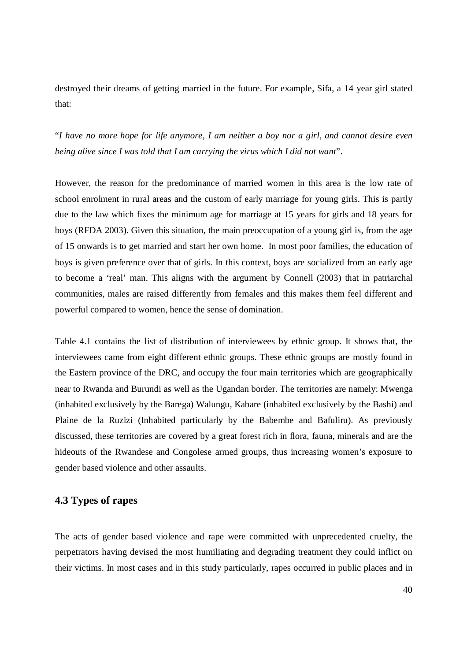destroyed their dreams of getting married in the future. For example, Sifa, a 14 year girl stated that:

"*I have no more hope for life anymore, I am neither a boy nor a girl, and cannot desire even being alive since I was told that I am carrying the virus which I did not want*".

However, the reason for the predominance of married women in this area is the low rate of school enrolment in rural areas and the custom of early marriage for young girls. This is partly due to the law which fixes the minimum age for marriage at 15 years for girls and 18 years for boys (RFDA 2003). Given this situation, the main preoccupation of a young girl is, from the age of 15 onwards is to get married and start her own home. In most poor families, the education of boys is given preference over that of girls. In this context, boys are socialized from an early age to become a 'real' man. This aligns with the argument by Connell (2003) that in patriarchal communities, males are raised differently from females and this makes them feel different and powerful compared to women, hence the sense of domination.

Table 4.1 contains the list of distribution of interviewees by ethnic group. It shows that, the interviewees came from eight different ethnic groups. These ethnic groups are mostly found in the Eastern province of the DRC, and occupy the four main territories which are geographically near to Rwanda and Burundi as well as the Ugandan border. The territories are namely: Mwenga (inhabited exclusively by the Barega) Walungu, Kabare (inhabited exclusively by the Bashi) and Plaine de la Ruzizi (Inhabited particularly by the Babembe and Bafuliru). As previously discussed, these territories are covered by a great forest rich in flora, fauna, minerals and are the hideouts of the Rwandese and Congolese armed groups, thus increasing women's exposure to gender based violence and other assaults.

# **4.3 Types of rapes**

The acts of gender based violence and rape were committed with unprecedented cruelty, the perpetrators having devised the most humiliating and degrading treatment they could inflict on their victims. In most cases and in this study particularly, rapes occurred in public places and in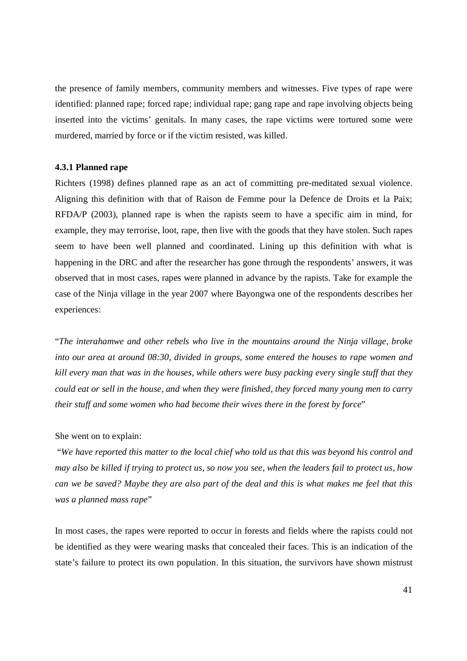the presence of family members, community members and witnesses. Five types of rape were identified: planned rape; forced rape; individual rape; gang rape and rape involving objects being inserted into the victims' genitals. In many cases, the rape victims were tortured some were murdered, married by force or if the victim resisted, was killed.

#### **4.3.1 Planned rape**

Richters (1998) defines planned rape as an act of committing pre-meditated sexual violence. Aligning this definition with that of Raison de Femme pour la Defence de Droits et la Paix; RFDA/P (2003), planned rape is when the rapists seem to have a specific aim in mind, for example, they may terrorise, loot, rape, then live with the goods that they have stolen. Such rapes seem to have been well planned and coordinated. Lining up this definition with what is happening in the DRC and after the researcher has gone through the respondents' answers, it was observed that in most cases, rapes were planned in advance by the rapists. Take for example the case of the Ninja village in the year 2007 where Bayongwa one of the respondents describes her experiences:

"*The interahamwe and other rebels who live in the mountains around the Ninja village, broke into our area at around 08:30, divided in groups, some entered the houses to rape women and kill every man that was in the houses, while others were busy packing every single stuff that they could eat or sell in the house, and when they were finished, they forced many young men to carry their stuff and some women who had become their wives there in the forest by force*"

#### She went on to explain:

 "*We have reported this matter to the local chief who told us that this was beyond his control and may also be killed if trying to protect us, so now you see, when the leaders fail to protect us, how can we be saved? Maybe they are also part of the deal and this is what makes me feel that this was a planned mass rape*"

In most cases, the rapes were reported to occur in forests and fields where the rapists could not be identified as they were wearing masks that concealed their faces. This is an indication of the state's failure to protect its own population. In this situation, the survivors have shown mistrust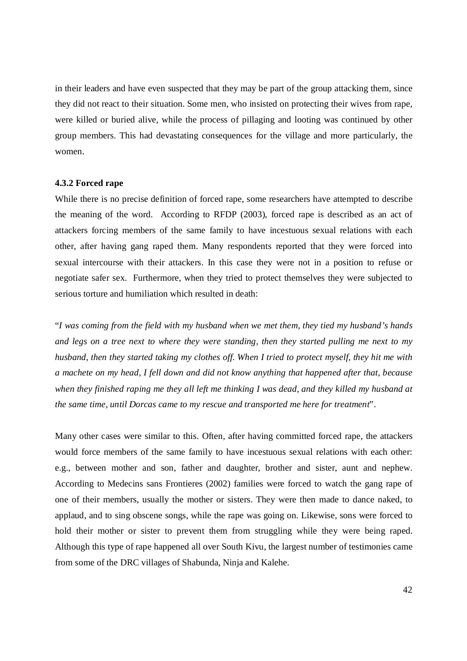in their leaders and have even suspected that they may be part of the group attacking them, since they did not react to their situation. Some men, who insisted on protecting their wives from rape, were killed or buried alive, while the process of pillaging and looting was continued by other group members. This had devastating consequences for the village and more particularly, the women.

#### **4.3.2 Forced rape**

While there is no precise definition of forced rape, some researchers have attempted to describe the meaning of the word. According to RFDP (2003), forced rape is described as an act of attackers forcing members of the same family to have incestuous sexual relations with each other, after having gang raped them. Many respondents reported that they were forced into sexual intercourse with their attackers. In this case they were not in a position to refuse or negotiate safer sex. Furthermore, when they tried to protect themselves they were subjected to serious torture and humiliation which resulted in death:

"*I was coming from the field with my husband when we met them, they tied my husband's hands and legs on a tree next to where they were standing, then they started pulling me next to my husband, then they started taking my clothes off. When I tried to protect myself, they hit me with a machete on my head, I fell down and did not know anything that happened after that, because when they finished raping me they all left me thinking I was dead, and they killed my husband at the same time, until Dorcas came to my rescue and transported me here for treatment*".

Many other cases were similar to this. Often, after having committed forced rape, the attackers would force members of the same family to have incestuous sexual relations with each other: e.g., between mother and son, father and daughter, brother and sister, aunt and nephew. According to Medecins sans Frontieres (2002) families were forced to watch the gang rape of one of their members, usually the mother or sisters. They were then made to dance naked, to applaud, and to sing obscene songs, while the rape was going on. Likewise, sons were forced to hold their mother or sister to prevent them from struggling while they were being raped. Although this type of rape happened all over South Kivu, the largest number of testimonies came from some of the DRC villages of Shabunda, Ninja and Kalehe.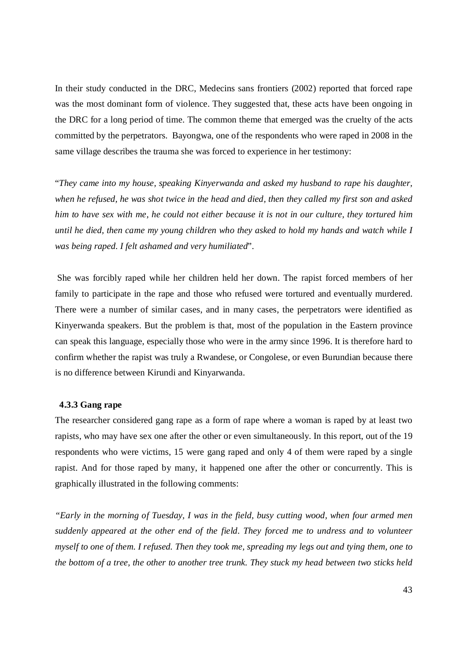In their study conducted in the DRC, Medecins sans frontiers (2002) reported that forced rape was the most dominant form of violence. They suggested that, these acts have been ongoing in the DRC for a long period of time. The common theme that emerged was the cruelty of the acts committed by the perpetrators. Bayongwa, one of the respondents who were raped in 2008 in the same village describes the trauma she was forced to experience in her testimony:

"*They came into my house, speaking Kinyerwanda and asked my husband to rape his daughter, when he refused, he was shot twice in the head and died, then they called my first son and asked him to have sex with me, he could not either because it is not in our culture, they tortured him until he died, then came my young children who they asked to hold my hands and watch while I was being raped. I felt ashamed and very humiliated*".

 She was forcibly raped while her children held her down. The rapist forced members of her family to participate in the rape and those who refused were tortured and eventually murdered. There were a number of similar cases, and in many cases, the perpetrators were identified as Kinyerwanda speakers. But the problem is that, most of the population in the Eastern province can speak this language, especially those who were in the army since 1996. It is therefore hard to confirm whether the rapist was truly a Rwandese, or Congolese, or even Burundian because there is no difference between Kirundi and Kinyarwanda.

#### **4.3.3 Gang rape**

The researcher considered gang rape as a form of rape where a woman is raped by at least two rapists, who may have sex one after the other or even simultaneously. In this report, out of the 19 respondents who were victims, 15 were gang raped and only 4 of them were raped by a single rapist. And for those raped by many, it happened one after the other or concurrently. This is graphically illustrated in the following comments:

*"Early in the morning of Tuesday, I was in the field, busy cutting wood, when four armed men suddenly appeared at the other end of the field. They forced me to undress and to volunteer myself to one of them. I refused. Then they took me, spreading my legs out and tying them, one to the bottom of a tree, the other to another tree trunk. They stuck my head between two sticks held*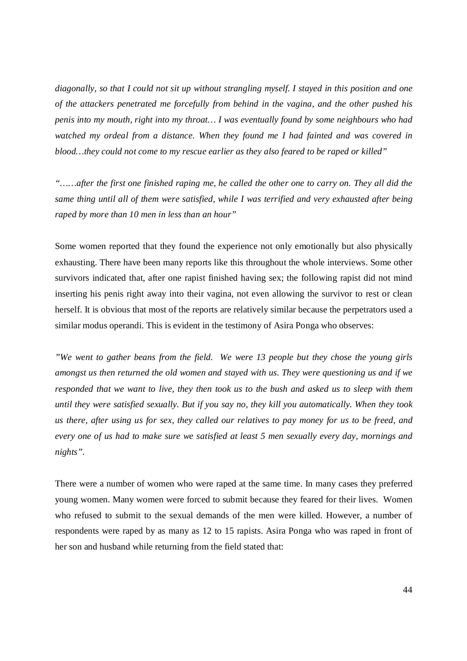*diagonally, so that I could not sit up without strangling myself. I stayed in this position and one of the attackers penetrated me forcefully from behind in the vagina, and the other pushed his penis into my mouth, right into my throat… I was eventually found by some neighbours who had watched my ordeal from a distance. When they found me I had fainted and was covered in blood…they could not come to my rescue earlier as they also feared to be raped or killed"*

*"……after the first one finished raping me, he called the other one to carry on. They all did the same thing until all of them were satisfied, while I was terrified and very exhausted after being raped by more than 10 men in less than an hour"*

Some women reported that they found the experience not only emotionally but also physically exhausting. There have been many reports like this throughout the whole interviews. Some other survivors indicated that, after one rapist finished having sex; the following rapist did not mind inserting his penis right away into their vagina, not even allowing the survivor to rest or clean herself. It is obvious that most of the reports are relatively similar because the perpetrators used a similar modus operandi. This is evident in the testimony of Asira Ponga who observes:

*"We went to gather beans from the field. We were 13 people but they chose the young girls amongst us then returned the old women and stayed with us. They were questioning us and if we responded that we want to live, they then took us to the bush and asked us to sleep with them until they were satisfied sexually. But if you say no, they kill you automatically. When they took us there, after using us for sex, they called our relatives to pay money for us to be freed, and every one of us had to make sure we satisfied at least 5 men sexually every day, mornings and nights".*

There were a number of women who were raped at the same time. In many cases they preferred young women. Many women were forced to submit because they feared for their lives. Women who refused to submit to the sexual demands of the men were killed. However, a number of respondents were raped by as many as 12 to 15 rapists. Asira Ponga who was raped in front of her son and husband while returning from the field stated that: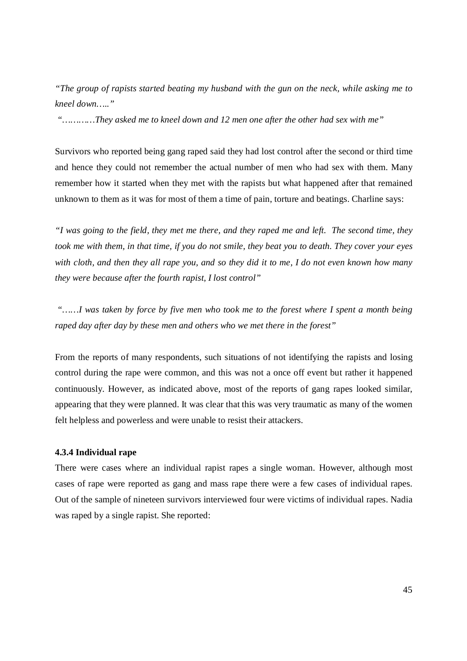*"The group of rapists started beating my husband with the gun on the neck, while asking me to kneel down….."*

 *"…………They asked me to kneel down and 12 men one after the other had sex with me"*

Survivors who reported being gang raped said they had lost control after the second or third time and hence they could not remember the actual number of men who had sex with them. Many remember how it started when they met with the rapists but what happened after that remained unknown to them as it was for most of them a time of pain, torture and beatings. Charline says:

*"I was going to the field, they met me there, and they raped me and left. The second time, they took me with them, in that time, if you do not smile, they beat you to death. They cover your eyes with cloth, and then they all rape you, and so they did it to me, I do not even known how many they were because after the fourth rapist, I lost control"*

*"……I was taken by force by five men who took me to the forest where I spent a month being raped day after day by these men and others who we met there in the forest"*

From the reports of many respondents, such situations of not identifying the rapists and losing control during the rape were common, and this was not a once off event but rather it happened continuously. However, as indicated above, most of the reports of gang rapes looked similar, appearing that they were planned. It was clear that this was very traumatic as many of the women felt helpless and powerless and were unable to resist their attackers.

#### **4.3.4 Individual rape**

There were cases where an individual rapist rapes a single woman. However, although most cases of rape were reported as gang and mass rape there were a few cases of individual rapes. Out of the sample of nineteen survivors interviewed four were victims of individual rapes. Nadia was raped by a single rapist. She reported: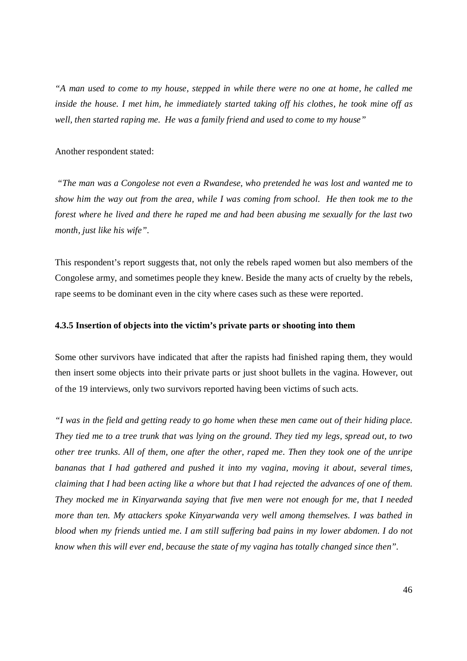*"A man used to come to my house, stepped in while there were no one at home, he called me inside the house. I met him, he immediately started taking off his clothes, he took mine off as well, then started raping me. He was a family friend and used to come to my house"*

#### Another respondent stated:

 *"The man was a Congolese not even a Rwandese, who pretended he was lost and wanted me to show him the way out from the area, while I was coming from school. He then took me to the forest where he lived and there he raped me and had been abusing me sexually for the last two month, just like his wife".*

This respondent's report suggests that, not only the rebels raped women but also members of the Congolese army, and sometimes people they knew. Beside the many acts of cruelty by the rebels, rape seems to be dominant even in the city where cases such as these were reported.

#### **4.3.5 Insertion of objects into the victim's private parts or shooting into them**

Some other survivors have indicated that after the rapists had finished raping them, they would then insert some objects into their private parts or just shoot bullets in the vagina. However, out of the 19 interviews, only two survivors reported having been victims of such acts.

*"I was in the field and getting ready to go home when these men came out of their hiding place. They tied me to a tree trunk that was lying on the ground. They tied my legs, spread out, to two other tree trunks. All of them, one after the other, raped me. Then they took one of the unripe bananas that I had gathered and pushed it into my vagina, moving it about, several times, claiming that I had been acting like a whore but that I had rejected the advances of one of them. They mocked me in Kinyarwanda saying that five men were not enough for me, that I needed more than ten. My attackers spoke Kinyarwanda very well among themselves. I was bathed in blood when my friends untied me. I am still suffering bad pains in my lower abdomen. I do not know when this will ever end, because the state of my vagina has totally changed since then".*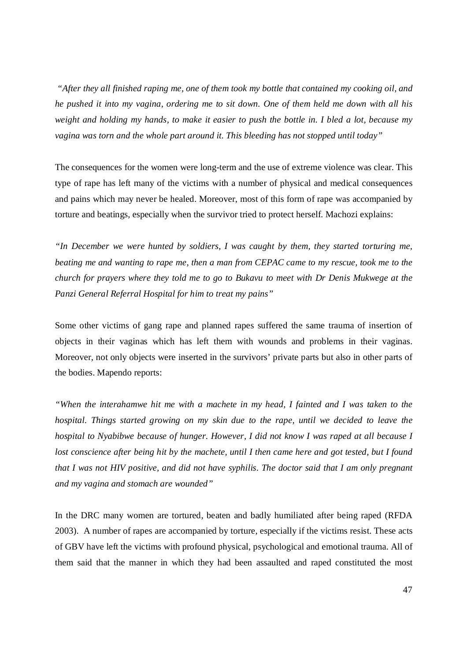*"After they all finished raping me, one of them took my bottle that contained my cooking oil, and he pushed it into my vagina, ordering me to sit down. One of them held me down with all his weight and holding my hands, to make it easier to push the bottle in. I bled a lot, because my vagina was torn and the whole part around it. This bleeding has not stopped until today"*

The consequences for the women were long-term and the use of extreme violence was clear. This type of rape has left many of the victims with a number of physical and medical consequences and pains which may never be healed. Moreover, most of this form of rape was accompanied by torture and beatings, especially when the survivor tried to protect herself. Machozi explains:

*"In December we were hunted by soldiers, I was caught by them, they started torturing me, beating me and wanting to rape me, then a man from CEPAC came to my rescue, took me to the church for prayers where they told me to go to Bukavu to meet with Dr Denis Mukwege at the Panzi General Referral Hospital for him to treat my pains"*

Some other victims of gang rape and planned rapes suffered the same trauma of insertion of objects in their vaginas which has left them with wounds and problems in their vaginas. Moreover, not only objects were inserted in the survivors' private parts but also in other parts of the bodies. Mapendo reports:

*"When the interahamwe hit me with a machete in my head, I fainted and I was taken to the hospital. Things started growing on my skin due to the rape, until we decided to leave the hospital to Nyabibwe because of hunger. However, I did not know I was raped at all because I lost conscience after being hit by the machete, until I then came here and got tested, but I found that I was not HIV positive, and did not have syphilis. The doctor said that I am only pregnant and my vagina and stomach are wounded"*

In the DRC many women are tortured, beaten and badly humiliated after being raped (RFDA 2003). A number of rapes are accompanied by torture, especially if the victims resist. These acts of GBV have left the victims with profound physical, psychological and emotional trauma. All of them said that the manner in which they had been assaulted and raped constituted the most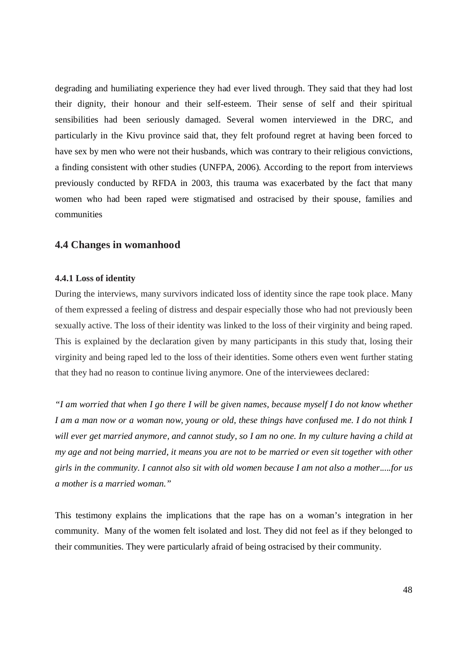degrading and humiliating experience they had ever lived through. They said that they had lost their dignity, their honour and their self-esteem. Their sense of self and their spiritual sensibilities had been seriously damaged. Several women interviewed in the DRC, and particularly in the Kivu province said that, they felt profound regret at having been forced to have sex by men who were not their husbands, which was contrary to their religious convictions, a finding consistent with other studies (UNFPA, 2006). According to the report from interviews previously conducted by RFDA in 2003, this trauma was exacerbated by the fact that many women who had been raped were stigmatised and ostracised by their spouse, families and communities

# **4.4 Changes in womanhood**

#### **4.4.1 Loss of identity**

During the interviews, many survivors indicated loss of identity since the rape took place. Many of them expressed a feeling of distress and despair especially those who had not previously been sexually active. The loss of their identity was linked to the loss of their virginity and being raped. This is explained by the declaration given by many participants in this study that, losing their virginity and being raped led to the loss of their identities. Some others even went further stating that they had no reason to continue living anymore. One of the interviewees declared:

*"I am worried that when I go there I will be given names, because myself I do not know whether I am a man now or a woman now, young or old, these things have confused me. I do not think I will ever get married anymore, and cannot study, so I am no one. In my culture having a child at my age and not being married, it means you are not to be married or even sit together with other girls in the community. I cannot also sit with old women because I am not also a mother.....for us a mother is a married woman."*

This testimony explains the implications that the rape has on a woman's integration in her community. Many of the women felt isolated and lost. They did not feel as if they belonged to their communities. They were particularly afraid of being ostracised by their community.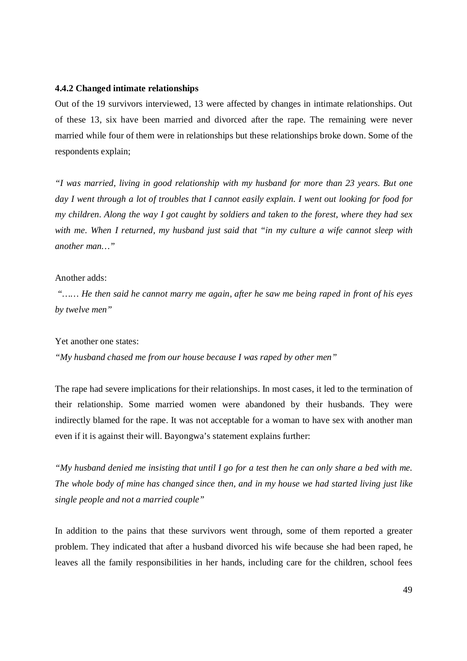#### **4.4.2 Changed intimate relationships**

Out of the 19 survivors interviewed, 13 were affected by changes in intimate relationships. Out of these 13, six have been married and divorced after the rape. The remaining were never married while four of them were in relationships but these relationships broke down. Some of the respondents explain;

*"I was married, living in good relationship with my husband for more than 23 years. But one day I went through a lot of troubles that I cannot easily explain. I went out looking for food for my children. Along the way I got caught by soldiers and taken to the forest, where they had sex with me. When I returned, my husband just said that "in my culture a wife cannot sleep with another man…"*

#### Another adds:

 *"…… He then said he cannot marry me again, after he saw me being raped in front of his eyes by twelve men"*

Yet another one states:

*"My husband chased me from our house because I was raped by other men"*

The rape had severe implications for their relationships. In most cases, it led to the termination of their relationship. Some married women were abandoned by their husbands. They were indirectly blamed for the rape. It was not acceptable for a woman to have sex with another man even if it is against their will. Bayongwa's statement explains further:

*"My husband denied me insisting that until I go for a test then he can only share a bed with me. The whole body of mine has changed since then, and in my house we had started living just like single people and not a married couple"*

In addition to the pains that these survivors went through, some of them reported a greater problem. They indicated that after a husband divorced his wife because she had been raped, he leaves all the family responsibilities in her hands, including care for the children, school fees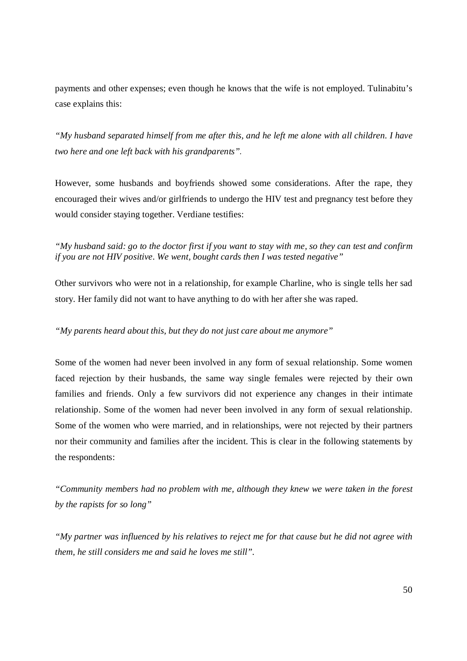payments and other expenses; even though he knows that the wife is not employed. Tulinabitu's case explains this:

*"My husband separated himself from me after this, and he left me alone with all children. I have two here and one left back with his grandparents".*

However, some husbands and boyfriends showed some considerations. After the rape, they encouraged their wives and/or girlfriends to undergo the HIV test and pregnancy test before they would consider staying together. Verdiane testifies:

*"My husband said: go to the doctor first if you want to stay with me, so they can test and confirm if you are not HIV positive. We went, bought cards then I was tested negative"*

Other survivors who were not in a relationship, for example Charline, who is single tells her sad story. Her family did not want to have anything to do with her after she was raped.

# *"My parents heard about this, but they do not just care about me anymore"*

Some of the women had never been involved in any form of sexual relationship. Some women faced rejection by their husbands, the same way single females were rejected by their own families and friends. Only a few survivors did not experience any changes in their intimate relationship. Some of the women had never been involved in any form of sexual relationship. Some of the women who were married, and in relationships, were not rejected by their partners nor their community and families after the incident. This is clear in the following statements by the respondents:

*"Community members had no problem with me, although they knew we were taken in the forest by the rapists for so long"*

*"My partner was influenced by his relatives to reject me for that cause but he did not agree with them, he still considers me and said he loves me still".*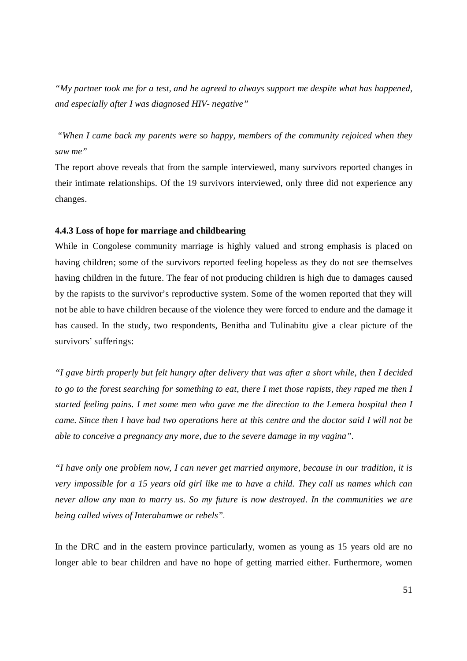*"My partner took me for a test, and he agreed to always support me despite what has happened, and especially after I was diagnosed HIV- negative"*

 *"When I came back my parents were so happy, members of the community rejoiced when they saw me"*

The report above reveals that from the sample interviewed, many survivors reported changes in their intimate relationships. Of the 19 survivors interviewed, only three did not experience any changes.

#### **4.4.3 Loss of hope for marriage and childbearing**

While in Congolese community marriage is highly valued and strong emphasis is placed on having children; some of the survivors reported feeling hopeless as they do not see themselves having children in the future. The fear of not producing children is high due to damages caused by the rapists to the survivor's reproductive system. Some of the women reported that they will not be able to have children because of the violence they were forced to endure and the damage it has caused. In the study, two respondents, Benitha and Tulinabitu give a clear picture of the survivors' sufferings:

*"I gave birth properly but felt hungry after delivery that was after a short while, then I decided to go to the forest searching for something to eat, there I met those rapists, they raped me then I started feeling pains. I met some men who gave me the direction to the Lemera hospital then I came. Since then I have had two operations here at this centre and the doctor said I will not be able to conceive a pregnancy any more, due to the severe damage in my vagina".*

*"I have only one problem now, I can never get married anymore, because in our tradition, it is very impossible for a 15 years old girl like me to have a child. They call us names which can never allow any man to marry us. So my future is now destroyed. In the communities we are being called wives of Interahamwe or rebels".*

In the DRC and in the eastern province particularly, women as young as 15 years old are no longer able to bear children and have no hope of getting married either. Furthermore, women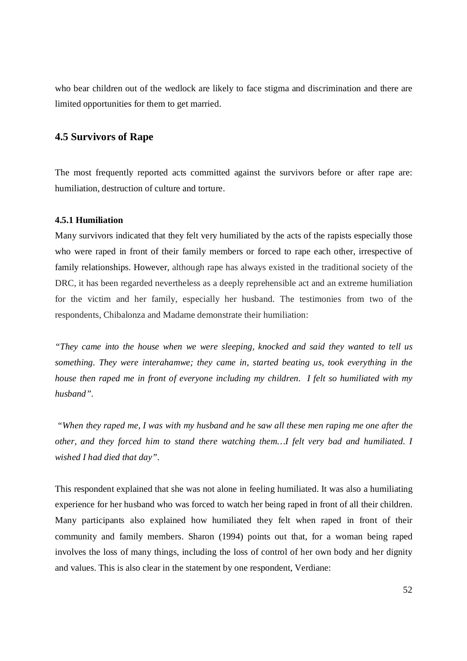who bear children out of the wedlock are likely to face stigma and discrimination and there are limited opportunities for them to get married.

# **4.5 Survivors of Rape**

The most frequently reported acts committed against the survivors before or after rape are: humiliation, destruction of culture and torture.

#### **4.5.1 Humiliation**

Many survivors indicated that they felt very humiliated by the acts of the rapists especially those who were raped in front of their family members or forced to rape each other, irrespective of family relationships. However, although rape has always existed in the traditional society of the DRC, it has been regarded nevertheless as a deeply reprehensible act and an extreme humiliation for the victim and her family, especially her husband. The testimonies from two of the respondents, Chibalonza and Madame demonstrate their humiliation:

*"They came into the house when we were sleeping, knocked and said they wanted to tell us something. They were interahamwe; they came in, started beating us, took everything in the house then raped me in front of everyone including my children. I felt so humiliated with my husband".*

 *"When they raped me, I was with my husband and he saw all these men raping me one after the other, and they forced him to stand there watching them…I felt very bad and humiliated. I wished I had died that day"*.

This respondent explained that she was not alone in feeling humiliated. It was also a humiliating experience for her husband who was forced to watch her being raped in front of all their children. Many participants also explained how humiliated they felt when raped in front of their community and family members. Sharon (1994) points out that, for a woman being raped involves the loss of many things, including the loss of control of her own body and her dignity and values. This is also clear in the statement by one respondent, Verdiane: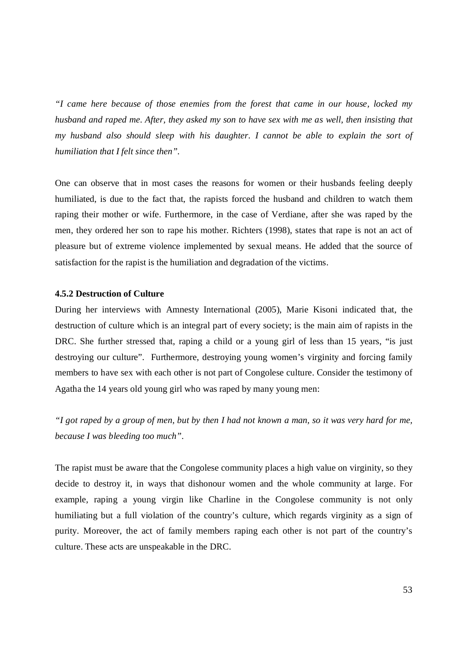*"I came here because of those enemies from the forest that came in our house, locked my husband and raped me. After, they asked my son to have sex with me as well, then insisting that my husband also should sleep with his daughter. I cannot be able to explain the sort of humiliation that I felt since then".*

One can observe that in most cases the reasons for women or their husbands feeling deeply humiliated, is due to the fact that, the rapists forced the husband and children to watch them raping their mother or wife. Furthermore, in the case of Verdiane, after she was raped by the men, they ordered her son to rape his mother. Richters (1998), states that rape is not an act of pleasure but of extreme violence implemented by sexual means. He added that the source of satisfaction for the rapist is the humiliation and degradation of the victims.

#### **4.5.2 Destruction of Culture**

During her interviews with Amnesty International (2005), Marie Kisoni indicated that, the destruction of culture which is an integral part of every society; is the main aim of rapists in the DRC. She further stressed that, raping a child or a young girl of less than 15 years, "is just destroying our culture". Furthermore, destroying young women's virginity and forcing family members to have sex with each other is not part of Congolese culture. Consider the testimony of Agatha the 14 years old young girl who was raped by many young men:

*"I got raped by a group of men, but by then I had not known a man, so it was very hard for me, because I was bleeding too much".*

The rapist must be aware that the Congolese community places a high value on virginity, so they decide to destroy it, in ways that dishonour women and the whole community at large. For example, raping a young virgin like Charline in the Congolese community is not only humiliating but a full violation of the country's culture, which regards virginity as a sign of purity. Moreover, the act of family members raping each other is not part of the country's culture. These acts are unspeakable in the DRC.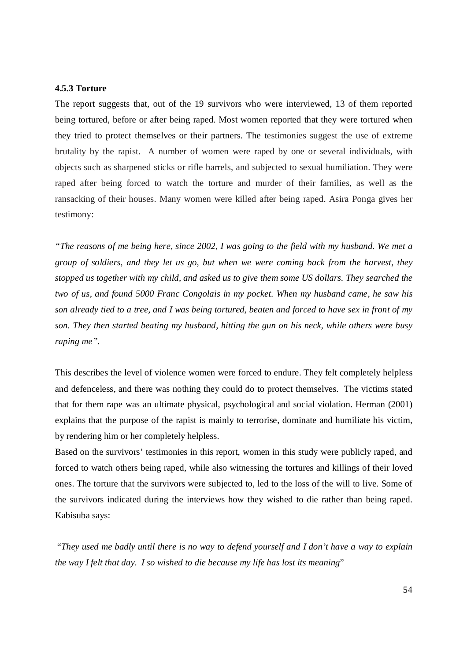#### **4.5.3 Torture**

The report suggests that, out of the 19 survivors who were interviewed, 13 of them reported being tortured, before or after being raped. Most women reported that they were tortured when they tried to protect themselves or their partners. The testimonies suggest the use of extreme brutality by the rapist. A number of women were raped by one or several individuals, with objects such as sharpened sticks or rifle barrels, and subjected to sexual humiliation. They were raped after being forced to watch the torture and murder of their families, as well as the ransacking of their houses. Many women were killed after being raped. Asira Ponga gives her testimony:

*"The reasons of me being here, since 2002, I was going to the field with my husband. We met a group of soldiers, and they let us go, but when we were coming back from the harvest, they stopped us together with my child, and asked us to give them some US dollars. They searched the two of us, and found 5000 Franc Congolais in my pocket. When my husband came, he saw his son already tied to a tree, and I was being tortured, beaten and forced to have sex in front of my son. They then started beating my husband, hitting the gun on his neck, while others were busy raping me".*

This describes the level of violence women were forced to endure. They felt completely helpless and defenceless, and there was nothing they could do to protect themselves. The victims stated that for them rape was an ultimate physical, psychological and social violation. Herman (2001) explains that the purpose of the rapist is mainly to terrorise, dominate and humiliate his victim, by rendering him or her completely helpless.

Based on the survivors' testimonies in this report, women in this study were publicly raped, and forced to watch others being raped, while also witnessing the tortures and killings of their loved ones. The torture that the survivors were subjected to, led to the loss of the will to live. Some of the survivors indicated during the interviews how they wished to die rather than being raped. Kabisuba says:

 "*They used me badly until there is no way to defend yourself and I don't have a way to explain the way I felt that day. I so wished to die because my life has lost its meaning*"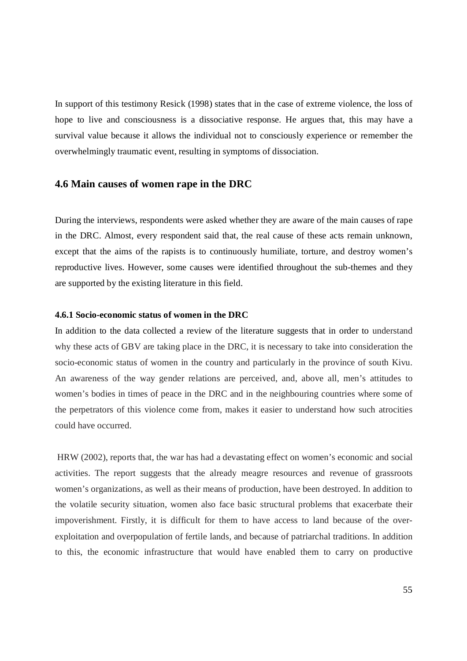In support of this testimony Resick (1998) states that in the case of extreme violence, the loss of hope to live and consciousness is a dissociative response. He argues that, this may have a survival value because it allows the individual not to consciously experience or remember the overwhelmingly traumatic event, resulting in symptoms of dissociation.

## **4.6 Main causes of women rape in the DRC**

During the interviews, respondents were asked whether they are aware of the main causes of rape in the DRC. Almost, every respondent said that, the real cause of these acts remain unknown, except that the aims of the rapists is to continuously humiliate, torture, and destroy women's reproductive lives. However, some causes were identified throughout the sub-themes and they are supported by the existing literature in this field.

#### **4.6.1 Socio-economic status of women in the DRC**

In addition to the data collected a review of the literature suggests that in order to understand why these acts of GBV are taking place in the DRC, it is necessary to take into consideration the socio-economic status of women in the country and particularly in the province of south Kivu. An awareness of the way gender relations are perceived, and, above all, men's attitudes to women's bodies in times of peace in the DRC and in the neighbouring countries where some of the perpetrators of this violence come from, makes it easier to understand how such atrocities could have occurred.

 HRW (2002), reports that, the war has had a devastating effect on women's economic and social activities. The report suggests that the already meagre resources and revenue of grassroots women's organizations, as well as their means of production, have been destroyed. In addition to the volatile security situation, women also face basic structural problems that exacerbate their impoverishment. Firstly, it is difficult for them to have access to land because of the overexploitation and overpopulation of fertile lands, and because of patriarchal traditions. In addition to this, the economic infrastructure that would have enabled them to carry on productive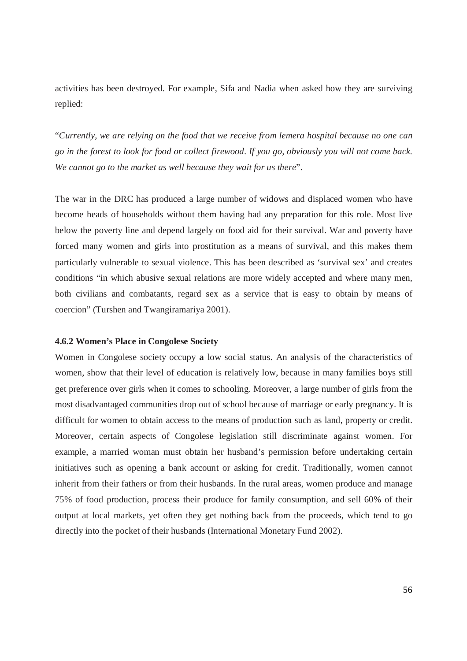activities has been destroyed. For example, Sifa and Nadia when asked how they are surviving replied:

"*Currently, we are relying on the food that we receive from lemera hospital because no one can go in the forest to look for food or collect firewood. If you go, obviously you will not come back. We cannot go to the market as well because they wait for us there*".

The war in the DRC has produced a large number of widows and displaced women who have become heads of households without them having had any preparation for this role. Most live below the poverty line and depend largely on food aid for their survival. War and poverty have forced many women and girls into prostitution as a means of survival, and this makes them particularly vulnerable to sexual violence. This has been described as 'survival sex' and creates conditions "in which abusive sexual relations are more widely accepted and where many men, both civilians and combatants, regard sex as a service that is easy to obtain by means of coercion" (Turshen and Twangiramariya 2001).

#### **4.6.2 Women's Place in Congolese Society**

Women in Congolese society occupy **a** low social status. An analysis of the characteristics of women, show that their level of education is relatively low, because in many families boys still get preference over girls when it comes to schooling. Moreover, a large number of girls from the most disadvantaged communities drop out of school because of marriage or early pregnancy. It is difficult for women to obtain access to the means of production such as land, property or credit. Moreover, certain aspects of Congolese legislation still discriminate against women. For example, a married woman must obtain her husband's permission before undertaking certain initiatives such as opening a bank account or asking for credit. Traditionally, women cannot inherit from their fathers or from their husbands. In the rural areas, women produce and manage 75% of food production, process their produce for family consumption, and sell 60% of their output at local markets, yet often they get nothing back from the proceeds, which tend to go directly into the pocket of their husbands (International Monetary Fund 2002).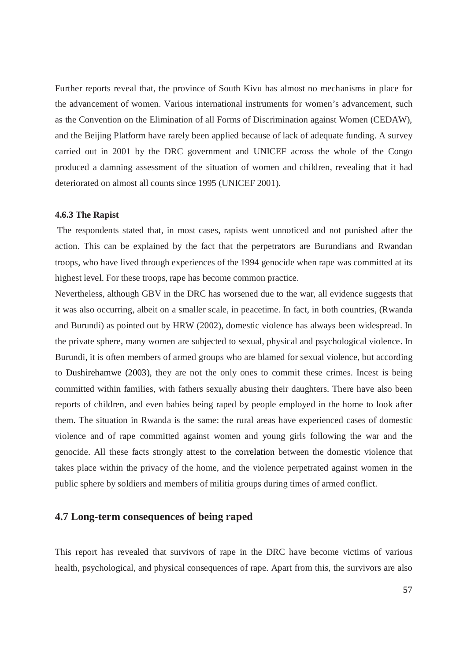Further reports reveal that, the province of South Kivu has almost no mechanisms in place for the advancement of women. Various international instruments for women's advancement, such as the Convention on the Elimination of all Forms of Discrimination against Women (CEDAW), and the Beijing Platform have rarely been applied because of lack of adequate funding. A survey carried out in 2001 by the DRC government and UNICEF across the whole of the Congo produced a damning assessment of the situation of women and children, revealing that it had deteriorated on almost all counts since 1995 (UNICEF 2001).

#### **4.6.3 The Rapist**

 The respondents stated that, in most cases, rapists went unnoticed and not punished after the action. This can be explained by the fact that the perpetrators are Burundians and Rwandan troops, who have lived through experiences of the 1994 genocide when rape was committed at its highest level. For these troops, rape has become common practice.

Nevertheless, although GBV in the DRC has worsened due to the war, all evidence suggests that it was also occurring, albeit on a smaller scale, in peacetime. In fact, in both countries, (Rwanda and Burundi) as pointed out by HRW (2002), domestic violence has always been widespread. In the private sphere, many women are subjected to sexual, physical and psychological violence. In Burundi, it is often members of armed groups who are blamed for sexual violence, but according to Dushirehamwe (2003), they are not the only ones to commit these crimes. Incest is being committed within families, with fathers sexually abusing their daughters. There have also been reports of children, and even babies being raped by people employed in the home to look after them. The situation in Rwanda is the same: the rural areas have experienced cases of domestic violence and of rape committed against women and young girls following the war and the genocide. All these facts strongly attest to the correlation between the domestic violence that takes place within the privacy of the home, and the violence perpetrated against women in the public sphere by soldiers and members of militia groups during times of armed conflict.

# **4.7 Long-term consequences of being raped**

This report has revealed that survivors of rape in the DRC have become victims of various health, psychological, and physical consequences of rape. Apart from this, the survivors are also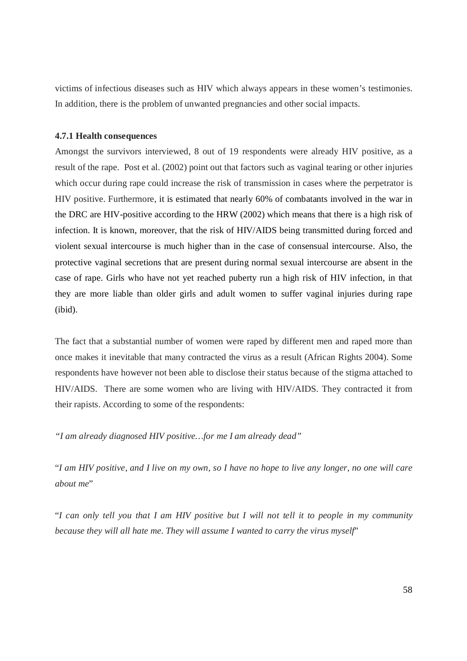victims of infectious diseases such as HIV which always appears in these women's testimonies. In addition, there is the problem of unwanted pregnancies and other social impacts.

#### **4.7.1 Health consequences**

Amongst the survivors interviewed, 8 out of 19 respondents were already HIV positive, as a result of the rape. Post et al. (2002) point out that factors such as vaginal tearing or other injuries which occur during rape could increase the risk of transmission in cases where the perpetrator is HIV positive. Furthermore, it is estimated that nearly 60% of combatants involved in the war in the DRC are HIV-positive according to the HRW (2002) which means that there is a high risk of infection. It is known, moreover, that the risk of HIV/AIDS being transmitted during forced and violent sexual intercourse is much higher than in the case of consensual intercourse. Also, the protective vaginal secretions that are present during normal sexual intercourse are absent in the case of rape. Girls who have not yet reached puberty run a high risk of HIV infection, in that they are more liable than older girls and adult women to suffer vaginal injuries during rape (ibid).

The fact that a substantial number of women were raped by different men and raped more than once makes it inevitable that many contracted the virus as a result (African Rights 2004). Some respondents have however not been able to disclose their status because of the stigma attached to HIV/AIDS. There are some women who are living with HIV/AIDS. They contracted it from their rapists. According to some of the respondents:

*"I am already diagnosed HIV positive…for me I am already dead"*

"*I am HIV positive, and I live on my own, so I have no hope to live any longer, no one will care about me*"

"*I can only tell you that I am HIV positive but I will not tell it to people in my community because they will all hate me. They will assume I wanted to carry the virus myself*"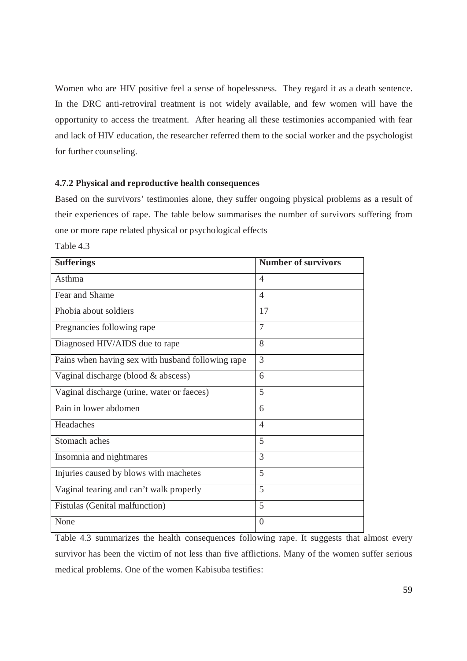Women who are HIV positive feel a sense of hopelessness. They regard it as a death sentence. In the DRC anti-retroviral treatment is not widely available, and few women will have the opportunity to access the treatment. After hearing all these testimonies accompanied with fear and lack of HIV education, the researcher referred them to the social worker and the psychologist for further counseling.

#### **4.7.2 Physical and reproductive health consequences**

Based on the survivors' testimonies alone, they suffer ongoing physical problems as a result of their experiences of rape. The table below summarises the number of survivors suffering from one or more rape related physical or psychological effects

Table 4.3

| <b>Sufferings</b>                                 | <b>Number of survivors</b> |
|---------------------------------------------------|----------------------------|
| Asthma                                            | $\overline{4}$             |
| Fear and Shame                                    | $\overline{4}$             |
| Phobia about soldiers                             | 17                         |
| Pregnancies following rape                        | 7                          |
| Diagnosed HIV/AIDS due to rape                    | 8                          |
| Pains when having sex with husband following rape | $\overline{3}$             |
| Vaginal discharge (blood & abscess)               | 6                          |
| Vaginal discharge (urine, water or faeces)        | 5                          |
| Pain in lower abdomen                             | 6                          |
| Headaches                                         | $\overline{4}$             |
| Stomach aches                                     | 5                          |
| Insomnia and nightmares                           | 3                          |
| Injuries caused by blows with machetes            | 5                          |
| Vaginal tearing and can't walk properly           | 5                          |
| Fistulas (Genital malfunction)                    | 5                          |
| None                                              | $\overline{0}$             |

Table 4.3 summarizes the health consequences following rape. It suggests that almost every survivor has been the victim of not less than five afflictions. Many of the women suffer serious medical problems. One of the women Kabisuba testifies: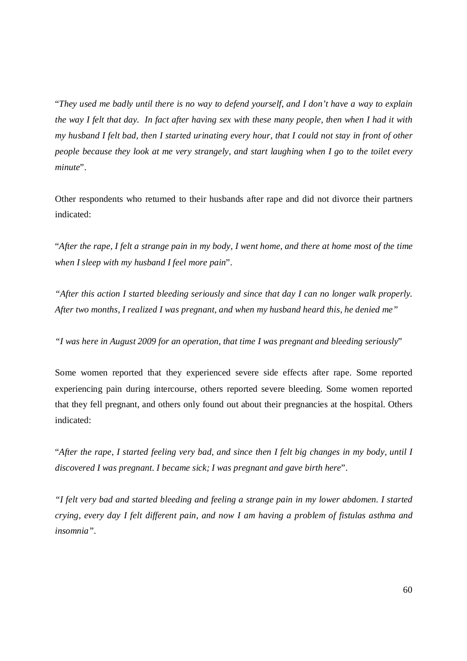"*They used me badly until there is no way to defend yourself, and I don't have a way to explain the way I felt that day. In fact after having sex with these many people, then when I had it with my husband I felt bad, then I started urinating every hour, that I could not stay in front of other people because they look at me very strangely, and start laughing when I go to the toilet every minute*".

Other respondents who returned to their husbands after rape and did not divorce their partners indicated:

"*After the rape, I felt a strange pain in my body, I went home, and there at home most of the time when I sleep with my husband I feel more pain*".

*"After this action I started bleeding seriously and since that day I can no longer walk properly. After two months, I realized I was pregnant, and when my husband heard this, he denied me"*

*"I was here in August 2009 for an operation, that time I was pregnant and bleeding seriously*"

Some women reported that they experienced severe side effects after rape. Some reported experiencing pain during intercourse, others reported severe bleeding. Some women reported that they fell pregnant, and others only found out about their pregnancies at the hospital. Others indicated:

"*After the rape, I started feeling very bad, and since then I felt big changes in my body, until I discovered I was pregnant. I became sick; I was pregnant and gave birth here*".

*"I felt very bad and started bleeding and feeling a strange pain in my lower abdomen. I started crying, every day I felt different pain, and now I am having a problem of fistulas asthma and insomnia"*.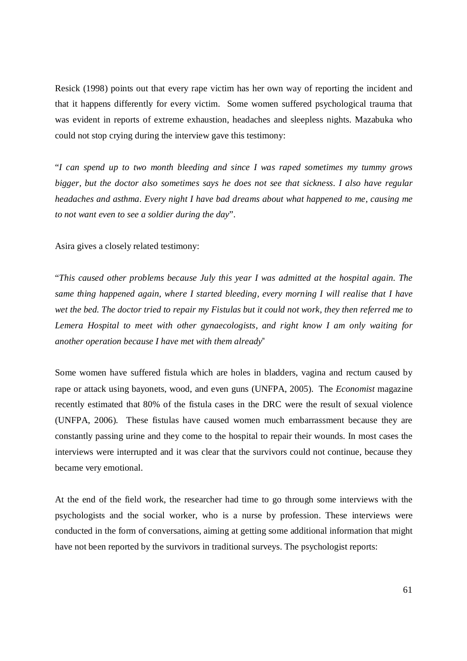Resick (1998) points out that every rape victim has her own way of reporting the incident and that it happens differently for every victim. Some women suffered psychological trauma that was evident in reports of extreme exhaustion, headaches and sleepless nights. Mazabuka who could not stop crying during the interview gave this testimony:

"*I can spend up to two month bleeding and since I was raped sometimes my tummy grows bigger, but the doctor also sometimes says he does not see that sickness. I also have regular headaches and asthma. Every night I have bad dreams about what happened to me, causing me to not want even to see a soldier during the day*".

Asira gives a closely related testimony:

"*This caused other problems because July this year I was admitted at the hospital again. The same thing happened again, where I started bleeding, every morning I will realise that I have wet the bed. The doctor tried to repair my Fistulas but it could not work, they then referred me to Lemera Hospital to meet with other gynaecologists, and right know I am only waiting for another operation because I have met with them already*"

Some women have suffered fistula which are holes in bladders, vagina and rectum caused by rape or attack using bayonets, wood, and even guns (UNFPA, 2005). The *Economist* magazine recently estimated that 80% of the fistula cases in the DRC were the result of sexual violence (UNFPA, 2006). These fistulas have caused women much embarrassment because they are constantly passing urine and they come to the hospital to repair their wounds. In most cases the interviews were interrupted and it was clear that the survivors could not continue, because they became very emotional.

At the end of the field work, the researcher had time to go through some interviews with the psychologists and the social worker, who is a nurse by profession. These interviews were conducted in the form of conversations, aiming at getting some additional information that might have not been reported by the survivors in traditional surveys. The psychologist reports: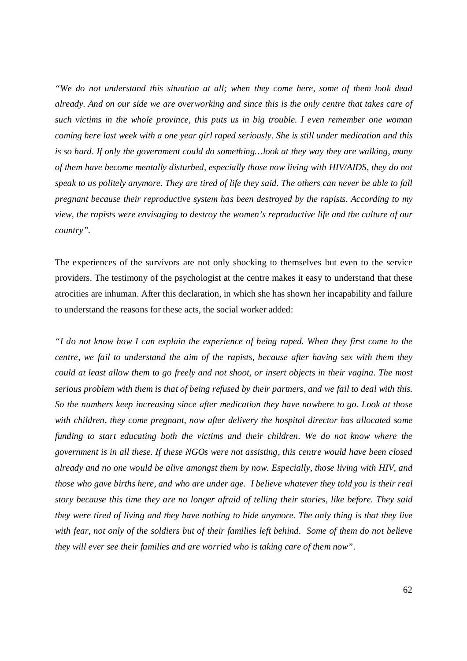*"We do not understand this situation at all; when they come here, some of them look dead already. And on our side we are overworking and since this is the only centre that takes care of such victims in the whole province, this puts us in big trouble. I even remember one woman coming here last week with a one year girl raped seriously. She is still under medication and this is so hard. If only the government could do something…look at they way they are walking, many of them have become mentally disturbed, especially those now living with HIV/AIDS, they do not speak to us politely anymore. They are tired of life they said. The others can never be able to fall pregnant because their reproductive system has been destroyed by the rapists. According to my view, the rapists were envisaging to destroy the women's reproductive life and the culture of our country".*

The experiences of the survivors are not only shocking to themselves but even to the service providers. The testimony of the psychologist at the centre makes it easy to understand that these atrocities are inhuman. After this declaration, in which she has shown her incapability and failure to understand the reasons for these acts, the social worker added:

*"I do not know how I can explain the experience of being raped. When they first come to the centre, we fail to understand the aim of the rapists, because after having sex with them they could at least allow them to go freely and not shoot, or insert objects in their vagina. The most serious problem with them is that of being refused by their partners, and we fail to deal with this. So the numbers keep increasing since after medication they have nowhere to go. Look at those with children, they come pregnant, now after delivery the hospital director has allocated some funding to start educating both the victims and their children. We do not know where the government is in all these. If these NGOs were not assisting, this centre would have been closed already and no one would be alive amongst them by now. Especially, those living with HIV, and those who gave births here, and who are under age. I believe whatever they told you is their real story because this time they are no longer afraid of telling their stories, like before. They said they were tired of living and they have nothing to hide anymore. The only thing is that they live with fear, not only of the soldiers but of their families left behind. Some of them do not believe they will ever see their families and are worried who is taking care of them now"*.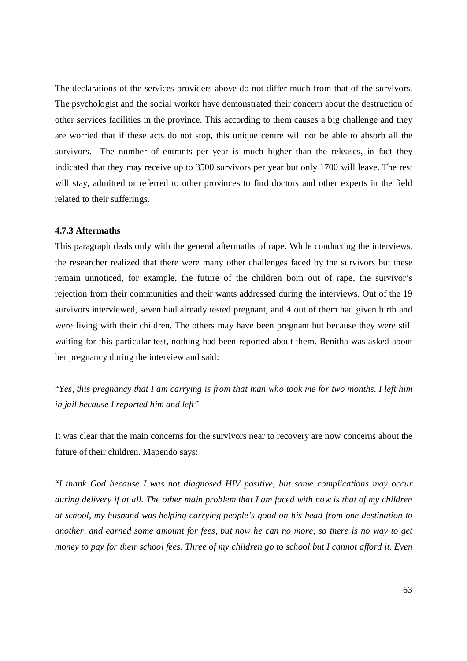The declarations of the services providers above do not differ much from that of the survivors. The psychologist and the social worker have demonstrated their concern about the destruction of other services facilities in the province. This according to them causes a big challenge and they are worried that if these acts do not stop, this unique centre will not be able to absorb all the survivors. The number of entrants per year is much higher than the releases, in fact they indicated that they may receive up to 3500 survivors per year but only 1700 will leave. The rest will stay, admitted or referred to other provinces to find doctors and other experts in the field related to their sufferings.

#### **4.7.3 Aftermaths**

This paragraph deals only with the general aftermaths of rape. While conducting the interviews, the researcher realized that there were many other challenges faced by the survivors but these remain unnoticed, for example, the future of the children born out of rape, the survivor's rejection from their communities and their wants addressed during the interviews. Out of the 19 survivors interviewed, seven had already tested pregnant, and 4 out of them had given birth and were living with their children. The others may have been pregnant but because they were still waiting for this particular test, nothing had been reported about them. Benitha was asked about her pregnancy during the interview and said:

"*Yes, this pregnancy that I am carrying is from that man who took me for two months. I left him in jail because I reported him and left"* 

It was clear that the main concerns for the survivors near to recovery are now concerns about the future of their children. Mapendo says:

"*I thank God because I was not diagnosed HIV positive, but some complications may occur during delivery if at all. The other main problem that I am faced with now is that of my children at school, my husband was helping carrying people's good on his head from one destination to another, and earned some amount for fees, but now he can no more, so there is no way to get money to pay for their school fees. Three of my children go to school but I cannot afford it. Even*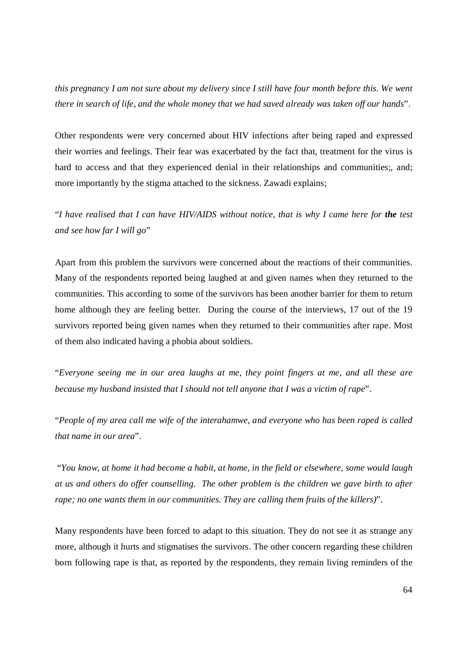*this pregnancy I am not sure about my delivery since I still have four month before this. We went there in search of life, and the whole money that we had saved already was taken off our hands*".

Other respondents were very concerned about HIV infections after being raped and expressed their worries and feelings. Their fear was exacerbated by the fact that, treatment for the virus is hard to access and that they experienced denial in their relationships and communities;, and; more importantly by the stigma attached to the sickness. Zawadi explains;

"*I have realised that I can have HIV/AIDS without notice, that is why I came here for the test and see how far I will go*"

Apart from this problem the survivors were concerned about the reactions of their communities. Many of the respondents reported being laughed at and given names when they returned to the communities. This according to some of the survivors has been another barrier for them to return home although they are feeling better. During the course of the interviews, 17 out of the 19 survivors reported being given names when they returned to their communities after rape. Most of them also indicated having a phobia about soldiers.

"*Everyone seeing me in our area laughs at me, they point fingers at me, and all these are because my husband insisted that I should not tell anyone that I was a victim of rape*".

"*People of my area call me wife of the interahamwe, and everyone who has been raped is called that name in our area*".

 "*You know, at home it had become a habit, at home, in the field or elsewhere, some would laugh at us and others do offer counselling. The other problem is the children we gave birth to after rape; no one wants them in our communities. They are calling them fruits of the killers)*".

Many respondents have been forced to adapt to this situation. They do not see it as strange any more, although it hurts and stigmatises the survivors. The other concern regarding these children born following rape is that, as reported by the respondents, they remain living reminders of the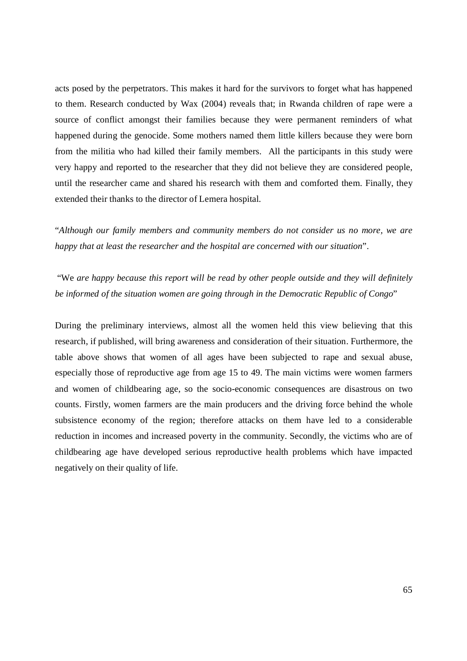acts posed by the perpetrators. This makes it hard for the survivors to forget what has happened to them. Research conducted by Wax (2004) reveals that; in Rwanda children of rape were a source of conflict amongst their families because they were permanent reminders of what happened during the genocide. Some mothers named them little killers because they were born from the militia who had killed their family members. All the participants in this study were very happy and reported to the researcher that they did not believe they are considered people, until the researcher came and shared his research with them and comforted them. Finally, they extended their thanks to the director of Lemera hospital.

"*Although our family members and community members do not consider us no more, we are happy that at least the researcher and the hospital are concerned with our situation*".

 "We *are happy because this report will be read by other people outside and they will definitely be informed of the situation women are going through in the Democratic Republic of Congo*"

During the preliminary interviews, almost all the women held this view believing that this research, if published, will bring awareness and consideration of their situation. Furthermore, the table above shows that women of all ages have been subjected to rape and sexual abuse, especially those of reproductive age from age 15 to 49. The main victims were women farmers and women of childbearing age, so the socio-economic consequences are disastrous on two counts. Firstly, women farmers are the main producers and the driving force behind the whole subsistence economy of the region; therefore attacks on them have led to a considerable reduction in incomes and increased poverty in the community. Secondly, the victims who are of childbearing age have developed serious reproductive health problems which have impacted negatively on their quality of life.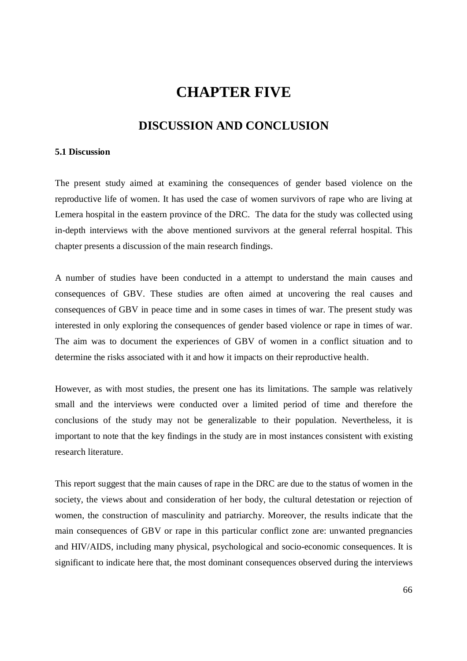# **CHAPTER FIVE**

# **DISCUSSION AND CONCLUSION**

### **5.1 Discussion**

The present study aimed at examining the consequences of gender based violence on the reproductive life of women. It has used the case of women survivors of rape who are living at Lemera hospital in the eastern province of the DRC. The data for the study was collected using in-depth interviews with the above mentioned survivors at the general referral hospital. This chapter presents a discussion of the main research findings.

A number of studies have been conducted in a attempt to understand the main causes and consequences of GBV. These studies are often aimed at uncovering the real causes and consequences of GBV in peace time and in some cases in times of war. The present study was interested in only exploring the consequences of gender based violence or rape in times of war. The aim was to document the experiences of GBV of women in a conflict situation and to determine the risks associated with it and how it impacts on their reproductive health.

However, as with most studies, the present one has its limitations. The sample was relatively small and the interviews were conducted over a limited period of time and therefore the conclusions of the study may not be generalizable to their population. Nevertheless, it is important to note that the key findings in the study are in most instances consistent with existing research literature.

This report suggest that the main causes of rape in the DRC are due to the status of women in the society, the views about and consideration of her body, the cultural detestation or rejection of women, the construction of masculinity and patriarchy. Moreover, the results indicate that the main consequences of GBV or rape in this particular conflict zone are: unwanted pregnancies and HIV/AIDS, including many physical, psychological and socio-economic consequences. It is significant to indicate here that, the most dominant consequences observed during the interviews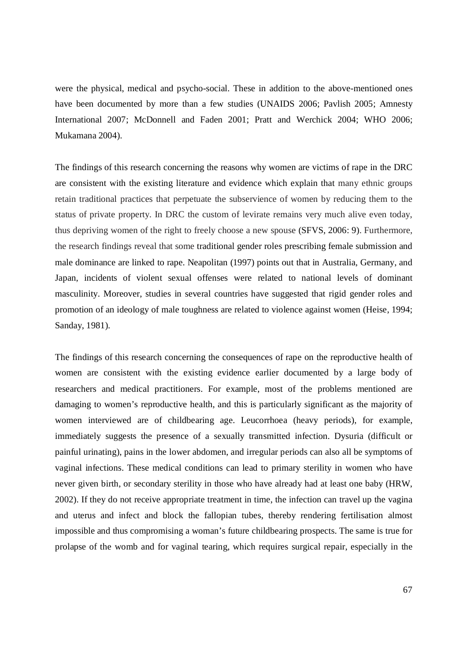were the physical, medical and psycho-social. These in addition to the above-mentioned ones have been documented by more than a few studies (UNAIDS 2006; Pavlish 2005; Amnesty International 2007; McDonnell and Faden 2001; Pratt and Werchick 2004; WHO 2006; Mukamana 2004).

The findings of this research concerning the reasons why women are victims of rape in the DRC are consistent with the existing literature and evidence which explain that many ethnic groups retain traditional practices that perpetuate the subservience of women by reducing them to the status of private property. In DRC the custom of levirate remains very much alive even today, thus depriving women of the right to freely choose a new spouse (SFVS, 2006: 9). Furthermore, the research findings reveal that some traditional gender roles prescribing female submission and male dominance are linked to rape. Neapolitan (1997) points out that in Australia, Germany, and Japan, incidents of violent sexual offenses were related to national levels of dominant masculinity. Moreover, studies in several countries have suggested that rigid gender roles and promotion of an ideology of male toughness are related to violence against women (Heise, 1994; Sanday, 1981).

The findings of this research concerning the consequences of rape on the reproductive health of women are consistent with the existing evidence earlier documented by a large body of researchers and medical practitioners. For example, most of the problems mentioned are damaging to women's reproductive health, and this is particularly significant as the majority of women interviewed are of childbearing age. Leucorrhoea (heavy periods), for example, immediately suggests the presence of a sexually transmitted infection. Dysuria (difficult or painful urinating), pains in the lower abdomen, and irregular periods can also all be symptoms of vaginal infections. These medical conditions can lead to primary sterility in women who have never given birth, or secondary sterility in those who have already had at least one baby (HRW, 2002). If they do not receive appropriate treatment in time, the infection can travel up the vagina and uterus and infect and block the fallopian tubes, thereby rendering fertilisation almost impossible and thus compromising a woman's future childbearing prospects. The same is true for prolapse of the womb and for vaginal tearing, which requires surgical repair, especially in the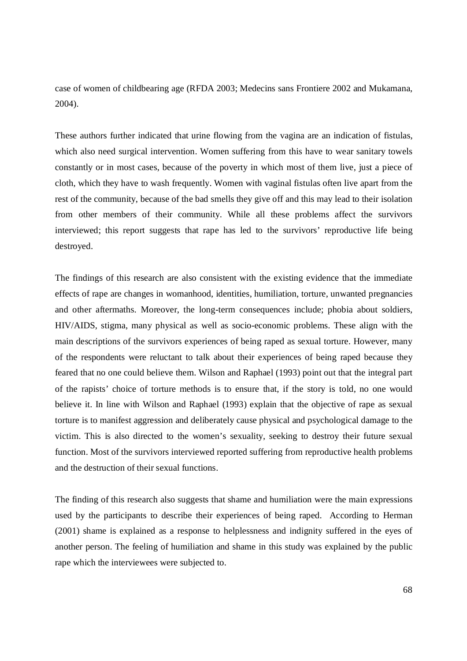case of women of childbearing age (RFDA 2003; Medecins sans Frontiere 2002 and Mukamana, 2004).

These authors further indicated that urine flowing from the vagina are an indication of fistulas, which also need surgical intervention. Women suffering from this have to wear sanitary towels constantly or in most cases, because of the poverty in which most of them live, just a piece of cloth, which they have to wash frequently. Women with vaginal fistulas often live apart from the rest of the community, because of the bad smells they give off and this may lead to their isolation from other members of their community. While all these problems affect the survivors interviewed; this report suggests that rape has led to the survivors' reproductive life being destroyed.

The findings of this research are also consistent with the existing evidence that the immediate effects of rape are changes in womanhood, identities, humiliation, torture, unwanted pregnancies and other aftermaths. Moreover, the long-term consequences include; phobia about soldiers, HIV/AIDS, stigma, many physical as well as socio-economic problems. These align with the main descriptions of the survivors experiences of being raped as sexual torture. However, many of the respondents were reluctant to talk about their experiences of being raped because they feared that no one could believe them. Wilson and Raphael (1993) point out that the integral part of the rapists' choice of torture methods is to ensure that, if the story is told, no one would believe it. In line with Wilson and Raphael (1993) explain that the objective of rape as sexual torture is to manifest aggression and deliberately cause physical and psychological damage to the victim. This is also directed to the women's sexuality, seeking to destroy their future sexual function. Most of the survivors interviewed reported suffering from reproductive health problems and the destruction of their sexual functions.

The finding of this research also suggests that shame and humiliation were the main expressions used by the participants to describe their experiences of being raped. According to Herman (2001) shame is explained as a response to helplessness and indignity suffered in the eyes of another person. The feeling of humiliation and shame in this study was explained by the public rape which the interviewees were subjected to.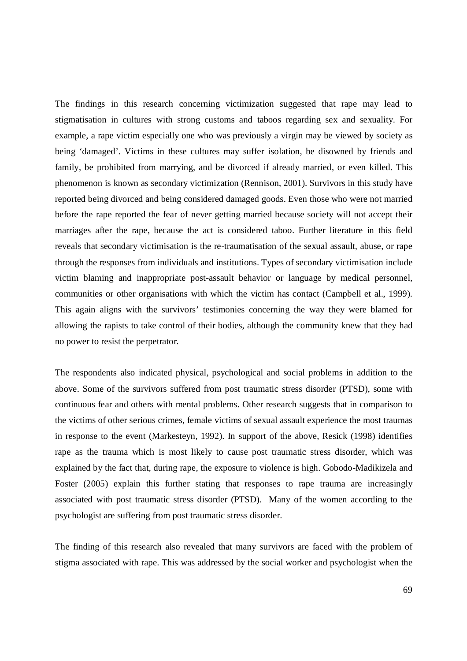The findings in this research concerning victimization suggested that rape may lead to stigmatisation in cultures with strong customs and taboos regarding sex and sexuality. For example, a rape victim especially one who was previously a virgin may be viewed by society as being 'damaged'. Victims in these cultures may suffer isolation, be disowned by friends and family, be prohibited from marrying, and be divorced if already married, or even killed. This phenomenon is known as secondary victimization (Rennison, 2001). Survivors in this study have reported being divorced and being considered damaged goods. Even those who were not married before the rape reported the fear of never getting married because society will not accept their marriages after the rape, because the act is considered taboo. Further literature in this field reveals that secondary victimisation is the re-traumatisation of the sexual assault, abuse, or rape through the responses from individuals and institutions. Types of secondary victimisation include victim blaming and inappropriate post-assault behavior or language by medical personnel, communities or other organisations with which the victim has contact (Campbell et al., 1999). This again aligns with the survivors' testimonies concerning the way they were blamed for allowing the rapists to take control of their bodies, although the community knew that they had no power to resist the perpetrator.

The respondents also indicated physical, psychological and social problems in addition to the above. Some of the survivors suffered from post traumatic stress disorder (PTSD), some with continuous fear and others with mental problems. Other research suggests that in comparison to the victims of other serious crimes, female victims of sexual assault experience the most traumas in response to the event (Markesteyn, 1992). In support of the above, Resick (1998) identifies rape as the trauma which is most likely to cause post traumatic stress disorder, which was explained by the fact that, during rape, the exposure to violence is high. Gobodo-Madikizela and Foster (2005) explain this further stating that responses to rape trauma are increasingly associated with post traumatic stress disorder (PTSD). Many of the women according to the psychologist are suffering from post traumatic stress disorder.

The finding of this research also revealed that many survivors are faced with the problem of stigma associated with rape. This was addressed by the social worker and psychologist when the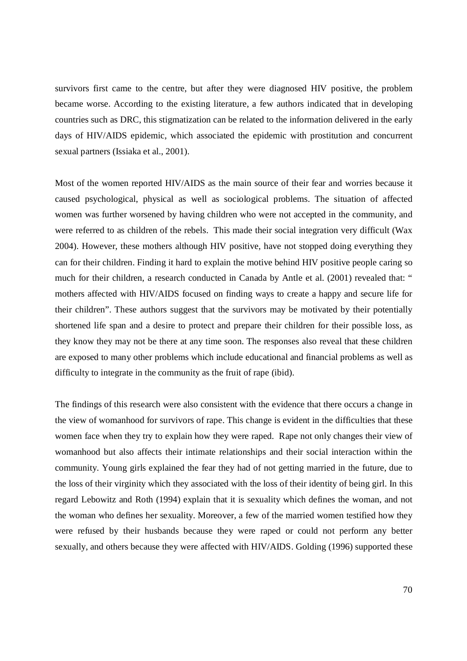survivors first came to the centre, but after they were diagnosed HIV positive, the problem became worse. According to the existing literature, a few authors indicated that in developing countries such as DRC, this stigmatization can be related to the information delivered in the early days of HIV/AIDS epidemic, which associated the epidemic with prostitution and concurrent sexual partners (Issiaka et al., 2001).

Most of the women reported HIV/AIDS as the main source of their fear and worries because it caused psychological, physical as well as sociological problems. The situation of affected women was further worsened by having children who were not accepted in the community, and were referred to as children of the rebels. This made their social integration very difficult (Wax 2004). However, these mothers although HIV positive, have not stopped doing everything they can for their children. Finding it hard to explain the motive behind HIV positive people caring so much for their children, a research conducted in Canada by Antle et al. (2001) revealed that: " mothers affected with HIV/AIDS focused on finding ways to create a happy and secure life for their children". These authors suggest that the survivors may be motivated by their potentially shortened life span and a desire to protect and prepare their children for their possible loss, as they know they may not be there at any time soon. The responses also reveal that these children are exposed to many other problems which include educational and financial problems as well as difficulty to integrate in the community as the fruit of rape (ibid).

The findings of this research were also consistent with the evidence that there occurs a change in the view of womanhood for survivors of rape. This change is evident in the difficulties that these women face when they try to explain how they were raped. Rape not only changes their view of womanhood but also affects their intimate relationships and their social interaction within the community. Young girls explained the fear they had of not getting married in the future, due to the loss of their virginity which they associated with the loss of their identity of being girl. In this regard Lebowitz and Roth (1994) explain that it is sexuality which defines the woman, and not the woman who defines her sexuality. Moreover, a few of the married women testified how they were refused by their husbands because they were raped or could not perform any better sexually, and others because they were affected with HIV/AIDS. Golding (1996) supported these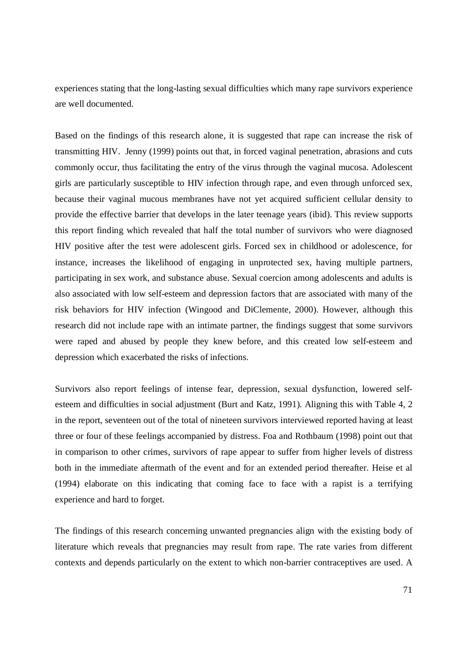experiences stating that the long-lasting sexual difficulties which many rape survivors experience are well documented.

Based on the findings of this research alone, it is suggested that rape can increase the risk of transmitting HIV. Jenny (1999) points out that, in forced vaginal penetration, abrasions and cuts commonly occur, thus facilitating the entry of the virus through the vaginal mucosa. Adolescent girls are particularly susceptible to HIV infection through rape, and even through unforced sex, because their vaginal mucous membranes have not yet acquired sufficient cellular density to provide the effective barrier that develops in the later teenage years (ibid). This review supports this report finding which revealed that half the total number of survivors who were diagnosed HIV positive after the test were adolescent girls. Forced sex in childhood or adolescence, for instance, increases the likelihood of engaging in unprotected sex, having multiple partners, participating in sex work, and substance abuse. Sexual coercion among adolescents and adults is also associated with low self-esteem and depression factors that are associated with many of the risk behaviors for HIV infection (Wingood and DiClemente, 2000). However, although this research did not include rape with an intimate partner, the findings suggest that some survivors were raped and abused by people they knew before, and this created low self-esteem and depression which exacerbated the risks of infections.

Survivors also report feelings of intense fear, depression, sexual dysfunction, lowered selfesteem and difficulties in social adjustment (Burt and Katz, 1991). Aligning this with Table 4, 2 in the report, seventeen out of the total of nineteen survivors interviewed reported having at least three or four of these feelings accompanied by distress. Foa and Rothbaum (1998) point out that in comparison to other crimes, survivors of rape appear to suffer from higher levels of distress both in the immediate aftermath of the event and for an extended period thereafter. Heise et al (1994) elaborate on this indicating that coming face to face with a rapist is a terrifying experience and hard to forget.

The findings of this research concerning unwanted pregnancies align with the existing body of literature which reveals that pregnancies may result from rape. The rate varies from different contexts and depends particularly on the extent to which non-barrier contraceptives are used. A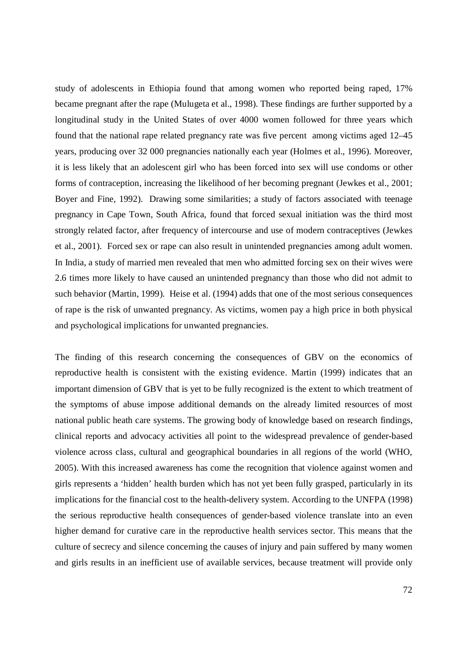study of adolescents in Ethiopia found that among women who reported being raped, 17% became pregnant after the rape (Mulugeta et al., 1998). These findings are further supported by a longitudinal study in the United States of over 4000 women followed for three years which found that the national rape related pregnancy rate was five percent among victims aged 12–45 years, producing over 32 000 pregnancies nationally each year (Holmes et al., 1996). Moreover, it is less likely that an adolescent girl who has been forced into sex will use condoms or other forms of contraception, increasing the likelihood of her becoming pregnant (Jewkes et al., 2001; Boyer and Fine, 1992). Drawing some similarities; a study of factors associated with teenage pregnancy in Cape Town, South Africa, found that forced sexual initiation was the third most strongly related factor, after frequency of intercourse and use of modern contraceptives (Jewkes et al., 2001). Forced sex or rape can also result in unintended pregnancies among adult women. In India, a study of married men revealed that men who admitted forcing sex on their wives were 2.6 times more likely to have caused an unintended pregnancy than those who did not admit to such behavior (Martin, 1999). Heise et al. (1994) adds that one of the most serious consequences of rape is the risk of unwanted pregnancy. As victims, women pay a high price in both physical and psychological implications for unwanted pregnancies.

The finding of this research concerning the consequences of GBV on the economics of reproductive health is consistent with the existing evidence. Martin (1999) indicates that an important dimension of GBV that is yet to be fully recognized is the extent to which treatment of the symptoms of abuse impose additional demands on the already limited resources of most national public heath care systems. The growing body of knowledge based on research findings, clinical reports and advocacy activities all point to the widespread prevalence of gender-based violence across class, cultural and geographical boundaries in all regions of the world (WHO, 2005). With this increased awareness has come the recognition that violence against women and girls represents a 'hidden' health burden which has not yet been fully grasped, particularly in its implications for the financial cost to the health-delivery system. According to the UNFPA (1998) the serious reproductive health consequences of gender-based violence translate into an even higher demand for curative care in the reproductive health services sector. This means that the culture of secrecy and silence concerning the causes of injury and pain suffered by many women and girls results in an inefficient use of available services, because treatment will provide only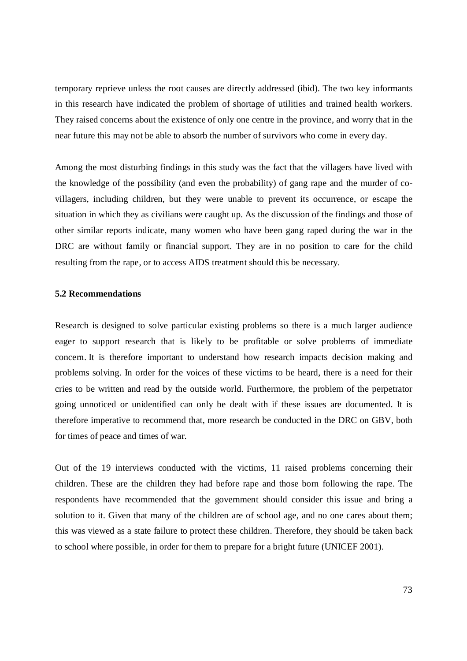temporary reprieve unless the root causes are directly addressed (ibid). The two key informants in this research have indicated the problem of shortage of utilities and trained health workers. They raised concerns about the existence of only one centre in the province, and worry that in the near future this may not be able to absorb the number of survivors who come in every day.

Among the most disturbing findings in this study was the fact that the villagers have lived with the knowledge of the possibility (and even the probability) of gang rape and the murder of covillagers, including children, but they were unable to prevent its occurrence, or escape the situation in which they as civilians were caught up. As the discussion of the findings and those of other similar reports indicate, many women who have been gang raped during the war in the DRC are without family or financial support. They are in no position to care for the child resulting from the rape, or to access AIDS treatment should this be necessary.

#### **5.2 Recommendations**

Research is designed to solve particular existing problems so there is a much larger audience eager to support research that is likely to be profitable or solve problems of immediate concern. It is therefore important to understand how research impacts decision making and problems solving. In order for the voices of these victims to be heard, there is a need for their cries to be written and read by the outside world. Furthermore, the problem of the perpetrator going unnoticed or unidentified can only be dealt with if these issues are documented. It is therefore imperative to recommend that, more research be conducted in the DRC on GBV, both for times of peace and times of war.

Out of the 19 interviews conducted with the victims, 11 raised problems concerning their children. These are the children they had before rape and those born following the rape. The respondents have recommended that the government should consider this issue and bring a solution to it. Given that many of the children are of school age, and no one cares about them; this was viewed as a state failure to protect these children. Therefore, they should be taken back to school where possible, in order for them to prepare for a bright future (UNICEF 2001).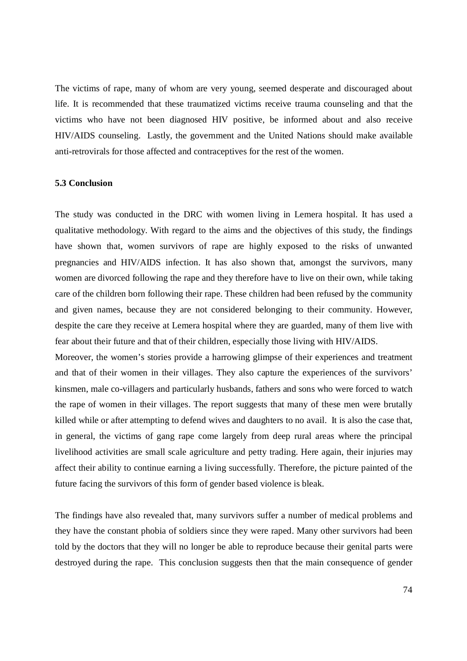The victims of rape, many of whom are very young, seemed desperate and discouraged about life. It is recommended that these traumatized victims receive trauma counseling and that the victims who have not been diagnosed HIV positive, be informed about and also receive HIV/AIDS counseling. Lastly, the government and the United Nations should make available anti-retrovirals for those affected and contraceptives for the rest of the women.

#### **5.3 Conclusion**

The study was conducted in the DRC with women living in Lemera hospital. It has used a qualitative methodology. With regard to the aims and the objectives of this study, the findings have shown that, women survivors of rape are highly exposed to the risks of unwanted pregnancies and HIV/AIDS infection. It has also shown that, amongst the survivors, many women are divorced following the rape and they therefore have to live on their own, while taking care of the children born following their rape. These children had been refused by the community and given names, because they are not considered belonging to their community. However, despite the care they receive at Lemera hospital where they are guarded, many of them live with fear about their future and that of their children, especially those living with HIV/AIDS.

Moreover, the women's stories provide a harrowing glimpse of their experiences and treatment and that of their women in their villages. They also capture the experiences of the survivors' kinsmen, male co-villagers and particularly husbands, fathers and sons who were forced to watch the rape of women in their villages. The report suggests that many of these men were brutally killed while or after attempting to defend wives and daughters to no avail. It is also the case that, in general, the victims of gang rape come largely from deep rural areas where the principal livelihood activities are small scale agriculture and petty trading. Here again, their injuries may affect their ability to continue earning a living successfully. Therefore, the picture painted of the future facing the survivors of this form of gender based violence is bleak.

The findings have also revealed that, many survivors suffer a number of medical problems and they have the constant phobia of soldiers since they were raped. Many other survivors had been told by the doctors that they will no longer be able to reproduce because their genital parts were destroyed during the rape. This conclusion suggests then that the main consequence of gender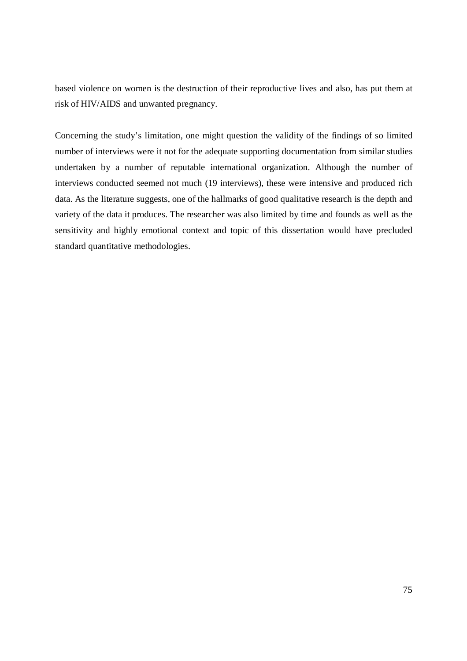based violence on women is the destruction of their reproductive lives and also, has put them at risk of HIV/AIDS and unwanted pregnancy.

Concerning the study's limitation, one might question the validity of the findings of so limited number of interviews were it not for the adequate supporting documentation from similar studies undertaken by a number of reputable international organization. Although the number of interviews conducted seemed not much (19 interviews), these were intensive and produced rich data. As the literature suggests, one of the hallmarks of good qualitative research is the depth and variety of the data it produces. The researcher was also limited by time and founds as well as the sensitivity and highly emotional context and topic of this dissertation would have precluded standard quantitative methodologies.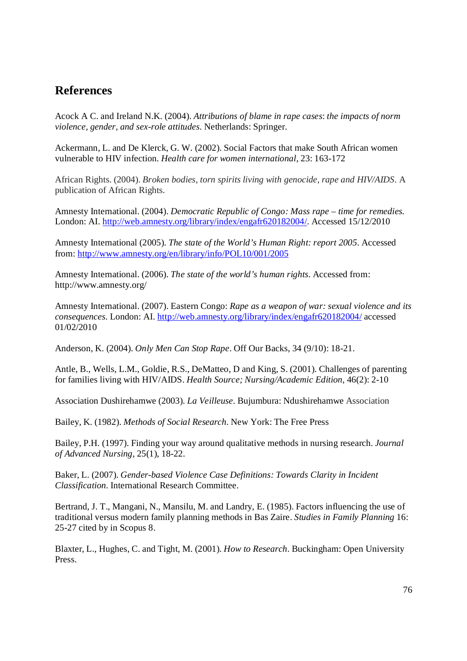# **References**

Acock A C. and Ireland N.K. (2004). *Attributions of blame in rape cases*: *the impacts of norm violence, gender, and sex-role attitudes.* Netherlands: Springer.

Ackermann, L. and De Klerck, G. W. (2002). Social Factors that make South African women vulnerable to HIV infection. *Health care for women international*, 23: 163-172

African Rights. (2004). *Broken bodies, torn spirits living with genocide, rape and HIV/AIDS*. A publication of African Rights.

Amnesty International. (2004). *Democratic Republic of Congo: Mass rape – time for remedies.* London: AI. http://web.amnesty.org/library/index/engafr620182004/. Accessed 15/12/2010

Amnesty International (2005). *The state of the World's Human Right: report 2005*. Accessed from: http://www.amnesty.org/en/library/info/POL10/001/2005

Amnesty International. (2006). *The state of the world's human rights*. Accessed from: http://www.amnesty.org/

Amnesty International. (2007). Eastern Congo: *Rape as a weapon of war: sexual violence and its consequences.* London: AI. http://web.amnesty.org/library/index/engafr620182004/ accessed 01/02/2010

Anderson, K. (2004). *Only Men Can Stop Rape*. Off Our Backs, 34 (9/10): 18-21.

Antle, B., Wells, L.M., Goldie, R.S., DeMatteo, D and King, S. (2001). Challenges of parenting for families living with HIV/AIDS. *Health Source; Nursing/Academic Edition*, 46(2): 2-10

Association Dushirehamwe (2003). *La Veilleuse*. Bujumbura: Ndushirehamwe Association

Bailey, K. (1982). *Methods of Social Research*. New York: The Free Press

Bailey, P.H. (1997). Finding your way around qualitative methods in nursing research. *Journal of Advanced Nursing*, 25(1), 18-22.

Baker, L. (2007). *Gender-based Violence Case Definitions: Towards Clarity in Incident Classification.* International Research Committee.

Bertrand, J. T., Mangani, N., Mansilu, M. and Landry, E. (1985). Factors influencing the use of traditional versus modern family planning methods in Bas Zaire. *Studies in Family Planning* 16: 25-27 cited by in Scopus 8.

Blaxter, L., Hughes, C. and Tight, M. (2001). *How to Research*. Buckingham: Open University Press.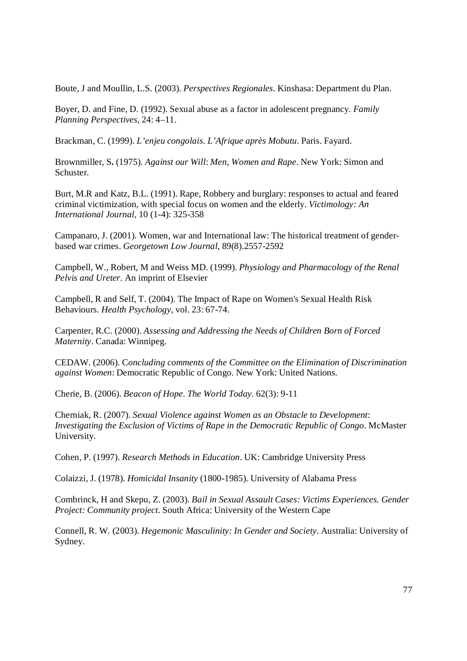Boute, J and Moullin, L.S. (2003). *Perspectives Regionales*. Kinshasa: Department du Plan.

Boyer, D. and Fine, D. (1992). Sexual abuse as a factor in adolescent pregnancy. *Family Planning Perspectives,* 24: 4–11.

Brackman, C. (1999). *L'enjeu congolais. L'Afrique après Mobutu*. Paris. Fayard.

Brownmiller, S**.** (1975). *Against our Will*: *Men, Women and Rape*. New York: Simon and Schuster.

Burt, M.R and Katz, B.L. (1991). Rape, Robbery and burglary: responses to actual and feared criminal victimization, with special focus on women and the elderly. *Victimology: An International Journal,* 10 (1-4): 325-358

Campanaro, J. (2001). Women, war and International law: The historical treatment of genderbased war crimes. *Georgetown Low Journal*, 89(8).2557-2592

Campbell, W., Robert, M and Weiss MD. (1999). *Physiology and Pharmacology of the Renal Pelvis and Ureter.* An imprint of Elsevier

Campbell, R and Self, T. (2004). The Impact of Rape on Women's Sexual Health Risk Behaviours. *Health Psychology*, vol. 23: 67-74.

Carpenter, R.C. (2000). *Assessing and Addressing the Needs of Children Born of Forced Maternity*. Canada: Winnipeg.

CEDAW. (2006). C*oncluding comments of the Committee on the Elimination of Discrimination against Women*: Democratic Republic of Congo. New York: United Nations.

Cherie, B. (2006). *Beacon of Hope*. *The World Today*. 62(3): 9-11

Cherniak, R. (2007). *Sexual Violence against Women as an Obstacle to Development*: *Investigating the Exclusion of Victims of Rape in the Democratic Republic of Congo*. McMaster University.

Cohen, P. (1997). *Research Methods in Education*. UK: Cambridge University Press

Colaizzi, J. (1978). *Homicidal Insanity* (1800-1985). University of Alabama Press

Combrinck, H and Skepu, Z. (2003). *Bail in Sexual Assault Cases: Victims Experiences. Gender Project: Community project*. South Africa: University of the Western Cape

Connell, R. W. (2003). *Hegemonic Masculinity: In Gender and Society*. Australia: University of Sydney.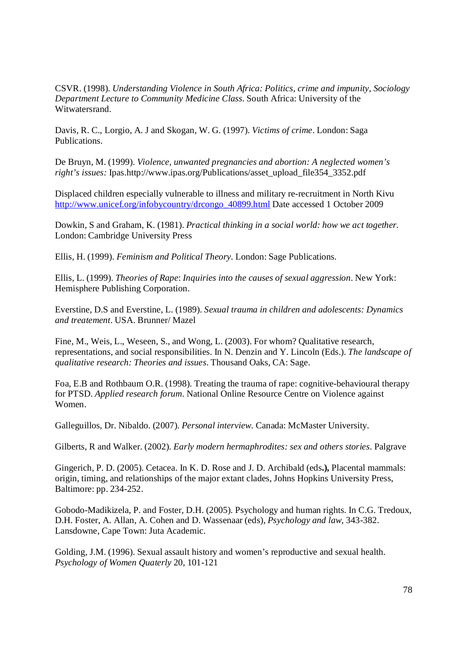CSVR. (1998). *Understanding Violence in South Africa: Politics, crime and impunity, Sociology Department Lecture to Community Medicine Class*. South Africa: University of the Witwatersrand.

Davis, R. C., Lorgio, A. J and Skogan, W. G. (1997). *Victims of crime*. London: Saga Publications.

De Bruyn, M. (1999). *Violence, unwanted pregnancies and abortion: A neglected women's right's issues:* Ipas.http://www.ipas.org/Publications/asset\_upload\_file354\_3352.pdf

Displaced children especially vulnerable to illness and military re-recruitment in North Kivu http://www.unicef.org/infobycountry/drcongo\_40899.html Date accessed 1 October 2009

Dowkin, S and Graham, K. (1981). *Practical thinking in a social world: how we act together.* London: Cambridge University Press

Ellis, H. (1999). *Feminism and Political Theory*. London: Sage Publications.

Ellis, L. (1999). *Theories of Rape*: *Inquiries into the causes of sexual aggression*. New York: Hemisphere Publishing Corporation.

Everstine, D.S and Everstine, L. (1989). *Sexual trauma in children and adolescents: Dynamics and treatement*. USA. Brunner/ Mazel

Fine, M., Weis, L., Weseen, S., and Wong, L. (2003). For whom? Qualitative research, representations, and social responsibilities. In N. Denzin and Y. Lincoln (Eds.). *The landscape of qualitative research: Theories and issues*. Thousand Oaks, CA: Sage.

Foa, E.B and Rothbaum O.R. (1998). Treating the trauma of rape: cognitive-behavioural therapy for PTSD. *Applied research forum.* National Online Resource Centre on Violence against Women.

Galleguillos, Dr. Nibaldo. (2007). *Personal interview*. Canada: McMaster University.

Gilberts, R and Walker. (2002). *Early modern hermaphrodites: sex and others stories*. Palgrave

Gingerich, P. D. (2005). Cetacea. In K. D. Rose and J. D. Archibald (eds**.),** Placental mammals: origin, timing, and relationships of the major extant clades, Johns Hopkins University Press, Baltimore: pp. 234-252.

Gobodo-Madikizela, P. and Foster, D.H. (2005). Psychology and human rights. In C.G. Tredoux, D.H. Foster, A. Allan, A. Cohen and D. Wassenaar (eds), *Psychology and law*, 343-382. Lansdowne, Cape Town: Juta Academic.

Golding, J.M. (1996). Sexual assault history and women's reproductive and sexual health. *Psychology of Women Quaterly* 20, 101-121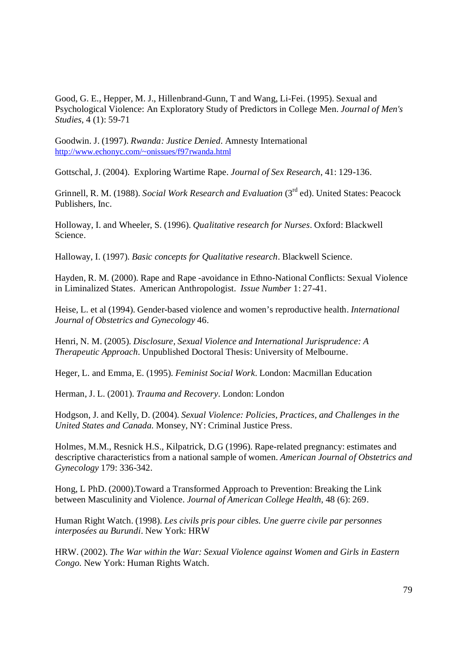Good, G. E., Hepper, M. J., Hillenbrand-Gunn, T and Wang, Li-Fei. (1995). Sexual and Psychological Violence: An Exploratory Study of Predictors in College Men. *Journal of Men's Studies*, 4 (1): 59-71

Goodwin. J. (1997). *Rwanda: Justice Denied*. Amnesty International http://www.echonyc.com/~onissues/f97rwanda.html

Gottschal, J. (2004). Exploring Wartime Rape. *Journal of Sex Research*, 41: 129-136.

Grinnell, R. M. (1988). *Social Work Research and Evaluation* (3<sup>rd</sup> ed). United States: Peacock Publishers, Inc.

Holloway, I. and Wheeler, S. (1996). *Qualitative research for Nurses*. Oxford: Blackwell Science.

Halloway, I. (1997). *Basic concepts for Qualitative research*. Blackwell Science.

Hayden, R. M. (2000). Rape and Rape -avoidance in Ethno-National Conflicts: Sexual Violence in Liminalized States. American Anthropologist. *Issue Number* 1: 27-41.

Heise, L. et al (1994). Gender-based violence and women's reproductive health. *International Journal of Obstetrics and Gynecology* 46.

Henri, N. M. (2005). *Disclosure, Sexual Violence and International Jurisprudence: A Therapeutic Approach*. Unpublished Doctoral Thesis: University of Melbourne.

Heger, L. and Emma, E. (1995). *Feminist Social Work*. London: Macmillan Education

Herman, J. L. (2001). *Trauma and Recovery*. London: London

Hodgson, J. and Kelly, D. (2004). *Sexual Violence: Policies, Practices, and Challenges in the United States and Canada.* Monsey, NY: Criminal Justice Press.

Holmes, M.M., Resnick H.S., Kilpatrick, D.G (1996). Rape-related pregnancy: estimates and descriptive characteristics from a national sample of women. *American Journal of Obstetrics and Gynecology* 179: 336-342.

Hong, L PhD. (2000).Toward a Transformed Approach to Prevention: Breaking the Link between Masculinity and Violence. *Journal of American College Health*, 48 (6): 269.

Human Right Watch. (1998). *Les civils pris pour cibles. Une guerre civile par personnes interposées au Burundi*. New York: HRW

HRW. (2002). *The War within the War: Sexual Violence against Women and Girls in Eastern Congo.* New York: Human Rights Watch.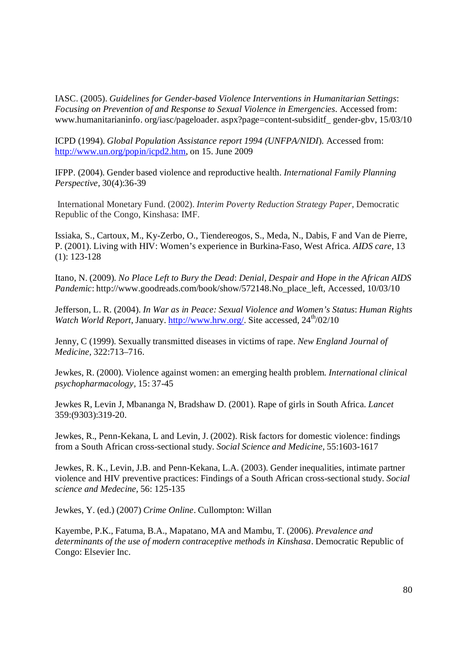IASC. (2005). *Guidelines for Gender-based Violence Interventions in Humanitarian Settings*: *Focusing on Prevention of and Response to Sexual Violence in Emergencies*. Accessed from: www.humanitarianinfo. org/iasc/pageloader. aspx?page=content-subsiditf\_ gender-gbv, 15/03/10

ICPD (1994). *Global Population Assistance report 1994 (UNFPA/NIDI*). Accessed from: http://www.un.org/popin/icpd2.htm, on 15. June 2009

IFPP. (2004). Gender based violence and reproductive health. *International Family Planning Perspective,* 30(4):36-39

International Monetary Fund. (2002). *Interim Poverty Reduction Strategy Paper*, Democratic Republic of the Congo, Kinshasa: IMF.

Issiaka, S., Cartoux, M., Ky-Zerbo, O., Tiendereogos, S., Meda, N., Dabis, F and Van de Pierre, P. (2001). Living with HIV: Women's experience in Burkina-Faso, West Africa. *AIDS care*, 13 (1): 123-128

Itano, N. (2009). *No Place Left to Bury the Dead*: *Denial, Despair and Hope in the African AIDS Pandemic*: http://www.goodreads.com/book/show/572148.No\_place\_left, Accessed, 10/03/10

Jefferson, L. R. (2004). *In War as in Peace: Sexual Violence and Women's Status*: *Human Rights Watch World Report*, January. http://www.hrw.org/. Site accessed, 24<sup>th</sup>/02/10

Jenny, C (1999). Sexually transmitted diseases in victims of rape. *New England Journal of Medicine,* 322:713–716.

Jewkes, R. (2000). Violence against women: an emerging health problem*. International clinical psychopharmacology,* 15: 37-45

Jewkes R, Levin J, Mbananga N, Bradshaw D. (2001). Rape of girls in South Africa. *Lancet* 359:(9303):319-20.

Jewkes, R., Penn-Kekana, L and Levin, J. (2002). Risk factors for domestic violence: findings from a South African cross-sectional study. *Social Science and Medicine,* 55:1603-1617

Jewkes, R. K., Levin, J.B. and Penn-Kekana, L.A. (2003). Gender inequalities, intimate partner violence and HIV preventive practices: Findings of a South African cross-sectional study. *Social science and Medecine,* 56: 125-135

Jewkes, Y. (ed.) (2007) *Crime Online*. Cullompton: Willan

Kayembe, P.K., Fatuma, B.A., Mapatano, MA and Mambu, T. (2006). *Prevalence and determinants of the use of modern contraceptive methods in Kinshasa*. Democratic Republic of Congo: Elsevier Inc.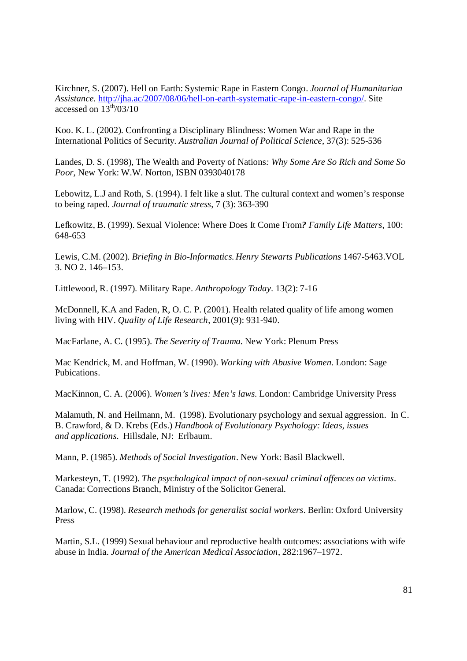Kirchner, S. (2007). Hell on Earth: Systemic Rape in Eastern Congo. *Journal of Humanitarian Assistance.* http://jha.ac/2007/08/06/hell-on-earth-systematic-rape-in-eastern-congo/. Site accessed on  $13^{th}/03/10$ 

Koo. K. L. (2002). Confronting a Disciplinary Blindness: Women War and Rape in the International Politics of Security*. Australian Journal of Political Science*, 37(3): 525-536

Landes, D. S. (1998), The Wealth and Poverty of Nations*: Why Some Are So Rich and Some So Poor*, New York: W.W. Norton, ISBN 0393040178

Lebowitz, L.J and Roth, S. (1994). I felt like a slut. The cultural context and women's response to being raped. *Journal of traumatic stress*, 7 (3): 363-390

Lefkowitz, B. (1999). Sexual Violence: Where Does It Come From*? Family Life Matters*, 100: 648-653

Lewis, C.M. (2002). *Briefing in Bio-Informatics.Henry Stewarts Publications* 1467-5463.VOL 3. NO 2. 146–153.

Littlewood, R. (1997). Military Rape. *Anthropology Today.* 13(2): 7-16

McDonnell, K.A and Faden, R, O. C. P. (2001). Health related quality of life among women living with HIV. *Quality of Life Research*, 2001(9): 931-940.

MacFarlane, A. C. (1995). *The Severity of Trauma*. New York: Plenum Press

Mac Kendrick, M. and Hoffman, W. (1990). *Working with Abusive Women*. London: Sage Pubications.

MacKinnon, C. A. (2006). *Women's lives: Men's laws.* London: Cambridge University Press

Malamuth, N. and Heilmann, M. (1998). Evolutionary psychology and sexual aggression. In C. B. Crawford, & D. Krebs (Eds.) *Handbook of Evolutionary Psychology: Ideas, issues and applications*. Hillsdale, NJ: Erlbaum.

Mann, P. (1985). *Methods of Social Investigation*. New York: Basil Blackwell.

Markesteyn, T. (1992). *The psychological impact of non-sexual criminal offences on victims*. Canada: Corrections Branch, Ministry of the Solicitor General.

Marlow, C. (1998). *Research methods for generalist social workers*. Berlin: Oxford University Press

Martin, S.L. (1999) Sexual behaviour and reproductive health outcomes: associations with wife abuse in India. *Journal of the American Medical Association*, 282:1967–1972.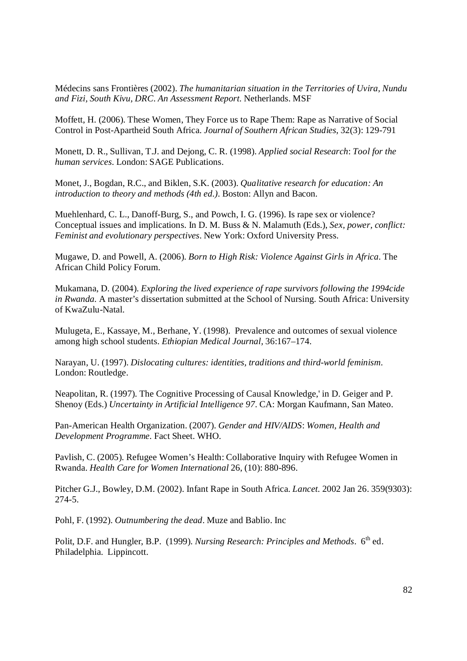Médecins sans Frontières (2002). *The humanitarian situation in the Territories of Uvira, Nundu and Fizi, South Kivu, DRC*. *An Assessment Report*. Netherlands. MSF

Moffett, H. (2006). These Women, They Force us to Rape Them: Rape as Narrative of Social Control in Post-Apartheid South Africa. *Journal of Southern African Studies*, 32(3): 129-791

Monett, D. R., Sullivan, T.J. and Dejong, C. R. (1998). *Applied social Research*: *Tool for the human services.* London: SAGE Publications.

Monet, J., Bogdan, R.C., and Biklen, S.K. (2003). *Qualitative research for education: An introduction to theory and methods (4th ed.)*. Boston: Allyn and Bacon.

Muehlenhard, C. L., Danoff-Burg, S., and Powch, I. G. (1996). Is rape sex or violence? Conceptual issues and implications. In D. M. Buss & N. Malamuth (Eds.), *Sex, power, conflict: Feminist and evolutionary perspectives*. New York: Oxford University Press.

Mugawe, D. and Powell, A. (2006). *Born to High Risk: Violence Against Girls in Africa*. The African Child Policy Forum.

Mukamana, D. (2004). *Exploring the lived experience of rape survivors following the 1994cide in Rwanda.* A master's dissertation submitted at the School of Nursing. South Africa: University of KwaZulu-Natal.

Mulugeta, E., Kassaye, M., Berhane, Y. (1998). Prevalence and outcomes of sexual violence among high school students. *Ethiopian Medical Journal,* 36:167–174.

Narayan, U. (1997). *Dislocating cultures: identities, traditions and third-world feminism*. London: Routledge.

Neapolitan, R. (1997). The Cognitive Processing of Causal Knowledge,' in D. Geiger and P. Shenoy (Eds.) *Uncertainty in Artificial Intelligence 97*. CA: Morgan Kaufmann, San Mateo.

Pan-American Health Organization. (2007). *Gender and HIV/AIDS*: *Women, Health and Development Programme*. Fact Sheet. WHO.

Pavlish, C. (2005). Refugee Women's Health: Collaborative Inquiry with Refugee Women in Rwanda. *Health Care for Women International* 26, (10): 880-896.

Pitcher G.J., Bowley, D.M. (2002). Infant Rape in South Africa. *Lancet.* 2002 Jan 26. 359(9303): 274-5.

Pohl, F. (1992). *Outnumbering the dead*. Muze and Bablio. Inc

Polit, D.F. and Hungler, B.P. (1999). *Nursing Research: Principles and Methods*. 6<sup>th</sup> ed. Philadelphia. Lippincott.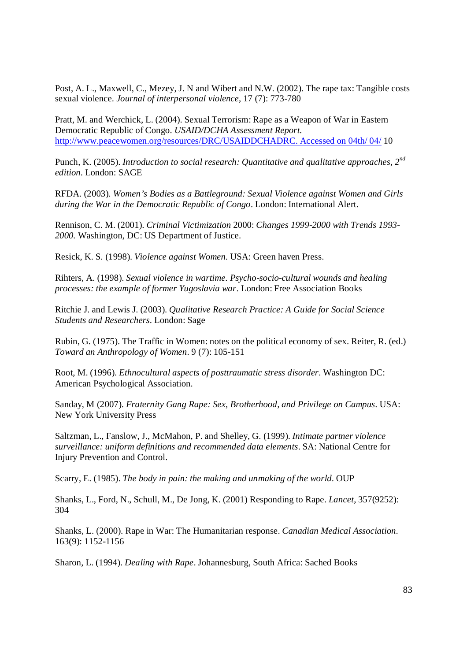Post, A. L., Maxwell, C., Mezey, J. N and Wibert and N.W. (2002). The rape tax: Tangible costs sexual violence*. Journal of interpersonal violence*, 17 (7): 773-780

Pratt, M. and Werchick, L. (2004). Sexual Terrorism: Rape as a Weapon of War in Eastern Democratic Republic of Congo. *USAID/DCHA Assessment Report*. http://www.peacewomen.org/resources/DRC/USAIDDCHADRC. Accessed on 04th/ 04/ 10

Punch, K. (2005). *Introduction to social research: Quantitative and qualitative approaches, 2nd edition*. London: SAGE

RFDA. (2003). *Women's Bodies as a Battleground: Sexual Violence against Women and Girls during the War in the Democratic Republic of Congo*. London: International Alert.

Rennison, C. M. (2001). *Criminal Victimization* 2000: *Changes 1999-2000 with Trends 1993- 2000.* Washington, DC: US Department of Justice.

Resick, K. S. (1998). *Violence against Women.* USA: Green haven Press.

Rihters, A. (1998). *Sexual violence in wartime. Psycho-socio-cultural wounds and healing processes: the example of former Yugoslavia war*. London: Free Association Books

Ritchie J. and Lewis J. (2003). *Qualitative Research Practice: A Guide for Social Science Students and Researchers*. London: Sage

Rubin, G. (1975). The Traffic in Women: notes on the political economy of sex. Reiter, R. (ed.) *Toward an Anthropology of Women*. 9 (7): 105-151

Root, M. (1996). *Ethnocultural aspects of posttraumatic stress disorder*. Washington DC: American Psychological Association.

Sanday, M (2007). *Fraternity Gang Rape: Sex, Brotherhood, and Privilege on Campus*. USA: New York University Press

Saltzman, L., Fanslow, J., McMahon, P. and Shelley, G. (1999). *Intimate partner violence surveillance: uniform definitions and recommended data elements*. SA: National Centre for Injury Prevention and Control.

Scarry, E. (1985). *The body in pain: the making and unmaking of the world*. OUP

Shanks, L., Ford, N., Schull, M., De Jong, K. (2001) Responding to Rape. *Lancet*, 357(9252): 304

Shanks, L. (2000). Rape in War: The Humanitarian response. *Canadian Medical Association*. 163(9): 1152-1156

Sharon, L. (1994). *Dealing with Rape*. Johannesburg, South Africa: Sached Books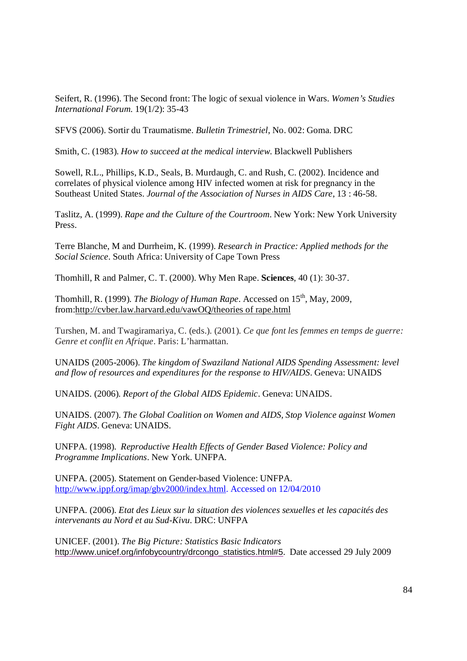Seifert, R. (1996). The Second front: The logic of sexual violence in Wars. *Women's Studies International Forum.* 19(1/2): 35-43

SFVS (2006). Sortir du Traumatisme. *Bulletin Trimestriel*, No. 002: Goma. DRC

Smith, C. (1983). *How to succeed at the medical interview*. Blackwell Publishers

Sowell, R.L., Phillips, K.D., Seals, B. Murdaugh, C. and Rush, C. (2002). Incidence and correlates of physical violence among HIV infected women at risk for pregnancy in the Southeast United States. *Journal of the Association of Nurses in AIDS Care*, 13 : 46-58.

Taslitz, A. (1999). *Rape and the Culture of the Courtroom*. New York: New York University Press.

Terre Blanche, M and Durrheim, K. (1999). *Research in Practice: Applied methods for the Social Science*. South Africa: University of Cape Town Press

Thornhill, R and Palmer, C. T. (2000). Why Men Rape. **Sciences**, 40 (1): 30-37.

Thornhill, R. (1999). *The Biology of Human Rape*. Accessed on 15<sup>th</sup>, May, 2009, from:http://cvber.law.harvard.edu/vawOQ/theories of rape.html

Turshen, M. and Twagiramariya, C. (eds.). (2001). *Ce que font les femmes en temps de guerre: Genre et conflit en Afrique*. Paris: L'harmattan.

UNAIDS (2005-2006). *The kingdom of Swaziland National AIDS Spending Assessment: level and flow of resources and expenditures for the response to HIV/AIDS*. Geneva: UNAIDS

UNAIDS. (2006)*. Report of the Global AIDS Epidemic*. Geneva: UNAIDS.

UNAIDS. (2007). *The Global Coalition on Women and AIDS, Stop Violence against Women Fight AIDS*. Geneva: UNAIDS.

UNFPA. (1998). *Reproductive Health Effects of Gender Based Violence: Policy and Programme Implications*. New York. UNFPA.

UNFPA. (2005). Statement on Gender-based Violence: UNFPA. http://www.ippf.org/imap/gbv2000/index.html. Accessed on 12/04/2010

UNFPA. (2006). *Etat des Lieux sur la situation des violences sexuelles et les capacités des intervenants au Nord et au Sud-Kivu*. DRC: UNFPA

UNICEF. (2001). *The Big Picture: Statistics Basic Indicators* http://www.unicef.org/infobycountry/drcongo\_statistics.html#5. Date accessed 29 July 2009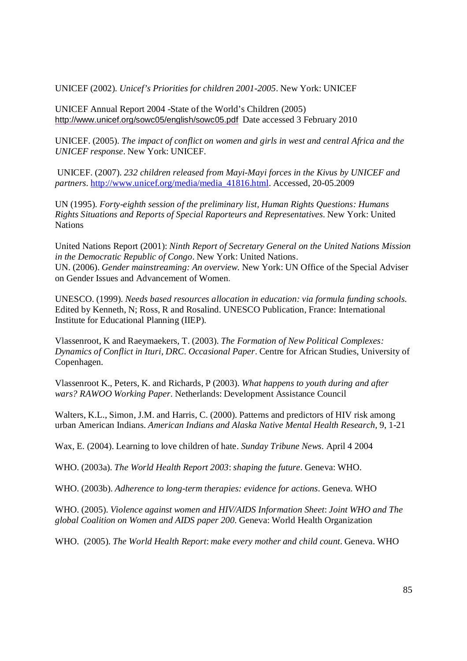UNICEF (2002). *Unicef's Priorities for children 2001-2005*. New York: UNICEF

UNICEF Annual Report 2004 -State of the World's Children (2005) http://www.unicef.org/sowc05/english/sowc05.pdf Date accessed 3 February 2010

UNICEF. (2005). *The impact of conflict on women and girls in west and central Africa and the UNICEF response*. New York: UNICEF.

 UNICEF. (2007). *232 children released from Mayi-Mayi forces in the Kivus by UNICEF and partners*. http://www.unicef.org/media/media\_41816.html. Accessed, 20-05.2009

UN (1995). *Forty-eighth session of the preliminary list, Human Rights Questions: Humans Rights Situations and Reports of Special Raporteurs and Representatives*. New York: United **Nations** 

United Nations Report (2001): *Ninth Report of Secretary General on the United Nations Mission in the Democratic Republic of Congo*. New York: United Nations. UN. (2006). *Gender mainstreaming: An overview*. New York: UN Office of the Special Adviser on Gender Issues and Advancement of Women.

UNESCO. (1999). *Needs based resources allocation in education: via formula funding schools.* Edited by Kenneth, N; Ross, R and Rosalind. UNESCO Publication, France: International Institute for Educational Planning (IIEP).

Vlassenroot, K and Raeymaekers, T. (2003). *The Formation of New Political Complexes: Dynamics of Conflict in Ituri, DRC*. *Occasional Paper*. Centre for African Studies, University of Copenhagen.

Vlassenroot K., Peters, K. and Richards, P (2003). *What happens to youth during and after wars? RAWOO Working Paper*. Netherlands: Development Assistance Council

Walters, K.L., Simon, J.M. and Harris, C. (2000). Patterns and predictors of HIV risk among urban American Indians. *American Indians and Alaska Native Mental Health Research,* 9, 1-21

Wax, E. (2004). Learning to love children of hate. *Sunday Tribune News*. April 4 2004

WHO. (2003a). *The World Health Report 2003*: *shaping the future*. Geneva: WHO.

WHO. (2003b). *Adherence to long-term therapies: evidence for actions*. Geneva. WHO

WHO. (2005). *Violence against women and HIV/AIDS Information Sheet*: *Joint WHO and The global Coalition on Women and AIDS paper 200.* Geneva: World Health Organization

WHO. (2005). *The World Health Report*: *make every mother and child count*. Geneva. WHO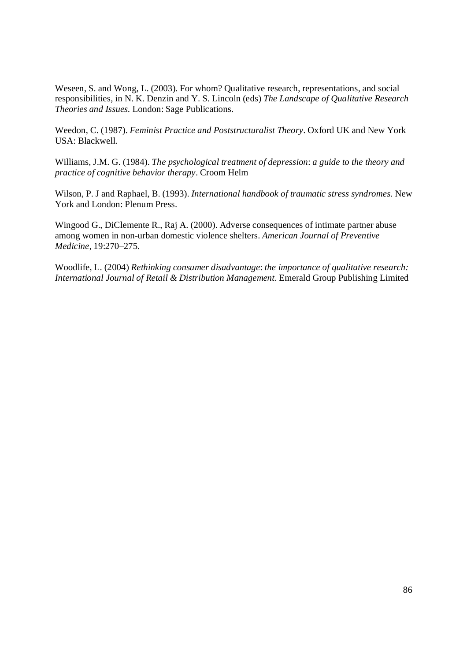Weseen, S. and Wong, L. (2003). For whom? Qualitative research, representations, and social responsibilities, in N. K. Denzin and Y. S. Lincoln (eds) *The Landscape of Qualitative Research Theories and Issues.* London: Sage Publications.

Weedon, C. (1987). *Feminist Practice and Poststructuralist Theory*. Oxford UK and New York USA: Blackwell.

Williams, J.M. G. (1984). *The psychological treatment of depression*: *a guide to the theory and practice of cognitive behavior therapy*. Croom Helm

Wilson, P. J and Raphael, B. (1993). *International handbook of traumatic stress syndromes.* New York and London: Plenum Press.

Wingood G., DiClemente R., Raj A. (2000). Adverse consequences of intimate partner abuse among women in non-urban domestic violence shelters. *American Journal of Preventive Medicine,* 19:270–275*.*

Woodlife, L. (2004) *Rethinking consumer disadvantage*: *the importance of qualitative research: International Journal of Retail & Distribution Management*. Emerald Group Publishing Limited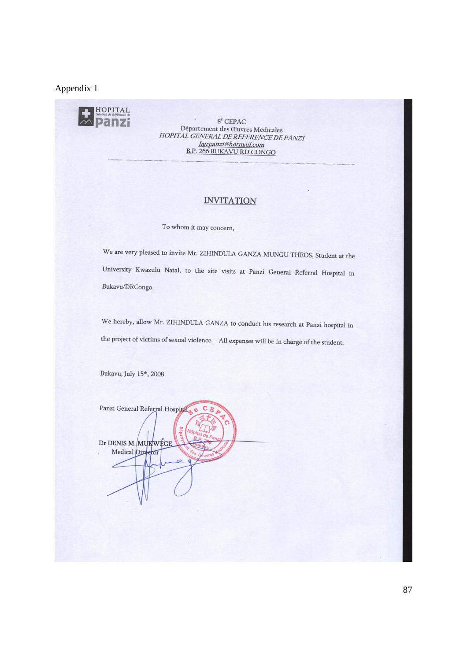#### Appendix 1



**Panzi** <sup>8<sup>e</sup> CEPAC<br>
Département des Cuvres Médicales</sup> *HOPITAL GENERAL DE REFERENCE DE PANZI hgrpanzi@hotmai]com*  B.P. 266 BUKAVU RD CONGO

#### **INVITATION**

To whom it may concern,

We are very pleased to invite Mr. ZIHINDULA GANZA MUNGU THEOS, Student at the University Kwazulu Natal, to the site visits at Panzi General Referral Hospital in Bukavu/DRCongo.

We hereby, allow Mr. ZIHINDULA GANZA to conduct his research at Panzi hospital in the project of victims of sexual violence. All expenses will be in charge of the student.

Bukavu, July 15th, 2008

Panzi General Referral Hospital  $\mathbf C$ Dr DENIS M. MUKWEGE Medical Director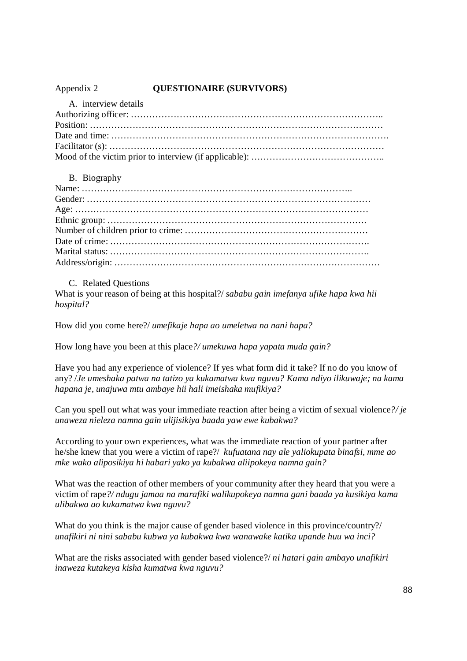## Appendix 2 **QUESTIONAIRE (SURVIVORS)**

| A, interview details |  |
|----------------------|--|
|                      |  |
|                      |  |
|                      |  |
|                      |  |
|                      |  |

### B. Biography

C. Related Questions

What is your reason of being at this hospital?/ *sababu gain imefanya ufike hapa kwa hii hospital?*

How did you come here?/ *umefikaje hapa ao umeletwa na nani hapa?*

How long have you been at this place*?/ umekuwa hapa yapata muda gain?*

Have you had any experience of violence? If yes what form did it take? If no do you know of any? /*Je umeshaka patwa na tatizo ya kukamatwa kwa nguvu? Kama ndiyo ilikuwaje; na kama hapana je, unajuwa mtu ambaye hii hali imeishaka mufikiya?*

Can you spell out what was your immediate reaction after being a victim of sexual violence*?/ je unaweza nieleza namna gain ulijisikiya baada yaw ewe kubakwa?*

According to your own experiences, what was the immediate reaction of your partner after he/she knew that you were a victim of rape?/ *kufuatana nay ale yaliokupata binafsi, mme ao mke wako aliposikiya hi habari yako ya kubakwa aliipokeya namna gain?*

What was the reaction of other members of your community after they heard that you were a victim of rape*?/ ndugu jamaa na marafiki walikupokeya namna gani baada ya kusikiya kama ulibakwa ao kukamatwa kwa nguvu?*

What do you think is the major cause of gender based violence in this province/country?/ *unafikiri ni nini sababu kubwa ya kubakwa kwa wanawake katika upande huu wa inci?*

What are the risks associated with gender based violence?/ *ni hatari gain ambayo unafikiri inaweza kutakeya kisha kumatwa kwa nguvu?*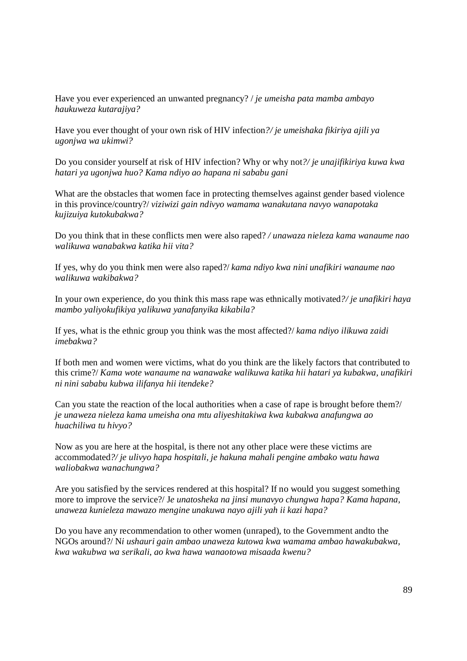Have you ever experienced an unwanted pregnancy? / *je umeisha pata mamba ambayo haukuweza kutarajiya?*

Have you ever thought of your own risk of HIV infection*?/ je umeishaka fikiriya ajili ya ugonjwa wa ukimwi?*

Do you consider yourself at risk of HIV infection? Why or why not*?/ je unajifikiriya kuwa kwa hatari ya ugonjwa huo? Kama ndiyo ao hapana ni sababu gani*

What are the obstacles that women face in protecting themselves against gender based violence in this province/country?/ *viziwizi gain ndivyo wamama wanakutana navyo wanapotaka kujizuiya kutokubakwa?*

Do you think that in these conflicts men were also raped? */ unawaza nieleza kama wanaume nao walikuwa wanabakwa katika hii vita?*

If yes, why do you think men were also raped?/ *kama ndiyo kwa nini unafikiri wanaume nao walikuwa wakibakwa?*

In your own experience, do you think this mass rape was ethnically motivated*?/ je unafikiri haya mambo yaliyokufikiya yalikuwa yanafanyika kikabila?*

If yes, what is the ethnic group you think was the most affected?/ *kama ndiyo ilikuwa zaidi imebakwa?*

If both men and women were victims, what do you think are the likely factors that contributed to this crime?/ *Kama wote wanaume na wanawake walikuwa katika hii hatari ya kubakwa, unafikiri ni nini sababu kubwa ilifanya hii itendeke?*

Can you state the reaction of the local authorities when a case of rape is brought before them?/ *je unaweza nieleza kama umeisha ona mtu aliyeshitakiwa kwa kubakwa anafungwa ao huachiliwa tu hivyo?*

Now as you are here at the hospital, is there not any other place were these victims are accommodated*?/ je ulivyo hapa hospitali, je hakuna mahali pengine ambako watu hawa waliobakwa wanachungwa?*

Are you satisfied by the services rendered at this hospital? If no would you suggest something more to improve the service?/ J*e unatosheka na jinsi munavyo chungwa hapa? Kama hapana, unaweza kunieleza mawazo mengine unakuwa nayo ajili yah ii kazi hapa?*

Do you have any recommendation to other women (unraped), to the Government andto the NGOs around?/ N*i ushauri gain ambao unaweza kutowa kwa wamama ambao hawakubakwa, kwa wakubwa wa serikali, ao kwa hawa wanaotowa misaada kwenu?*